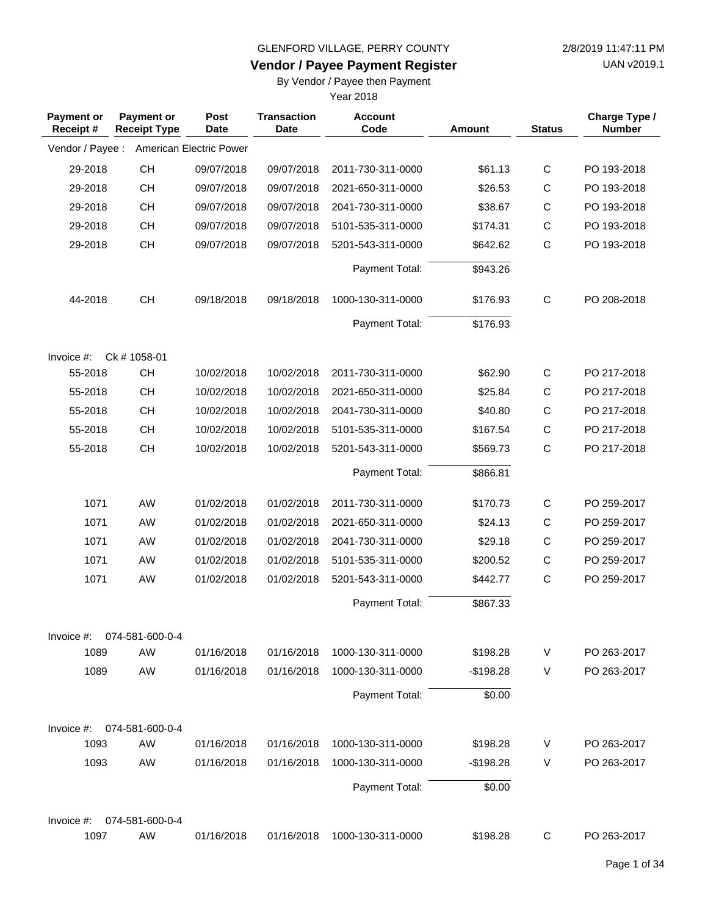**Vendor / Payee Payment Register**

UAN v2019.1

### By Vendor / Payee then Payment

| <b>Payment or</b><br>Receipt# | <b>Payment or</b><br><b>Receipt Type</b> | Post<br><b>Date</b>     | <b>Transaction</b><br><b>Date</b> | <b>Account</b><br>Code | Amount     | <b>Status</b> | Charge Type /<br><b>Number</b> |
|-------------------------------|------------------------------------------|-------------------------|-----------------------------------|------------------------|------------|---------------|--------------------------------|
| Vendor / Payee :              |                                          | American Electric Power |                                   |                        |            |               |                                |
| 29-2018                       | CH                                       | 09/07/2018              | 09/07/2018                        | 2011-730-311-0000      | \$61.13    | $\mathsf{C}$  | PO 193-2018                    |
| 29-2018                       | <b>CH</b>                                | 09/07/2018              | 09/07/2018                        | 2021-650-311-0000      | \$26.53    | C             | PO 193-2018                    |
| 29-2018                       | <b>CH</b>                                | 09/07/2018              | 09/07/2018                        | 2041-730-311-0000      | \$38.67    | $\mathsf C$   | PO 193-2018                    |
| 29-2018                       | <b>CH</b>                                | 09/07/2018              | 09/07/2018                        | 5101-535-311-0000      | \$174.31   | $\mathsf C$   | PO 193-2018                    |
| 29-2018                       | <b>CH</b>                                | 09/07/2018              | 09/07/2018                        | 5201-543-311-0000      | \$642.62   | $\mathsf{C}$  | PO 193-2018                    |
|                               |                                          |                         |                                   | Payment Total:         | \$943.26   |               |                                |
| 44-2018                       | CH                                       | 09/18/2018              | 09/18/2018                        | 1000-130-311-0000      | \$176.93   | $\mathsf{C}$  | PO 208-2018                    |
|                               |                                          |                         |                                   | Payment Total:         | \$176.93   |               |                                |
| Invoice $#$ :                 | Ck #1058-01                              |                         |                                   |                        |            |               |                                |
| 55-2018                       | <b>CH</b>                                | 10/02/2018              | 10/02/2018                        | 2011-730-311-0000      | \$62.90    | $\mathsf{C}$  | PO 217-2018                    |
| 55-2018                       | <b>CH</b>                                | 10/02/2018              | 10/02/2018                        | 2021-650-311-0000      | \$25.84    | $\mathsf C$   | PO 217-2018                    |
| 55-2018                       | <b>CH</b>                                | 10/02/2018              | 10/02/2018                        | 2041-730-311-0000      | \$40.80    | $\mathsf C$   | PO 217-2018                    |
| 55-2018                       | CH                                       | 10/02/2018              | 10/02/2018                        | 5101-535-311-0000      | \$167.54   | $\mathsf C$   | PO 217-2018                    |
| 55-2018                       | CH                                       | 10/02/2018              | 10/02/2018                        | 5201-543-311-0000      | \$569.73   | $\mathsf{C}$  | PO 217-2018                    |
|                               |                                          |                         |                                   | Payment Total:         | \$866.81   |               |                                |
| 1071                          | AW                                       | 01/02/2018              | 01/02/2018                        | 2011-730-311-0000      | \$170.73   | $\mathsf{C}$  | PO 259-2017                    |
| 1071                          | AW                                       | 01/02/2018              | 01/02/2018                        | 2021-650-311-0000      | \$24.13    | $\mathsf{C}$  | PO 259-2017                    |
| 1071                          | AW                                       | 01/02/2018              | 01/02/2018                        | 2041-730-311-0000      | \$29.18    | $\mathsf C$   | PO 259-2017                    |
| 1071                          | AW                                       | 01/02/2018              | 01/02/2018                        | 5101-535-311-0000      | \$200.52   | $\mathsf{C}$  | PO 259-2017                    |
| 1071                          | AW                                       | 01/02/2018              | 01/02/2018                        | 5201-543-311-0000      | \$442.77   | $\mathsf{C}$  | PO 259-2017                    |
|                               |                                          |                         |                                   | Payment Total:         | \$867.33   |               |                                |
| Invoice #:                    | 074-581-600-0-4                          |                         |                                   |                        |            |               |                                |
| 1089                          | AW                                       | 01/16/2018              | 01/16/2018                        | 1000-130-311-0000      | \$198.28   | V             | PO 263-2017                    |
| 1089                          | AW                                       | 01/16/2018              | 01/16/2018                        | 1000-130-311-0000      | $-$198.28$ | V             | PO 263-2017                    |
|                               |                                          |                         |                                   | Payment Total:         | \$0.00     |               |                                |
| Invoice #:                    | 074-581-600-0-4                          |                         |                                   |                        |            |               |                                |
| 1093                          | AW                                       | 01/16/2018              | 01/16/2018                        | 1000-130-311-0000      | \$198.28   | V             | PO 263-2017                    |
| 1093                          | AW                                       | 01/16/2018              | 01/16/2018                        | 1000-130-311-0000      | $-$198.28$ | V             | PO 263-2017                    |
|                               |                                          |                         |                                   | Payment Total:         | \$0.00     |               |                                |
| Invoice #:                    | 074-581-600-0-4                          |                         |                                   |                        |            |               |                                |
| 1097                          | AW                                       | 01/16/2018              | 01/16/2018                        | 1000-130-311-0000      | \$198.28   | C             | PO 263-2017                    |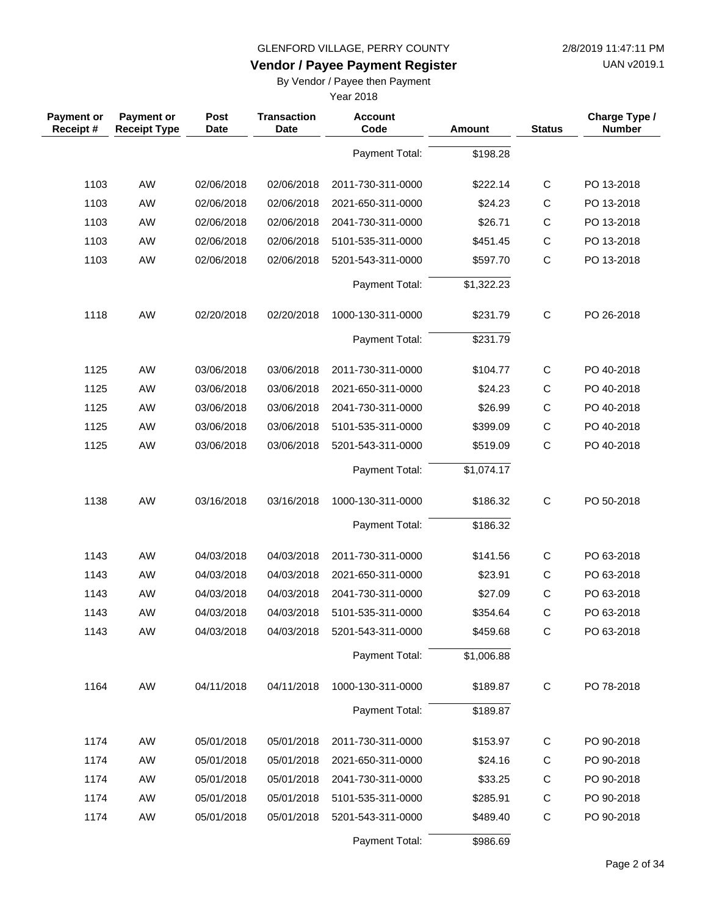**Vendor / Payee Payment Register**

UAN v2019.1

### By Vendor / Payee then Payment

| <b>Payment or</b><br>Receipt# | <b>Payment or</b><br><b>Receipt Type</b> | Post<br><b>Date</b> | <b>Transaction</b><br><b>Date</b> | <b>Account</b><br>Code | <b>Amount</b> | <b>Status</b> | Charge Type /<br><b>Number</b> |
|-------------------------------|------------------------------------------|---------------------|-----------------------------------|------------------------|---------------|---------------|--------------------------------|
|                               |                                          |                     |                                   | Payment Total:         | \$198.28      |               |                                |
| 1103                          | AW                                       | 02/06/2018          | 02/06/2018                        | 2011-730-311-0000      | \$222.14      | $\mathsf C$   | PO 13-2018                     |
| 1103                          | AW                                       | 02/06/2018          | 02/06/2018                        | 2021-650-311-0000      | \$24.23       | C             | PO 13-2018                     |
| 1103                          | AW                                       | 02/06/2018          | 02/06/2018                        | 2041-730-311-0000      | \$26.71       | $\mathsf C$   | PO 13-2018                     |
| 1103                          | AW                                       | 02/06/2018          | 02/06/2018                        | 5101-535-311-0000      | \$451.45      | $\mathsf{C}$  | PO 13-2018                     |
| 1103                          | AW                                       | 02/06/2018          | 02/06/2018                        | 5201-543-311-0000      | \$597.70      | $\mathsf{C}$  | PO 13-2018                     |
|                               |                                          |                     |                                   | Payment Total:         | \$1,322.23    |               |                                |
| 1118                          | AW                                       | 02/20/2018          | 02/20/2018                        | 1000-130-311-0000      | \$231.79      | $\mathsf C$   | PO 26-2018                     |
|                               |                                          |                     |                                   | Payment Total:         | \$231.79      |               |                                |
| 1125                          | AW                                       | 03/06/2018          | 03/06/2018                        | 2011-730-311-0000      | \$104.77      | C             | PO 40-2018                     |
| 1125                          | AW                                       | 03/06/2018          | 03/06/2018                        | 2021-650-311-0000      | \$24.23       | C             | PO 40-2018                     |
| 1125                          | AW                                       | 03/06/2018          | 03/06/2018                        | 2041-730-311-0000      | \$26.99       | $\mathsf{C}$  | PO 40-2018                     |
| 1125                          | AW                                       | 03/06/2018          | 03/06/2018                        | 5101-535-311-0000      | \$399.09      | $\mathsf C$   | PO 40-2018                     |
| 1125                          | AW                                       | 03/06/2018          | 03/06/2018                        | 5201-543-311-0000      | \$519.09      | $\mathsf{C}$  | PO 40-2018                     |
|                               |                                          |                     |                                   | Payment Total:         | \$1,074.17    |               |                                |
| 1138                          | AW                                       | 03/16/2018          | 03/16/2018                        | 1000-130-311-0000      | \$186.32      | $\mathbf C$   | PO 50-2018                     |
|                               |                                          |                     |                                   | Payment Total:         | \$186.32      |               |                                |
| 1143                          | AW                                       | 04/03/2018          | 04/03/2018                        | 2011-730-311-0000      | \$141.56      | $\mathsf C$   | PO 63-2018                     |
| 1143                          | AW                                       | 04/03/2018          | 04/03/2018                        | 2021-650-311-0000      | \$23.91       | C             | PO 63-2018                     |
| 1143                          | AW                                       | 04/03/2018          | 04/03/2018                        | 2041-730-311-0000      | \$27.09       | $\mathsf C$   | PO 63-2018                     |
| 1143                          | AW                                       | 04/03/2018          | 04/03/2018                        | 5101-535-311-0000      | \$354.64      | $\mathsf{C}$  | PO 63-2018                     |
| 1143                          | AW                                       | 04/03/2018          | 04/03/2018                        | 5201-543-311-0000      | \$459.68      | C             | PO 63-2018                     |
|                               |                                          |                     |                                   | Payment Total:         | \$1,006.88    |               |                                |
| 1164                          | AW                                       | 04/11/2018          | 04/11/2018                        | 1000-130-311-0000      | \$189.87      | C             | PO 78-2018                     |
|                               |                                          |                     |                                   | Payment Total:         | \$189.87      |               |                                |
| 1174                          | AW                                       | 05/01/2018          | 05/01/2018                        | 2011-730-311-0000      | \$153.97      | C             | PO 90-2018                     |
| 1174                          | AW                                       | 05/01/2018          | 05/01/2018                        | 2021-650-311-0000      | \$24.16       | C             | PO 90-2018                     |
| 1174                          | AW                                       | 05/01/2018          | 05/01/2018                        | 2041-730-311-0000      | \$33.25       | C             | PO 90-2018                     |
| 1174                          | AW                                       | 05/01/2018          | 05/01/2018                        | 5101-535-311-0000      | \$285.91      | C             | PO 90-2018                     |
| 1174                          | AW                                       | 05/01/2018          | 05/01/2018                        | 5201-543-311-0000      | \$489.40      | C             | PO 90-2018                     |
|                               |                                          |                     |                                   | Payment Total:         | \$986.69      |               |                                |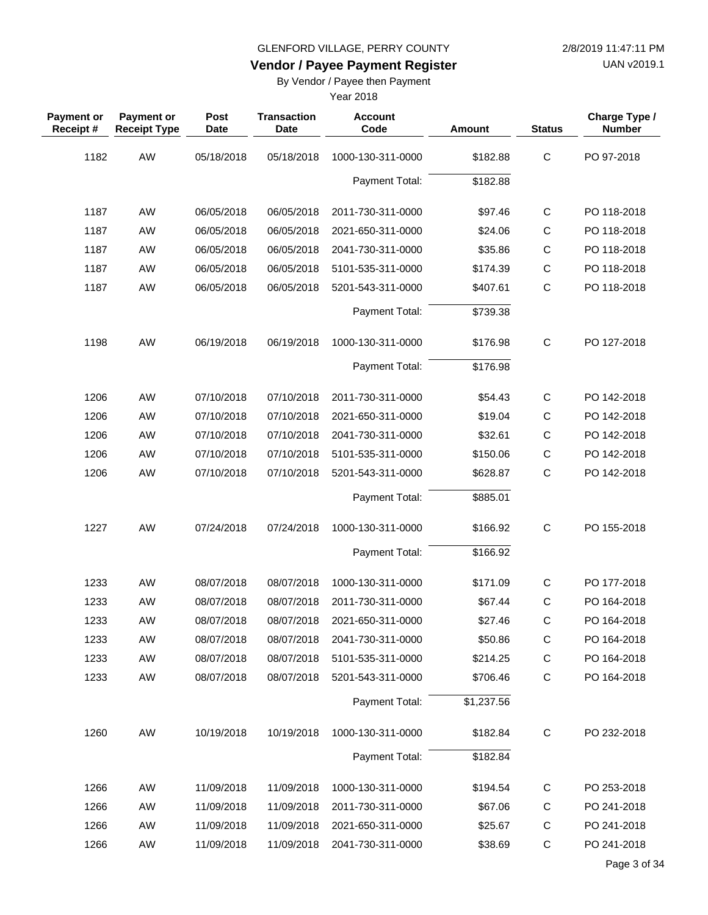**Vendor / Payee Payment Register**

UAN v2019.1

### By Vendor / Payee then Payment

| <b>Payment or</b><br>Receipt# | <b>Payment or</b><br><b>Receipt Type</b> | Post<br>Date | <b>Transaction</b><br><b>Date</b> | <b>Account</b><br>Code | Amount     | <b>Status</b> | Charge Type /<br><b>Number</b> |
|-------------------------------|------------------------------------------|--------------|-----------------------------------|------------------------|------------|---------------|--------------------------------|
| 1182                          | AW                                       | 05/18/2018   | 05/18/2018                        | 1000-130-311-0000      | \$182.88   | $\mathsf C$   | PO 97-2018                     |
|                               |                                          |              |                                   | Payment Total:         | \$182.88   |               |                                |
| 1187                          | AW                                       | 06/05/2018   | 06/05/2018                        | 2011-730-311-0000      | \$97.46    | $\mathsf{C}$  | PO 118-2018                    |
| 1187                          | AW                                       | 06/05/2018   | 06/05/2018                        | 2021-650-311-0000      | \$24.06    | C             | PO 118-2018                    |
| 1187                          | AW                                       | 06/05/2018   | 06/05/2018                        | 2041-730-311-0000      | \$35.86    | C             | PO 118-2018                    |
| 1187                          | AW                                       | 06/05/2018   | 06/05/2018                        | 5101-535-311-0000      | \$174.39   | $\mathsf C$   | PO 118-2018                    |
| 1187                          | AW                                       | 06/05/2018   | 06/05/2018                        | 5201-543-311-0000      | \$407.61   | C             | PO 118-2018                    |
|                               |                                          |              |                                   | Payment Total:         | \$739.38   |               |                                |
| 1198                          | AW                                       | 06/19/2018   | 06/19/2018                        | 1000-130-311-0000      | \$176.98   | $\mathsf{C}$  | PO 127-2018                    |
|                               |                                          |              |                                   | Payment Total:         | \$176.98   |               |                                |
| 1206                          | AW                                       | 07/10/2018   | 07/10/2018                        | 2011-730-311-0000      | \$54.43    | $\mathsf{C}$  | PO 142-2018                    |
| 1206                          | AW                                       | 07/10/2018   | 07/10/2018                        | 2021-650-311-0000      | \$19.04    | C             | PO 142-2018                    |
| 1206                          | AW                                       | 07/10/2018   | 07/10/2018                        | 2041-730-311-0000      | \$32.61    | $\mathsf C$   | PO 142-2018                    |
| 1206                          | AW                                       | 07/10/2018   | 07/10/2018                        | 5101-535-311-0000      | \$150.06   | C             | PO 142-2018                    |
| 1206                          | AW                                       | 07/10/2018   | 07/10/2018                        | 5201-543-311-0000      | \$628.87   | C             | PO 142-2018                    |
|                               |                                          |              |                                   | Payment Total:         | \$885.01   |               |                                |
| 1227                          | AW                                       | 07/24/2018   | 07/24/2018                        | 1000-130-311-0000      | \$166.92   | $\mathsf C$   | PO 155-2018                    |
|                               |                                          |              |                                   | Payment Total:         | \$166.92   |               |                                |
| 1233                          | AW                                       | 08/07/2018   | 08/07/2018                        | 1000-130-311-0000      | \$171.09   | $\mathsf{C}$  | PO 177-2018                    |
| 1233                          | AW                                       | 08/07/2018   | 08/07/2018                        | 2011-730-311-0000      | \$67.44    | С             | PO 164-2018                    |
| 1233                          | AW                                       | 08/07/2018   | 08/07/2018                        | 2021-650-311-0000      | \$27.46    | $\mathsf C$   | PO 164-2018                    |
| 1233                          | AW                                       | 08/07/2018   | 08/07/2018                        | 2041-730-311-0000      | \$50.86    | C             | PO 164-2018                    |
| 1233                          | AW                                       | 08/07/2018   | 08/07/2018                        | 5101-535-311-0000      | \$214.25   | C             | PO 164-2018                    |
| 1233                          | AW                                       | 08/07/2018   | 08/07/2018                        | 5201-543-311-0000      | \$706.46   | $\mathsf C$   | PO 164-2018                    |
|                               |                                          |              |                                   | Payment Total:         | \$1,237.56 |               |                                |
| 1260                          | AW                                       | 10/19/2018   | 10/19/2018                        | 1000-130-311-0000      | \$182.84   | $\mathbf C$   | PO 232-2018                    |
|                               |                                          |              |                                   | Payment Total:         | \$182.84   |               |                                |
| 1266                          | AW                                       | 11/09/2018   | 11/09/2018                        | 1000-130-311-0000      | \$194.54   | C             | PO 253-2018                    |
| 1266                          | AW                                       | 11/09/2018   | 11/09/2018                        | 2011-730-311-0000      | \$67.06    | С             | PO 241-2018                    |
| 1266                          | AW                                       | 11/09/2018   | 11/09/2018                        | 2021-650-311-0000      | \$25.67    | $\mathsf C$   | PO 241-2018                    |
| 1266                          | AW                                       | 11/09/2018   | 11/09/2018                        | 2041-730-311-0000      | \$38.69    | $\mathbf C$   | PO 241-2018                    |
|                               |                                          |              |                                   |                        |            |               | Page 3 of 34                   |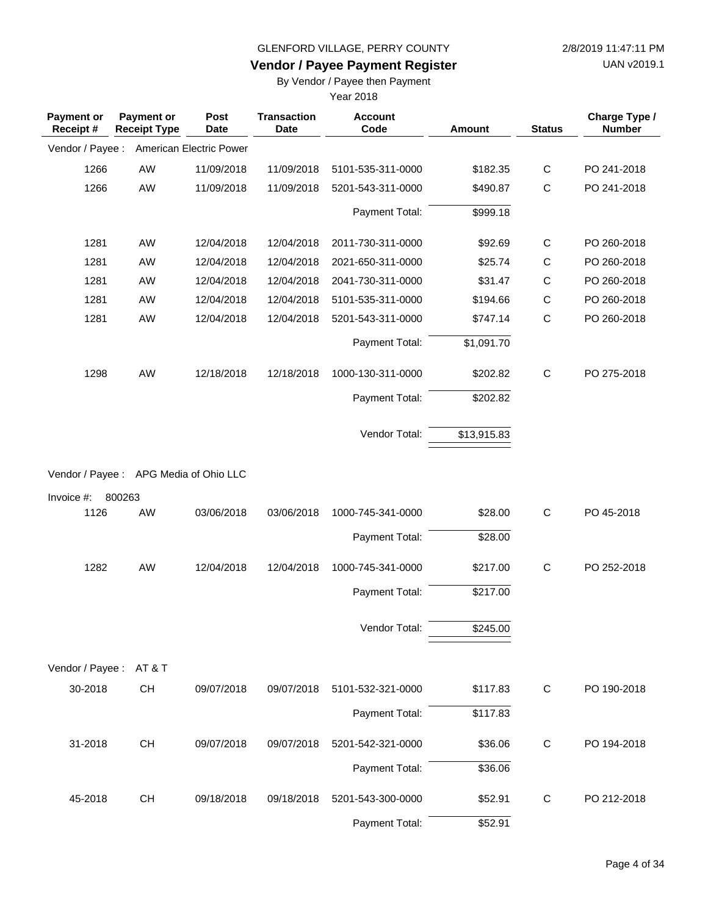**Vendor / Payee Payment Register**

UAN v2019.1

### By Vendor / Payee then Payment

| <b>Payment or</b><br>Receipt # | <b>Payment or</b><br><b>Receipt Type</b> | Post<br><b>Date</b>     | <b>Transaction</b><br><b>Date</b> | <b>Account</b><br>Code | Amount      | <b>Status</b> | Charge Type /<br><b>Number</b> |
|--------------------------------|------------------------------------------|-------------------------|-----------------------------------|------------------------|-------------|---------------|--------------------------------|
| Vendor / Payee :               |                                          | American Electric Power |                                   |                        |             |               |                                |
| 1266                           | AW                                       | 11/09/2018              | 11/09/2018                        | 5101-535-311-0000      | \$182.35    | $\mathsf{C}$  | PO 241-2018                    |
| 1266                           | AW                                       | 11/09/2018              | 11/09/2018                        | 5201-543-311-0000      | \$490.87    | $\mathsf{C}$  | PO 241-2018                    |
|                                |                                          |                         |                                   | Payment Total:         | \$999.18    |               |                                |
| 1281                           | AW                                       | 12/04/2018              | 12/04/2018                        | 2011-730-311-0000      | \$92.69     | $\mathsf{C}$  | PO 260-2018                    |
| 1281                           | AW                                       | 12/04/2018              | 12/04/2018                        | 2021-650-311-0000      | \$25.74     | C             | PO 260-2018                    |
| 1281                           | AW                                       | 12/04/2018              | 12/04/2018                        | 2041-730-311-0000      | \$31.47     | $\mathsf C$   | PO 260-2018                    |
| 1281                           | AW                                       | 12/04/2018              | 12/04/2018                        | 5101-535-311-0000      | \$194.66    | C             | PO 260-2018                    |
| 1281                           | AW                                       | 12/04/2018              | 12/04/2018                        | 5201-543-311-0000      | \$747.14    | $\mathsf C$   | PO 260-2018                    |
|                                |                                          |                         |                                   | Payment Total:         | \$1,091.70  |               |                                |
| 1298                           | AW                                       | 12/18/2018              | 12/18/2018                        | 1000-130-311-0000      | \$202.82    | $\mathsf{C}$  | PO 275-2018                    |
|                                |                                          |                         |                                   | Payment Total:         | \$202.82    |               |                                |
|                                |                                          |                         |                                   | Vendor Total:          | \$13,915.83 |               |                                |
|                                | Vendor / Payee: APG Media of Ohio LLC    |                         |                                   |                        |             |               |                                |
| Invoice #:                     | 800263                                   |                         |                                   |                        |             |               |                                |
| 1126                           | AW                                       | 03/06/2018              | 03/06/2018                        | 1000-745-341-0000      | \$28.00     | $\mathsf{C}$  | PO 45-2018                     |
|                                |                                          |                         |                                   | Payment Total:         | \$28.00     |               |                                |
| 1282                           | AW                                       | 12/04/2018              | 12/04/2018                        | 1000-745-341-0000      | \$217.00    | $\mathsf{C}$  | PO 252-2018                    |
|                                |                                          |                         |                                   | Payment Total:         | \$217.00    |               |                                |
|                                |                                          |                         |                                   | Vendor Total:          | \$245.00    |               |                                |
| Vendor / Payee: AT&T           |                                          |                         |                                   |                        |             |               |                                |
| 30-2018                        | CH                                       | 09/07/2018              | 09/07/2018                        | 5101-532-321-0000      | \$117.83    | $\mathsf{C}$  | PO 190-2018                    |
|                                |                                          |                         |                                   | Payment Total:         | \$117.83    |               |                                |
| 31-2018                        | CH                                       | 09/07/2018              | 09/07/2018                        | 5201-542-321-0000      | \$36.06     | $\mathsf{C}$  | PO 194-2018                    |
|                                |                                          |                         |                                   | Payment Total:         | \$36.06     |               |                                |
| 45-2018                        | CH                                       | 09/18/2018              | 09/18/2018                        | 5201-543-300-0000      | \$52.91     | C             | PO 212-2018                    |
|                                |                                          |                         |                                   | Payment Total:         | \$52.91     |               |                                |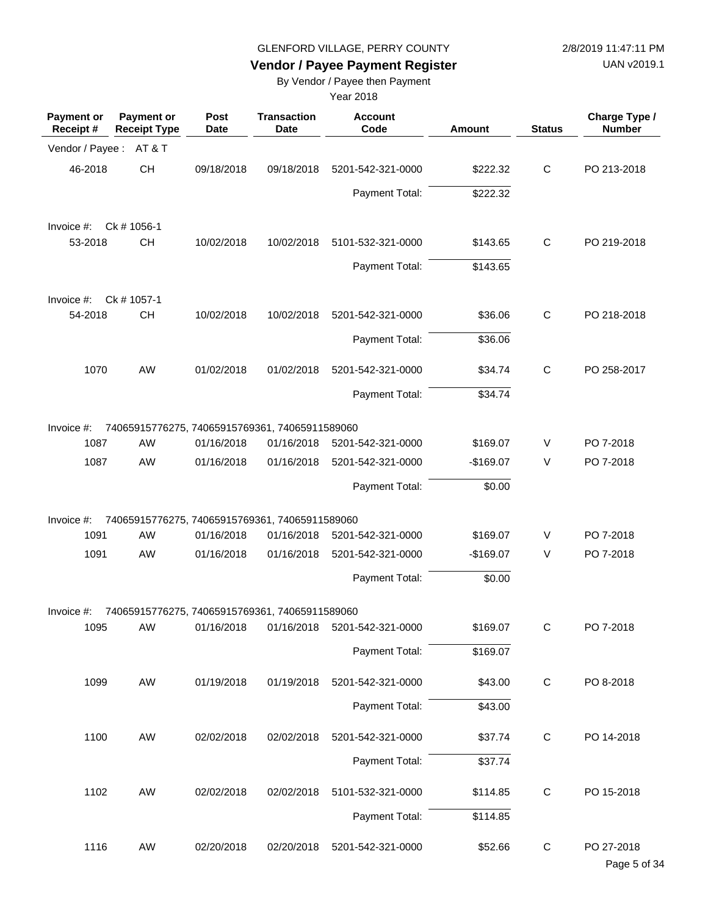UAN v2019.1

## **Vendor / Payee Payment Register**

By Vendor / Payee then Payment

| <b>Payment or</b><br>Receipt # | <b>Payment or</b><br><b>Receipt Type</b>       | <b>Post</b><br>Date | <b>Transaction</b><br><b>Date</b> | <b>Account</b><br>Code                      | Amount     | <b>Status</b> | Charge Type /<br><b>Number</b> |
|--------------------------------|------------------------------------------------|---------------------|-----------------------------------|---------------------------------------------|------------|---------------|--------------------------------|
| Vendor / Payee :               | AT&T                                           |                     |                                   |                                             |            |               |                                |
| 46-2018                        | <b>CH</b>                                      | 09/18/2018          | 09/18/2018                        | 5201-542-321-0000                           | \$222.32   | $\mathsf{C}$  | PO 213-2018                    |
|                                |                                                |                     |                                   | Payment Total:                              | \$222.32   |               |                                |
| Invoice #:                     | Ck # 1056-1                                    |                     |                                   |                                             |            |               |                                |
| 53-2018                        | <b>CH</b>                                      | 10/02/2018          | 10/02/2018                        | 5101-532-321-0000                           | \$143.65   | C             | PO 219-2018                    |
|                                |                                                |                     |                                   | Payment Total:                              | \$143.65   |               |                                |
| Invoice #:                     | Ck # 1057-1                                    |                     |                                   |                                             |            |               |                                |
| 54-2018                        | <b>CH</b>                                      | 10/02/2018          | 10/02/2018                        | 5201-542-321-0000                           | \$36.06    | $\mathsf C$   | PO 218-2018                    |
|                                |                                                |                     |                                   | Payment Total:                              | \$36.06    |               |                                |
| 1070                           | AW                                             | 01/02/2018          | 01/02/2018                        | 5201-542-321-0000                           | \$34.74    | $\mathsf{C}$  | PO 258-2017                    |
|                                |                                                |                     |                                   | Payment Total:                              | \$34.74    |               |                                |
| Invoice #:                     | 74065915776275, 74065915769361, 74065911589060 |                     |                                   |                                             |            |               |                                |
| 1087                           | AW                                             | 01/16/2018          | 01/16/2018                        | 5201-542-321-0000                           | \$169.07   | V             | PO 7-2018                      |
| 1087                           | AW                                             | 01/16/2018          | 01/16/2018                        | 5201-542-321-0000                           | $-$169.07$ | V             | PO 7-2018                      |
|                                |                                                |                     |                                   | Payment Total:                              | \$0.00     |               |                                |
| Invoice $#$ :                  | 74065915776275, 74065915769361, 74065911589060 |                     |                                   |                                             |            |               |                                |
| 1091                           | <b>AW</b>                                      | 01/16/2018          | 01/16/2018                        | 5201-542-321-0000                           | \$169.07   | V             | PO 7-2018                      |
| 1091                           | AW                                             | 01/16/2018          | 01/16/2018                        | 5201-542-321-0000                           | $-$169.07$ | $\vee$        | PO 7-2018                      |
|                                |                                                |                     |                                   | Payment Total:                              | \$0.00     |               |                                |
| Invoice $#$ :                  | 74065915776275, 74065915769361, 74065911589060 |                     |                                   |                                             |            |               |                                |
| 1095                           | AW                                             |                     |                                   | 01/16/2018   01/16/2018   5201-542-321-0000 | \$169.07   | С             | PO 7-2018                      |
|                                |                                                |                     |                                   | Payment Total:                              | \$169.07   |               |                                |
| 1099                           | AW                                             | 01/19/2018          | 01/19/2018                        | 5201-542-321-0000                           | \$43.00    | $\mathbf C$   | PO 8-2018                      |
|                                |                                                |                     |                                   | Payment Total:                              | \$43.00    |               |                                |
| 1100                           | AW                                             | 02/02/2018          | 02/02/2018                        | 5201-542-321-0000                           | \$37.74    | $\mathbf C$   | PO 14-2018                     |
|                                |                                                |                     |                                   | Payment Total:                              | \$37.74    |               |                                |
| 1102                           | AW                                             | 02/02/2018          | 02/02/2018                        | 5101-532-321-0000                           | \$114.85   | C             | PO 15-2018                     |
|                                |                                                |                     |                                   | Payment Total:                              | \$114.85   |               |                                |
| 1116                           | AW                                             | 02/20/2018          | 02/20/2018                        | 5201-542-321-0000                           | \$52.66    | $\mathbf C$   | PO 27-2018<br>Page 5 of 34     |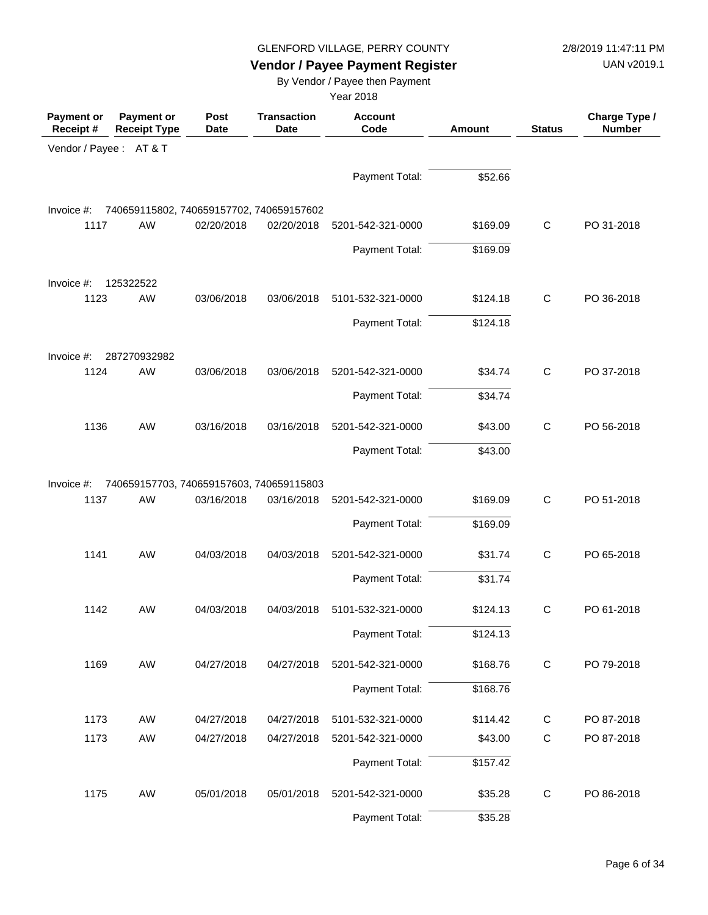UAN v2019.1

# **Vendor / Payee Payment Register**

By Vendor / Payee then Payment

| Payment or<br>Receipt# | <b>Payment or</b><br><b>Receipt Type</b> | Post<br><b>Date</b> | <b>Transaction</b><br>Date | <b>Account</b><br>Code | <b>Amount</b> | <b>Status</b> | Charge Type /<br><b>Number</b> |
|------------------------|------------------------------------------|---------------------|----------------------------|------------------------|---------------|---------------|--------------------------------|
| Vendor / Payee: AT & T |                                          |                     |                            |                        |               |               |                                |
|                        |                                          |                     |                            | Payment Total:         | \$52.66       |               |                                |
| Invoice #:             | 740659115802, 740659157702, 740659157602 |                     |                            |                        |               |               |                                |
| 1117                   | AW                                       | 02/20/2018          | 02/20/2018                 | 5201-542-321-0000      | \$169.09      | $\mathbf C$   | PO 31-2018                     |
|                        |                                          |                     |                            | Payment Total:         | \$169.09      |               |                                |
| Invoice #:             | 125322522                                |                     |                            |                        |               |               |                                |
| 1123                   | AW                                       | 03/06/2018          | 03/06/2018                 | 5101-532-321-0000      | \$124.18      | $\mathbf C$   | PO 36-2018                     |
|                        |                                          |                     |                            | Payment Total:         | \$124.18      |               |                                |
| Invoice #:             | 287270932982                             |                     |                            |                        |               |               |                                |
| 1124                   | AW                                       | 03/06/2018          | 03/06/2018                 | 5201-542-321-0000      | \$34.74       | $\mathbf C$   | PO 37-2018                     |
|                        |                                          |                     |                            | Payment Total:         | \$34.74       |               |                                |
| 1136                   | AW                                       | 03/16/2018          | 03/16/2018                 | 5201-542-321-0000      | \$43.00       | $\mathsf{C}$  | PO 56-2018                     |
|                        |                                          |                     |                            | Payment Total:         | \$43.00       |               |                                |
| Invoice #:             | 740659157703, 740659157603, 740659115803 |                     |                            |                        |               |               |                                |
| 1137                   | AW                                       | 03/16/2018          | 03/16/2018                 | 5201-542-321-0000      | \$169.09      | $\mathbf C$   | PO 51-2018                     |
|                        |                                          |                     |                            | Payment Total:         | \$169.09      |               |                                |
| 1141                   | AW                                       | 04/03/2018          | 04/03/2018                 | 5201-542-321-0000      | \$31.74       | $\mathbf C$   | PO 65-2018                     |
|                        |                                          |                     |                            | Payment Total:         | \$31.74       |               |                                |
| 1142                   | AW                                       | 04/03/2018          | 04/03/2018                 | 5101-532-321-0000      | \$124.13      | C             | PO 61-2018                     |
|                        |                                          |                     |                            | Payment Total:         | \$124.13      |               |                                |
| 1169                   | AW                                       | 04/27/2018          | 04/27/2018                 | 5201-542-321-0000      | \$168.76      | $\mathbf C$   | PO 79-2018                     |
|                        |                                          |                     |                            | Payment Total:         | \$168.76      |               |                                |
| 1173                   | AW                                       | 04/27/2018          | 04/27/2018                 | 5101-532-321-0000      | \$114.42      | C             | PO 87-2018                     |
| 1173                   | AW                                       | 04/27/2018          | 04/27/2018                 | 5201-542-321-0000      | \$43.00       | $\mathbf C$   | PO 87-2018                     |
|                        |                                          |                     |                            | Payment Total:         | \$157.42      |               |                                |
| 1175                   | AW                                       | 05/01/2018          | 05/01/2018                 | 5201-542-321-0000      | \$35.28       | C             | PO 86-2018                     |
|                        |                                          |                     |                            | Payment Total:         | \$35.28       |               |                                |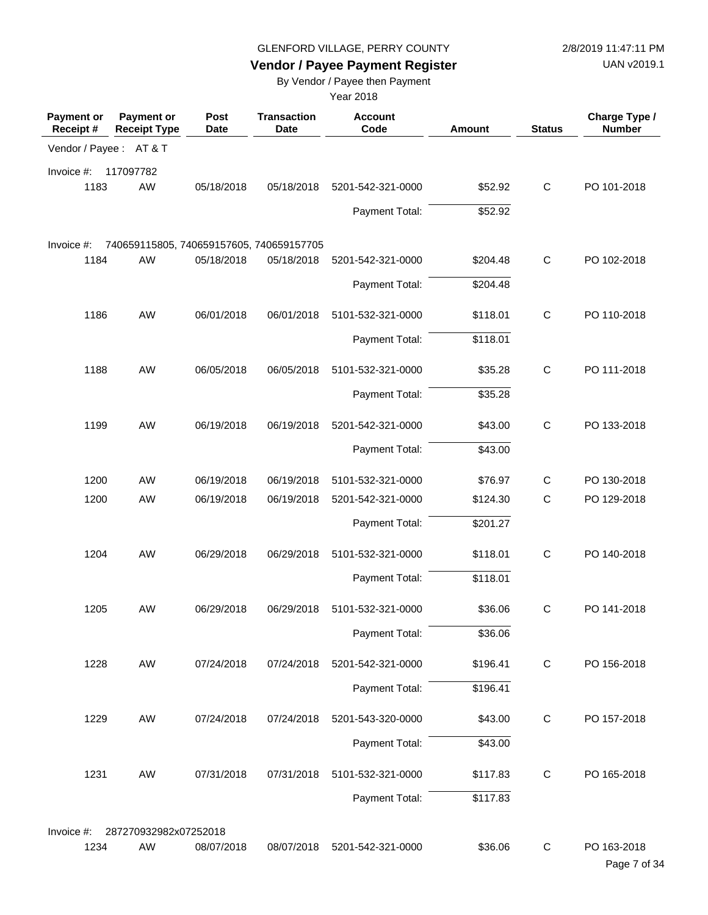UAN v2019.1

## **Vendor / Payee Payment Register**

By Vendor / Payee then Payment

| <b>Payment or</b><br>Receipt# | <b>Payment or</b><br><b>Receipt Type</b> | Post<br><b>Date</b> | <b>Transaction</b><br><b>Date</b> | <b>Account</b><br>Code | <b>Amount</b> | <b>Status</b> | Charge Type /<br><b>Number</b> |
|-------------------------------|------------------------------------------|---------------------|-----------------------------------|------------------------|---------------|---------------|--------------------------------|
| Vendor / Payee: AT&T          |                                          |                     |                                   |                        |               |               |                                |
| Invoice #:                    | 117097782                                |                     |                                   |                        |               |               |                                |
| 1183                          | AW                                       | 05/18/2018          | 05/18/2018                        | 5201-542-321-0000      | \$52.92       | $\mathsf{C}$  | PO 101-2018                    |
|                               |                                          |                     |                                   | Payment Total:         | \$52.92       |               |                                |
| Invoice #:                    | 740659115805, 740659157605, 740659157705 |                     |                                   |                        |               |               |                                |
| 1184                          | AW                                       | 05/18/2018          | 05/18/2018                        | 5201-542-321-0000      | \$204.48      | $\mathsf{C}$  | PO 102-2018                    |
|                               |                                          |                     |                                   | Payment Total:         | \$204.48      |               |                                |
|                               |                                          |                     |                                   |                        |               |               |                                |
| 1186                          | AW                                       | 06/01/2018          | 06/01/2018                        | 5101-532-321-0000      | \$118.01      | $\mathsf{C}$  | PO 110-2018                    |
|                               |                                          |                     |                                   | Payment Total:         | \$118.01      |               |                                |
| 1188                          | AW                                       | 06/05/2018          | 06/05/2018                        | 5101-532-321-0000      | \$35.28       | $\mathsf{C}$  | PO 111-2018                    |
|                               |                                          |                     |                                   | Payment Total:         | \$35.28       |               |                                |
|                               |                                          |                     |                                   |                        |               |               |                                |
| 1199                          | AW                                       | 06/19/2018          | 06/19/2018                        | 5201-542-321-0000      | \$43.00       | $\mathsf{C}$  | PO 133-2018                    |
|                               |                                          |                     |                                   | Payment Total:         | \$43.00       |               |                                |
| 1200                          | <b>AW</b>                                | 06/19/2018          | 06/19/2018                        | 5101-532-321-0000      | \$76.97       | C             | PO 130-2018                    |
| 1200                          | <b>AW</b>                                | 06/19/2018          | 06/19/2018                        | 5201-542-321-0000      | \$124.30      | $\mathsf{C}$  | PO 129-2018                    |
|                               |                                          |                     |                                   | Payment Total:         | \$201.27      |               |                                |
| 1204                          | AW                                       | 06/29/2018          | 06/29/2018                        | 5101-532-321-0000      | \$118.01      | $\mathsf{C}$  | PO 140-2018                    |
|                               |                                          |                     |                                   | Payment Total:         | \$118.01      |               |                                |
| 1205                          | AW                                       | 06/29/2018          | 06/29/2018                        | 5101-532-321-0000      | \$36.06       | C             | PO 141-2018                    |
|                               |                                          |                     |                                   | Payment Total:         | \$36.06       |               |                                |
| 1228                          | AW                                       | 07/24/2018          | 07/24/2018                        | 5201-542-321-0000      | \$196.41      | $\mathbf C$   | PO 156-2018                    |
|                               |                                          |                     |                                   |                        |               |               |                                |
|                               |                                          |                     |                                   | Payment Total:         | \$196.41      |               |                                |
| 1229                          | AW                                       | 07/24/2018          | 07/24/2018                        | 5201-543-320-0000      | \$43.00       | $\mathsf{C}$  | PO 157-2018                    |
|                               |                                          |                     |                                   | Payment Total:         | \$43.00       |               |                                |
| 1231                          | AW                                       | 07/31/2018          | 07/31/2018                        | 5101-532-321-0000      | \$117.83      | C             | PO 165-2018                    |
|                               |                                          |                     |                                   | Payment Total:         | \$117.83      |               |                                |
|                               |                                          |                     |                                   |                        |               |               |                                |
| Invoice #:<br>1234            | 287270932982x07252018<br>AW              | 08/07/2018          | 08/07/2018                        | 5201-542-321-0000      | \$36.06       | C             | PO 163-2018                    |
|                               |                                          |                     |                                   |                        |               |               | Page 7 of 34                   |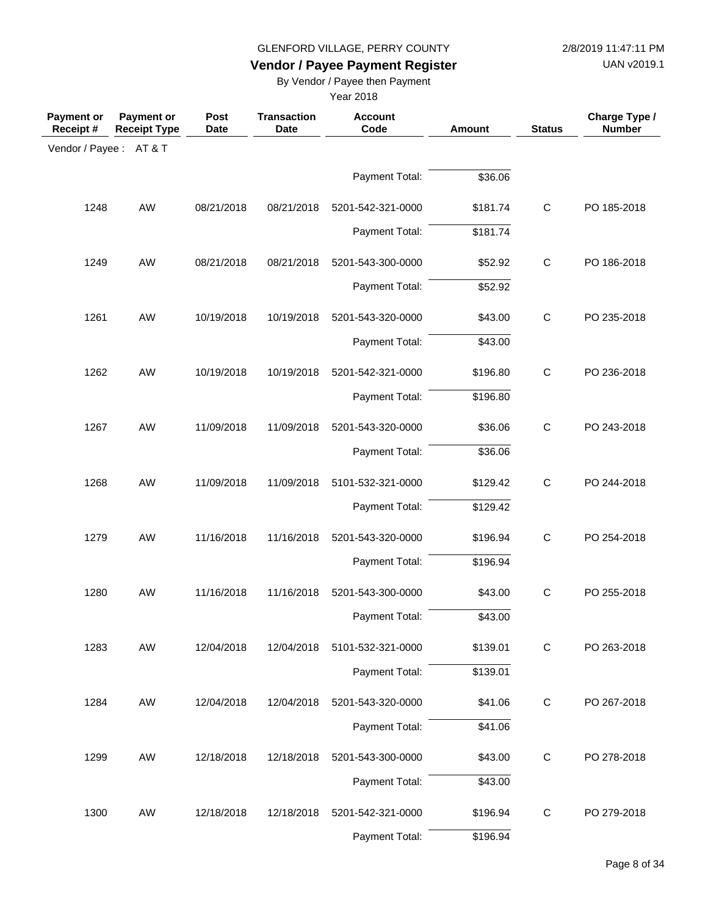UAN v2019.1

## **Vendor / Payee Payment Register**

By Vendor / Payee then Payment

| <b>Payment or</b><br>Receipt # | <b>Payment or</b><br><b>Receipt Type</b> | Post<br><b>Date</b> | <b>Transaction</b><br><b>Date</b> | <b>Account</b><br>Code | <b>Amount</b> | <b>Status</b> | Charge Type /<br><b>Number</b> |
|--------------------------------|------------------------------------------|---------------------|-----------------------------------|------------------------|---------------|---------------|--------------------------------|
| Vendor / Payee: AT&T           |                                          |                     |                                   |                        |               |               |                                |
|                                |                                          |                     |                                   | Payment Total:         | \$36.06       |               |                                |
| 1248                           | AW                                       | 08/21/2018          | 08/21/2018                        | 5201-542-321-0000      | \$181.74      | $\mathbf C$   | PO 185-2018                    |
|                                |                                          |                     |                                   | Payment Total:         | \$181.74      |               |                                |
| 1249                           | AW                                       | 08/21/2018          | 08/21/2018                        | 5201-543-300-0000      | \$52.92       | $\mathbf C$   | PO 186-2018                    |
|                                |                                          |                     |                                   | Payment Total:         | \$52.92       |               |                                |
| 1261                           | AW                                       | 10/19/2018          | 10/19/2018                        | 5201-543-320-0000      | \$43.00       | $\mathsf C$   | PO 235-2018                    |
|                                |                                          |                     |                                   | Payment Total:         | \$43.00       |               |                                |
| 1262                           | AW                                       | 10/19/2018          | 10/19/2018                        | 5201-542-321-0000      | \$196.80      | $\mathsf{C}$  | PO 236-2018                    |
|                                |                                          |                     |                                   | Payment Total:         | \$196.80      |               |                                |
| 1267                           | AW                                       | 11/09/2018          | 11/09/2018                        | 5201-543-320-0000      | \$36.06       | $\mathbf C$   | PO 243-2018                    |
|                                |                                          |                     |                                   | Payment Total:         | \$36.06       |               |                                |
| 1268                           | AW                                       | 11/09/2018          | 11/09/2018                        | 5101-532-321-0000      | \$129.42      | $\mathbf C$   | PO 244-2018                    |
|                                |                                          |                     |                                   | Payment Total:         | \$129.42      |               |                                |
| 1279                           | AW                                       | 11/16/2018          | 11/16/2018                        | 5201-543-320-0000      | \$196.94      | $\mathsf C$   | PO 254-2018                    |
|                                |                                          |                     |                                   | Payment Total:         | \$196.94      |               |                                |
| 1280                           | AW                                       | 11/16/2018          | 11/16/2018                        | 5201-543-300-0000      | \$43.00       | $\mathsf C$   | PO 255-2018                    |
|                                |                                          |                     |                                   | Payment Total:         | \$43.00       |               |                                |
| 1283                           | AW                                       | 12/04/2018          | 12/04/2018                        | 5101-532-321-0000      | \$139.01      | $\mathbf C$   | PO 263-2018                    |
|                                |                                          |                     |                                   | Payment Total:         | \$139.01      |               |                                |
| 1284                           | AW                                       | 12/04/2018          | 12/04/2018                        | 5201-543-320-0000      | \$41.06       | $\mathsf C$   | PO 267-2018                    |
|                                |                                          |                     |                                   | Payment Total:         | \$41.06       |               |                                |
| 1299                           | AW                                       | 12/18/2018          | 12/18/2018                        | 5201-543-300-0000      | \$43.00       | $\mathbf C$   | PO 278-2018                    |
|                                |                                          |                     |                                   | Payment Total:         | \$43.00       |               |                                |
| 1300                           | AW                                       | 12/18/2018          | 12/18/2018                        | 5201-542-321-0000      | \$196.94      | C             | PO 279-2018                    |
|                                |                                          |                     |                                   | Payment Total:         | \$196.94      |               |                                |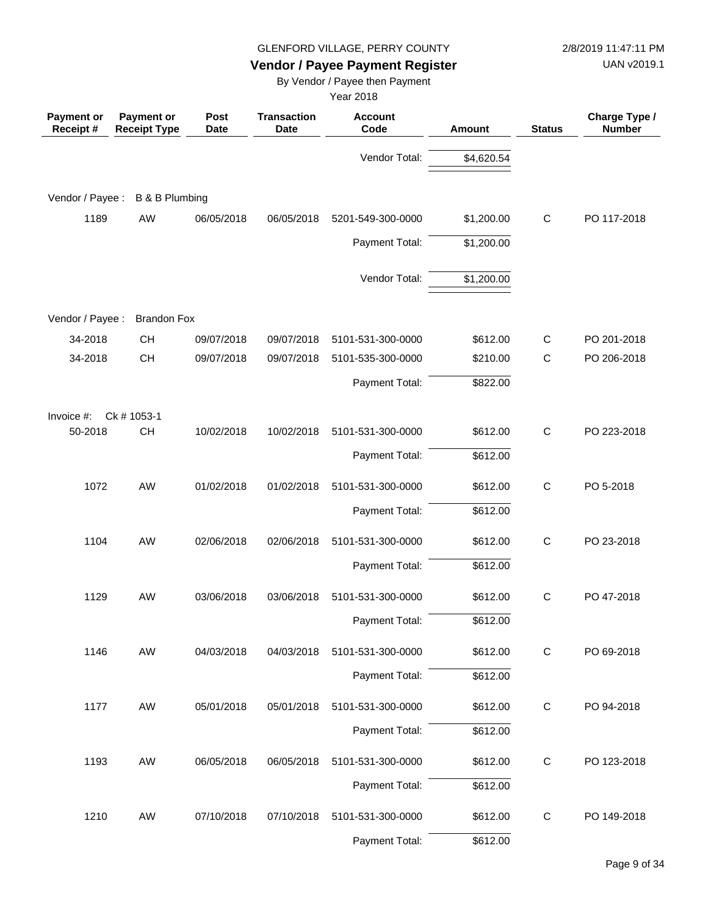UAN v2019.1

## **Vendor / Payee Payment Register**

By Vendor / Payee then Payment

| Payment or<br>Receipt# | <b>Payment or</b><br><b>Receipt Type</b> | Post<br><b>Date</b> | <b>Transaction</b><br><b>Date</b> | <b>Account</b><br>Code | <b>Amount</b> | <b>Status</b> | Charge Type /<br><b>Number</b> |
|------------------------|------------------------------------------|---------------------|-----------------------------------|------------------------|---------------|---------------|--------------------------------|
|                        |                                          |                     |                                   | Vendor Total:          | \$4,620.54    |               |                                |
| Vendor / Payee :       | <b>B &amp; B Plumbing</b>                |                     |                                   |                        |               |               |                                |
| 1189                   | AW                                       | 06/05/2018          | 06/05/2018                        | 5201-549-300-0000      | \$1,200.00    | $\mathbf C$   | PO 117-2018                    |
|                        |                                          |                     |                                   | Payment Total:         | \$1,200.00    |               |                                |
|                        |                                          |                     |                                   | Vendor Total:          | \$1,200.00    |               |                                |
| Vendor / Payee :       | <b>Brandon Fox</b>                       |                     |                                   |                        |               |               |                                |
| 34-2018                | <b>CH</b>                                | 09/07/2018          | 09/07/2018                        | 5101-531-300-0000      | \$612.00      | C             | PO 201-2018                    |
| 34-2018                | <b>CH</b>                                | 09/07/2018          | 09/07/2018                        | 5101-535-300-0000      | \$210.00      | $\mathsf{C}$  | PO 206-2018                    |
|                        |                                          |                     |                                   | Payment Total:         | \$822.00      |               |                                |
| Invoice #:             | Ck # 1053-1                              |                     |                                   |                        |               |               |                                |
| 50-2018                | CH                                       | 10/02/2018          | 10/02/2018                        | 5101-531-300-0000      | \$612.00      | $\mathbf C$   | PO 223-2018                    |
|                        |                                          |                     |                                   | Payment Total:         | \$612.00      |               |                                |
| 1072                   | <b>AW</b>                                | 01/02/2018          | 01/02/2018                        | 5101-531-300-0000      | \$612.00      | $\mathbf C$   | PO 5-2018                      |
|                        |                                          |                     |                                   | Payment Total:         | \$612.00      |               |                                |
| 1104                   | AW                                       | 02/06/2018          | 02/06/2018                        | 5101-531-300-0000      | \$612.00      | $\mathsf{C}$  | PO 23-2018                     |
|                        |                                          |                     |                                   | Payment Total:         | \$612.00      |               |                                |
| 1129                   | <b>AW</b>                                | 03/06/2018          | 03/06/2018                        | 5101-531-300-0000      | \$612.00      | $\mathsf{C}$  | PO 47-2018                     |
|                        |                                          |                     |                                   | Payment Total:         | \$612.00      |               |                                |
| 1146                   | AW                                       | 04/03/2018          | 04/03/2018                        | 5101-531-300-0000      | \$612.00      | $\mathsf{C}$  | PO 69-2018                     |
|                        |                                          |                     |                                   | Payment Total:         | \$612.00      |               |                                |
| 1177                   | AW                                       | 05/01/2018          | 05/01/2018                        | 5101-531-300-0000      | \$612.00      | $\mathbf C$   | PO 94-2018                     |
|                        |                                          |                     |                                   | Payment Total:         | \$612.00      |               |                                |
| 1193                   | AW                                       | 06/05/2018          | 06/05/2018                        | 5101-531-300-0000      | \$612.00      | $\mathbf C$   | PO 123-2018                    |
|                        |                                          |                     |                                   | Payment Total:         | \$612.00      |               |                                |
| 1210                   | AW                                       | 07/10/2018          | 07/10/2018                        | 5101-531-300-0000      | \$612.00      | C             | PO 149-2018                    |
|                        |                                          |                     |                                   | Payment Total:         | \$612.00      |               |                                |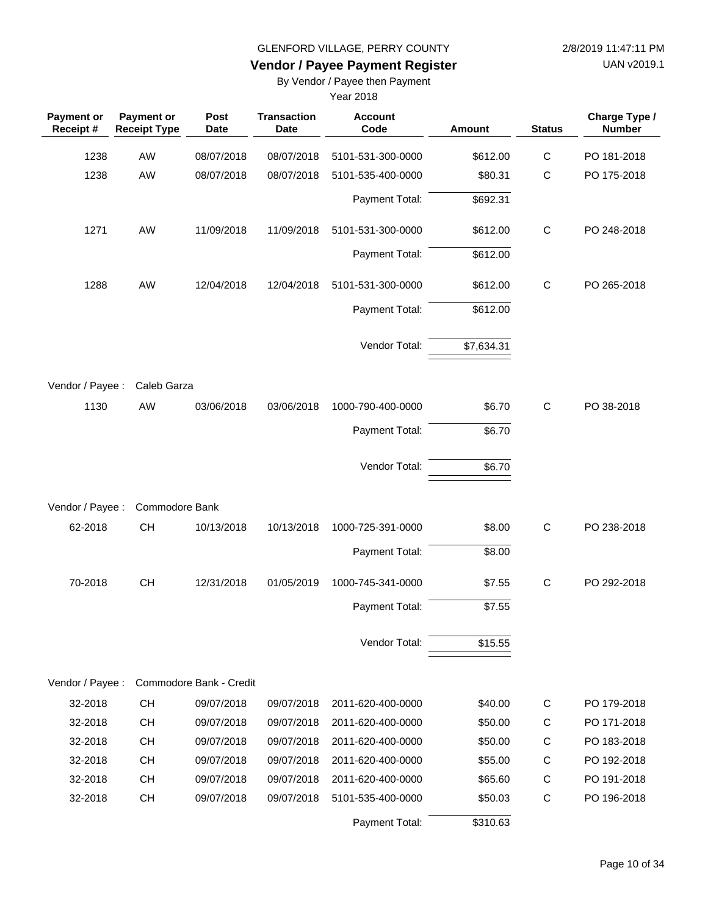UAN v2019.1

## **Vendor / Payee Payment Register**

By Vendor / Payee then Payment

| Payment or<br>Receipt# | Payment or<br><b>Receipt Type</b> | Post<br><b>Date</b>     | <b>Transaction</b><br><b>Date</b> | <b>Account</b><br>Code | <b>Amount</b> | <b>Status</b> | Charge Type /<br><b>Number</b> |
|------------------------|-----------------------------------|-------------------------|-----------------------------------|------------------------|---------------|---------------|--------------------------------|
| 1238                   | <b>AW</b>                         | 08/07/2018              | 08/07/2018                        | 5101-531-300-0000      | \$612.00      | $\mathsf C$   | PO 181-2018                    |
| 1238                   | AW                                | 08/07/2018              | 08/07/2018                        | 5101-535-400-0000      | \$80.31       | $\mathsf{C}$  | PO 175-2018                    |
|                        |                                   |                         |                                   | Payment Total:         | \$692.31      |               |                                |
| 1271                   | AW                                | 11/09/2018              | 11/09/2018                        | 5101-531-300-0000      | \$612.00      | $\mathbf C$   | PO 248-2018                    |
|                        |                                   |                         |                                   | Payment Total:         | \$612.00      |               |                                |
| 1288                   | <b>AW</b>                         | 12/04/2018              | 12/04/2018                        | 5101-531-300-0000      | \$612.00      | $\mathbf C$   | PO 265-2018                    |
|                        |                                   |                         |                                   | Payment Total:         | \$612.00      |               |                                |
|                        |                                   |                         |                                   | Vendor Total:          | \$7,634.31    |               |                                |
| Vendor / Payee :       | Caleb Garza                       |                         |                                   |                        |               |               |                                |
| 1130                   | AW                                | 03/06/2018              | 03/06/2018                        | 1000-790-400-0000      | \$6.70        | $\mathbf C$   | PO 38-2018                     |
|                        |                                   |                         |                                   | Payment Total:         | \$6.70        |               |                                |
|                        |                                   |                         |                                   | Vendor Total:          | \$6.70        |               |                                |
| Vendor / Payee :       | Commodore Bank                    |                         |                                   |                        |               |               |                                |
| 62-2018                | CH                                | 10/13/2018              | 10/13/2018                        | 1000-725-391-0000      | \$8.00        | $\mathbf C$   | PO 238-2018                    |
|                        |                                   |                         |                                   | Payment Total:         | \$8.00        |               |                                |
| 70-2018                | CH                                | 12/31/2018              | 01/05/2019                        | 1000-745-341-0000      | \$7.55        | $\mathbf C$   | PO 292-2018                    |
|                        |                                   |                         |                                   | Payment Total:         | \$7.55        |               |                                |
|                        |                                   |                         |                                   | Vendor Total:          | \$15.55       |               |                                |
| Vendor / Payee :       |                                   | Commodore Bank - Credit |                                   |                        |               |               |                                |
| 32-2018                | <b>CH</b>                         | 09/07/2018              | 09/07/2018                        | 2011-620-400-0000      | \$40.00       | C             | PO 179-2018                    |
| 32-2018                | <b>CH</b>                         | 09/07/2018              | 09/07/2018                        | 2011-620-400-0000      | \$50.00       | $\mathsf{C}$  | PO 171-2018                    |
| 32-2018                | <b>CH</b>                         | 09/07/2018              | 09/07/2018                        | 2011-620-400-0000      | \$50.00       | C             | PO 183-2018                    |
| 32-2018                | <b>CH</b>                         | 09/07/2018              | 09/07/2018                        | 2011-620-400-0000      | \$55.00       | C             | PO 192-2018                    |
| 32-2018                | <b>CH</b>                         | 09/07/2018              | 09/07/2018                        | 2011-620-400-0000      | \$65.60       | $\mathsf{C}$  | PO 191-2018                    |
| 32-2018                | <b>CH</b>                         | 09/07/2018              | 09/07/2018                        | 5101-535-400-0000      | \$50.03       | $\mathbf C$   | PO 196-2018                    |
|                        |                                   |                         |                                   | Payment Total:         | \$310.63      |               |                                |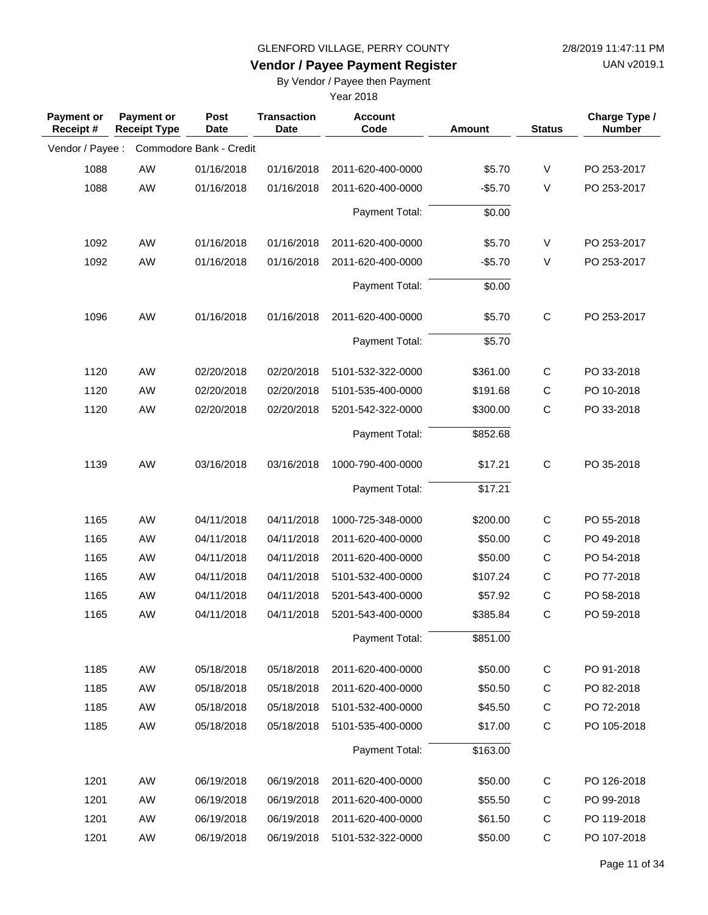**Vendor / Payee Payment Register**

UAN v2019.1

### By Vendor / Payee then Payment

| <b>Payment or</b><br>Receipt# | <b>Payment or</b><br><b>Receipt Type</b> | Post<br><b>Date</b>     | <b>Transaction</b><br><b>Date</b> | <b>Account</b><br>Code | Amount   | <b>Status</b> | Charge Type /<br><b>Number</b> |
|-------------------------------|------------------------------------------|-------------------------|-----------------------------------|------------------------|----------|---------------|--------------------------------|
| Vendor / Payee :              |                                          | Commodore Bank - Credit |                                   |                        |          |               |                                |
| 1088                          | AW                                       | 01/16/2018              | 01/16/2018                        | 2011-620-400-0000      | \$5.70   | $\vee$        | PO 253-2017                    |
| 1088                          | AW                                       | 01/16/2018              | 01/16/2018                        | 2011-620-400-0000      | $-$5.70$ | V             | PO 253-2017                    |
|                               |                                          |                         |                                   | Payment Total:         | \$0.00   |               |                                |
| 1092                          | AW                                       | 01/16/2018              | 01/16/2018                        | 2011-620-400-0000      | \$5.70   | V             | PO 253-2017                    |
| 1092                          | AW                                       | 01/16/2018              | 01/16/2018                        | 2011-620-400-0000      | $-$5.70$ | $\vee$        | PO 253-2017                    |
|                               |                                          |                         |                                   | Payment Total:         | \$0.00   |               |                                |
| 1096                          | AW                                       | 01/16/2018              | 01/16/2018                        | 2011-620-400-0000      | \$5.70   | $\mathsf{C}$  | PO 253-2017                    |
|                               |                                          |                         |                                   | Payment Total:         | \$5.70   |               |                                |
| 1120                          | AW                                       | 02/20/2018              | 02/20/2018                        | 5101-532-322-0000      | \$361.00 | C             | PO 33-2018                     |
| 1120                          | AW                                       | 02/20/2018              | 02/20/2018                        | 5101-535-400-0000      | \$191.68 | C             | PO 10-2018                     |
| 1120                          | AW                                       | 02/20/2018              | 02/20/2018                        | 5201-542-322-0000      | \$300.00 | $\mathsf{C}$  | PO 33-2018                     |
|                               |                                          |                         |                                   | Payment Total:         | \$852.68 |               |                                |
| 1139                          | AW                                       | 03/16/2018              | 03/16/2018                        | 1000-790-400-0000      | \$17.21  | $\mathsf{C}$  | PO 35-2018                     |
|                               |                                          |                         |                                   | Payment Total:         | \$17.21  |               |                                |
| 1165                          | AW                                       | 04/11/2018              | 04/11/2018                        | 1000-725-348-0000      | \$200.00 | C             | PO 55-2018                     |
| 1165                          | AW                                       | 04/11/2018              | 04/11/2018                        | 2011-620-400-0000      | \$50.00  | C             | PO 49-2018                     |
| 1165                          | AW                                       | 04/11/2018              | 04/11/2018                        | 2011-620-400-0000      | \$50.00  | $\mathsf C$   | PO 54-2018                     |
| 1165                          | AW                                       | 04/11/2018              | 04/11/2018                        | 5101-532-400-0000      | \$107.24 | $\mathsf C$   | PO 77-2018                     |
| 1165                          | <b>AW</b>                                | 04/11/2018              | 04/11/2018                        | 5201-543-400-0000      | \$57.92  | $\mathsf C$   | PO 58-2018                     |
| 1165                          | <b>AW</b>                                | 04/11/2018              | 04/11/2018                        | 5201-543-400-0000      | \$385.84 | $\mathsf{C}$  | PO 59-2018                     |
|                               |                                          |                         |                                   | Payment Total:         | \$851.00 |               |                                |
| 1185                          | AW                                       | 05/18/2018              | 05/18/2018                        | 2011-620-400-0000      | \$50.00  | $\mathsf C$   | PO 91-2018                     |
| 1185                          | AW                                       | 05/18/2018              | 05/18/2018                        | 2011-620-400-0000      | \$50.50  | C             | PO 82-2018                     |
| 1185                          | AW                                       | 05/18/2018              | 05/18/2018                        | 5101-532-400-0000      | \$45.50  | C             | PO 72-2018                     |
| 1185                          | AW                                       | 05/18/2018              | 05/18/2018                        | 5101-535-400-0000      | \$17.00  | C             | PO 105-2018                    |
|                               |                                          |                         |                                   | Payment Total:         | \$163.00 |               |                                |
| 1201                          | AW                                       | 06/19/2018              | 06/19/2018                        | 2011-620-400-0000      | \$50.00  | C             | PO 126-2018                    |
| 1201                          | AW                                       | 06/19/2018              | 06/19/2018                        | 2011-620-400-0000      | \$55.50  | C             | PO 99-2018                     |
| 1201                          | AW                                       | 06/19/2018              | 06/19/2018                        | 2011-620-400-0000      | \$61.50  | C             | PO 119-2018                    |
| 1201                          | AW                                       | 06/19/2018              | 06/19/2018                        | 5101-532-322-0000      | \$50.00  | C             | PO 107-2018                    |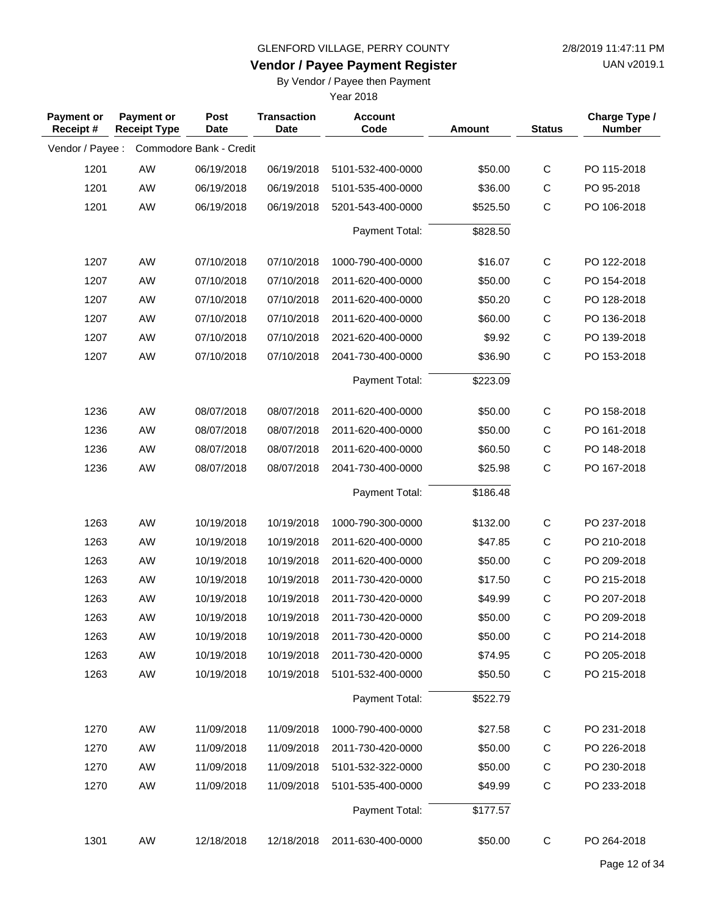**Vendor / Payee Payment Register**

UAN v2019.1

### By Vendor / Payee then Payment

| <b>Payment or</b><br>Receipt# | <b>Payment or</b><br><b>Receipt Type</b> | Post<br><b>Date</b>     | <b>Transaction</b><br><b>Date</b> | <b>Account</b><br>Code | <b>Amount</b> | <b>Status</b> | Charge Type /<br><b>Number</b> |
|-------------------------------|------------------------------------------|-------------------------|-----------------------------------|------------------------|---------------|---------------|--------------------------------|
| Vendor / Payee :              |                                          | Commodore Bank - Credit |                                   |                        |               |               |                                |
| 1201                          | AW                                       | 06/19/2018              | 06/19/2018                        | 5101-532-400-0000      | \$50.00       | $\mathsf C$   | PO 115-2018                    |
| 1201                          | AW                                       | 06/19/2018              | 06/19/2018                        | 5101-535-400-0000      | \$36.00       | $\mathsf{C}$  | PO 95-2018                     |
| 1201                          | AW                                       | 06/19/2018              | 06/19/2018                        | 5201-543-400-0000      | \$525.50      | $\mathsf C$   | PO 106-2018                    |
|                               |                                          |                         |                                   | Payment Total:         | \$828.50      |               |                                |
| 1207                          | AW                                       | 07/10/2018              | 07/10/2018                        | 1000-790-400-0000      | \$16.07       | $\mathsf{C}$  | PO 122-2018                    |
| 1207                          | AW                                       | 07/10/2018              | 07/10/2018                        | 2011-620-400-0000      | \$50.00       | $\mathsf C$   | PO 154-2018                    |
| 1207                          | AW                                       | 07/10/2018              | 07/10/2018                        | 2011-620-400-0000      | \$50.20       | $\mathsf C$   | PO 128-2018                    |
| 1207                          | AW                                       | 07/10/2018              | 07/10/2018                        | 2011-620-400-0000      | \$60.00       | $\mathsf C$   | PO 136-2018                    |
| 1207                          | AW                                       | 07/10/2018              | 07/10/2018                        | 2021-620-400-0000      | \$9.92        | $\mathsf C$   | PO 139-2018                    |
| 1207                          | AW                                       | 07/10/2018              | 07/10/2018                        | 2041-730-400-0000      | \$36.90       | $\mathsf{C}$  | PO 153-2018                    |
|                               |                                          |                         |                                   | Payment Total:         | \$223.09      |               |                                |
| 1236                          | AW                                       | 08/07/2018              | 08/07/2018                        | 2011-620-400-0000      | \$50.00       | $\mathsf{C}$  | PO 158-2018                    |
| 1236                          | AW                                       | 08/07/2018              | 08/07/2018                        | 2011-620-400-0000      | \$50.00       | C             | PO 161-2018                    |
| 1236                          | AW                                       | 08/07/2018              | 08/07/2018                        | 2011-620-400-0000      | \$60.50       | $\mathsf C$   | PO 148-2018                    |
| 1236                          | AW                                       | 08/07/2018              | 08/07/2018                        | 2041-730-400-0000      | \$25.98       | $\mathsf C$   | PO 167-2018                    |
|                               |                                          |                         |                                   | Payment Total:         | \$186.48      |               |                                |
| 1263                          | AW                                       | 10/19/2018              | 10/19/2018                        | 1000-790-300-0000      | \$132.00      | C             | PO 237-2018                    |
| 1263                          | AW                                       | 10/19/2018              | 10/19/2018                        | 2011-620-400-0000      | \$47.85       | $\mathsf C$   | PO 210-2018                    |
| 1263                          | AW                                       | 10/19/2018              | 10/19/2018                        | 2011-620-400-0000      | \$50.00       | $\mathsf{C}$  | PO 209-2018                    |
| 1263                          | AW                                       | 10/19/2018              | 10/19/2018                        | 2011-730-420-0000      | \$17.50       | $\mathsf C$   | PO 215-2018                    |
| 1263                          | AW                                       | 10/19/2018              | 10/19/2018                        | 2011-730-420-0000      | \$49.99       | $\mathsf C$   | PO 207-2018                    |
| 1263                          | AW                                       | 10/19/2018              | 10/19/2018                        | 2011-730-420-0000      | \$50.00       | $\mathsf C$   | PO 209-2018                    |
| 1263                          | AW                                       | 10/19/2018              | 10/19/2018                        | 2011-730-420-0000      | \$50.00       | C             | PO 214-2018                    |
| 1263                          | AW                                       | 10/19/2018              | 10/19/2018                        | 2011-730-420-0000      | \$74.95       | C             | PO 205-2018                    |
| 1263                          | AW                                       | 10/19/2018              | 10/19/2018                        | 5101-532-400-0000      | \$50.50       | $\mathsf C$   | PO 215-2018                    |
|                               |                                          |                         |                                   | Payment Total:         | \$522.79      |               |                                |
| 1270                          | AW                                       | 11/09/2018              | 11/09/2018                        | 1000-790-400-0000      | \$27.58       | C             | PO 231-2018                    |
| 1270                          | AW                                       | 11/09/2018              | 11/09/2018                        | 2011-730-420-0000      | \$50.00       | C             | PO 226-2018                    |
| 1270                          | AW                                       | 11/09/2018              | 11/09/2018                        | 5101-532-322-0000      | \$50.00       | C             | PO 230-2018                    |
| 1270                          | AW                                       | 11/09/2018              | 11/09/2018                        | 5101-535-400-0000      | \$49.99       | $\mathsf C$   | PO 233-2018                    |
|                               |                                          |                         |                                   | Payment Total:         | \$177.57      |               |                                |
| 1301                          | AW                                       | 12/18/2018              | 12/18/2018                        | 2011-630-400-0000      | \$50.00       | $\mathsf{C}$  | PO 264-2018                    |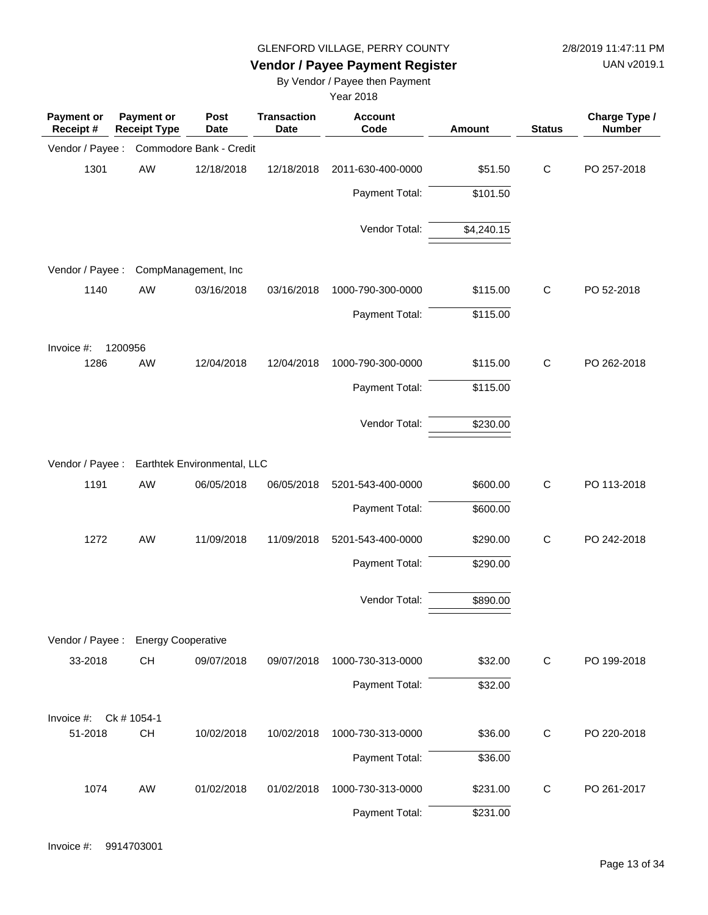UAN v2019.1

### **Vendor / Payee Payment Register**

By Vendor / Payee then Payment

| <b>Payment or</b><br>Receipt# | Payment or<br><b>Receipt Type</b>            | Post<br><b>Date</b>     | <b>Transaction</b><br><b>Date</b> | <b>Account</b><br>Code | <b>Amount</b> | <b>Status</b> | Charge Type /<br><b>Number</b> |
|-------------------------------|----------------------------------------------|-------------------------|-----------------------------------|------------------------|---------------|---------------|--------------------------------|
| Vendor / Payee :              |                                              | Commodore Bank - Credit |                                   |                        |               |               |                                |
| 1301                          | AW                                           | 12/18/2018              | 12/18/2018                        | 2011-630-400-0000      | \$51.50       | $\mathsf{C}$  | PO 257-2018                    |
|                               |                                              |                         |                                   | Payment Total:         | \$101.50      |               |                                |
|                               |                                              |                         |                                   | Vendor Total:          | \$4,240.15    |               |                                |
| Vendor / Payee :              |                                              | CompManagement, Inc     |                                   |                        |               |               |                                |
| 1140                          | AW                                           | 03/16/2018              | 03/16/2018                        | 1000-790-300-0000      | \$115.00      | $\mathsf C$   | PO 52-2018                     |
|                               |                                              |                         |                                   | Payment Total:         | \$115.00      |               |                                |
| Invoice #:                    | 1200956                                      |                         |                                   |                        |               |               |                                |
| 1286                          | AW                                           | 12/04/2018              | 12/04/2018                        | 1000-790-300-0000      | \$115.00      | $\mathsf{C}$  | PO 262-2018                    |
|                               |                                              |                         |                                   | Payment Total:         | \$115.00      |               |                                |
|                               |                                              |                         |                                   | Vendor Total:          | \$230.00      |               |                                |
|                               | Vendor / Payee : Earthtek Environmental, LLC |                         |                                   |                        |               |               |                                |
| 1191                          | AW                                           | 06/05/2018              | 06/05/2018                        | 5201-543-400-0000      | \$600.00      | $\mathsf C$   | PO 113-2018                    |
|                               |                                              |                         |                                   | Payment Total:         | \$600.00      |               |                                |
| 1272                          | AW                                           | 11/09/2018              | 11/09/2018                        | 5201-543-400-0000      | \$290.00      | $\mathsf C$   | PO 242-2018                    |
|                               |                                              |                         |                                   | Payment Total:         | \$290.00      |               |                                |
|                               |                                              |                         |                                   | Vendor Total:          | \$890.00      |               |                                |
| Vendor / Payee :              | <b>Energy Cooperative</b>                    |                         |                                   |                        |               |               |                                |
| 33-2018                       | CH                                           | 09/07/2018              | 09/07/2018                        | 1000-730-313-0000      | \$32.00       | $\mathsf C$   | PO 199-2018                    |
|                               |                                              |                         |                                   | Payment Total:         | \$32.00       |               |                                |
| Invoice #:                    | Ck # 1054-1                                  |                         |                                   |                        |               |               |                                |
| 51-2018                       | CH                                           | 10/02/2018              | 10/02/2018                        | 1000-730-313-0000      | \$36.00       | $\mathsf{C}$  | PO 220-2018                    |
|                               |                                              |                         |                                   | Payment Total:         | \$36.00       |               |                                |
| 1074                          | AW                                           | 01/02/2018              | 01/02/2018                        | 1000-730-313-0000      | \$231.00      | $\mathsf{C}$  | PO 261-2017                    |
|                               |                                              |                         |                                   | Payment Total:         | \$231.00      |               |                                |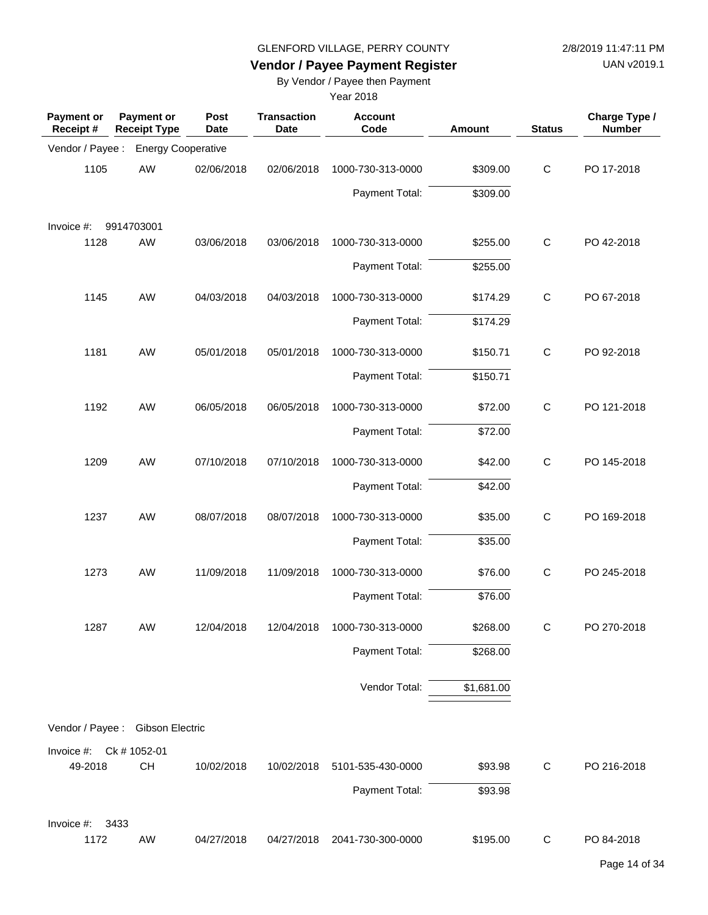UAN v2019.1

## **Vendor / Payee Payment Register**

By Vendor / Payee then Payment

| <b>Payment or</b><br>Receipt # | <b>Payment or</b><br><b>Receipt Type</b> | Post<br><b>Date</b> | <b>Transaction</b><br><b>Date</b> | <b>Account</b><br>Code | <b>Amount</b> | <b>Status</b> | Charge Type /<br><b>Number</b> |
|--------------------------------|------------------------------------------|---------------------|-----------------------------------|------------------------|---------------|---------------|--------------------------------|
| Vendor / Payee :               | <b>Energy Cooperative</b>                |                     |                                   |                        |               |               |                                |
| 1105                           | AW                                       | 02/06/2018          | 02/06/2018                        | 1000-730-313-0000      | \$309.00      | $\mathbf C$   | PO 17-2018                     |
|                                |                                          |                     |                                   | Payment Total:         | \$309.00      |               |                                |
| Invoice #:                     | 9914703001                               |                     |                                   |                        |               |               |                                |
| 1128                           | AW                                       | 03/06/2018          | 03/06/2018                        | 1000-730-313-0000      | \$255.00      | $\mathsf{C}$  | PO 42-2018                     |
|                                |                                          |                     |                                   | Payment Total:         | \$255.00      |               |                                |
| 1145                           | AW                                       | 04/03/2018          | 04/03/2018                        | 1000-730-313-0000      | \$174.29      | $\mathsf{C}$  | PO 67-2018                     |
|                                |                                          |                     |                                   | Payment Total:         | \$174.29      |               |                                |
| 1181                           | AW                                       | 05/01/2018          | 05/01/2018                        | 1000-730-313-0000      | \$150.71      | $\mathsf{C}$  | PO 92-2018                     |
|                                |                                          |                     |                                   | Payment Total:         | \$150.71      |               |                                |
| 1192                           | AW                                       | 06/05/2018          | 06/05/2018                        | 1000-730-313-0000      | \$72.00       | $\mathsf C$   | PO 121-2018                    |
|                                |                                          |                     |                                   | Payment Total:         | \$72.00       |               |                                |
| 1209                           | AW                                       | 07/10/2018          | 07/10/2018                        | 1000-730-313-0000      | \$42.00       | $\mathsf C$   | PO 145-2018                    |
|                                |                                          |                     |                                   | Payment Total:         | \$42.00       |               |                                |
| 1237                           | AW                                       | 08/07/2018          | 08/07/2018                        | 1000-730-313-0000      | \$35.00       | $\mathsf{C}$  | PO 169-2018                    |
|                                |                                          |                     |                                   | Payment Total:         | \$35.00       |               |                                |
| 1273                           | AW                                       | 11/09/2018          | 11/09/2018                        | 1000-730-313-0000      | \$76.00       | $\mathsf{C}$  | PO 245-2018                    |
|                                |                                          |                     |                                   | Payment Total:         | \$76.00       |               |                                |
| 1287                           | AW                                       | 12/04/2018          | 12/04/2018                        | 1000-730-313-0000      | \$268.00      | C             | PO 270-2018                    |
|                                |                                          |                     |                                   | Payment Total:         | \$268.00      |               |                                |
|                                |                                          |                     |                                   | Vendor Total:          | \$1,681.00    |               |                                |
| Vendor / Payee :               | <b>Gibson Electric</b>                   |                     |                                   |                        |               |               |                                |
| Invoice #: Ck # 1052-01        |                                          |                     |                                   |                        |               |               |                                |
| 49-2018                        | CH                                       | 10/02/2018          | 10/02/2018                        | 5101-535-430-0000      | \$93.98       | C             | PO 216-2018                    |
|                                |                                          |                     |                                   | Payment Total:         | \$93.98       |               |                                |
| Invoice #:                     | 3433                                     |                     |                                   |                        |               |               |                                |
| 1172                           | AW                                       | 04/27/2018          | 04/27/2018                        | 2041-730-300-0000      | \$195.00      | C             | PO 84-2018                     |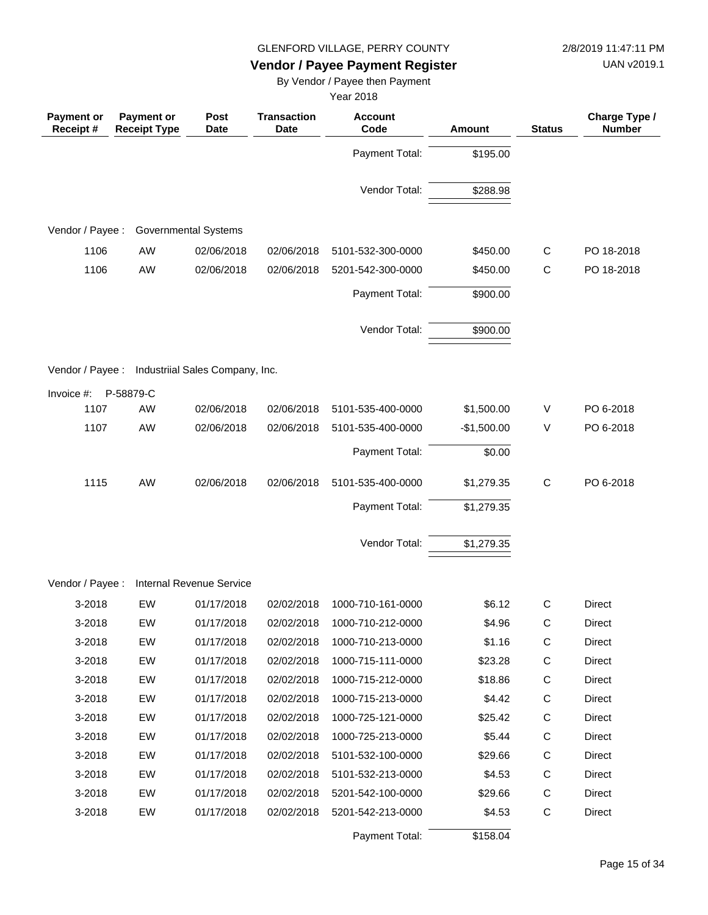UAN v2019.1

## **Vendor / Payee Payment Register**

By Vendor / Payee then Payment

| <b>Payment or</b><br>Receipt# | <b>Payment or</b><br><b>Receipt Type</b>         | Post<br><b>Date</b>             | <b>Transaction</b><br><b>Date</b> | <b>Account</b><br>Code              | <b>Amount</b>      | <b>Status</b> | Charge Type /<br><b>Number</b> |
|-------------------------------|--------------------------------------------------|---------------------------------|-----------------------------------|-------------------------------------|--------------------|---------------|--------------------------------|
|                               |                                                  |                                 |                                   | Payment Total:                      | \$195.00           |               |                                |
|                               |                                                  |                                 |                                   | Vendor Total:                       | \$288.98           |               |                                |
| Vendor / Payee :              |                                                  | <b>Governmental Systems</b>     |                                   |                                     |                    |               |                                |
|                               |                                                  |                                 |                                   |                                     |                    |               |                                |
| 1106                          | AW                                               | 02/06/2018                      | 02/06/2018                        | 5101-532-300-0000                   | \$450.00           | C             | PO 18-2018                     |
| 1106                          | AW                                               | 02/06/2018                      | 02/06/2018                        | 5201-542-300-0000                   | \$450.00           | C             | PO 18-2018                     |
|                               |                                                  |                                 |                                   | Payment Total:                      | \$900.00           |               |                                |
|                               |                                                  |                                 |                                   | Vendor Total:                       | \$900.00           |               |                                |
|                               | Vendor / Payee : Industriial Sales Company, Inc. |                                 |                                   |                                     |                    |               |                                |
| Invoice $#$ :                 | P-58879-C                                        |                                 |                                   |                                     |                    |               |                                |
| 1107                          | AW                                               | 02/06/2018                      | 02/06/2018                        | 5101-535-400-0000                   | \$1,500.00         | V             | PO 6-2018                      |
| 1107                          | AW                                               | 02/06/2018                      | 02/06/2018                        | 5101-535-400-0000                   | $-$1,500.00$       | V             | PO 6-2018                      |
|                               |                                                  |                                 |                                   | Payment Total:                      | \$0.00             |               |                                |
| 1115                          | AW                                               | 02/06/2018                      | 02/06/2018                        | 5101-535-400-0000                   | \$1,279.35         | $\mathsf C$   | PO 6-2018                      |
|                               |                                                  |                                 |                                   | Payment Total:                      | \$1,279.35         |               |                                |
|                               |                                                  |                                 |                                   | Vendor Total:                       | \$1,279.35         |               |                                |
| Vendor / Payee :              |                                                  | <b>Internal Revenue Service</b> |                                   |                                     |                    |               |                                |
|                               |                                                  |                                 |                                   |                                     |                    |               |                                |
| 3-2018                        | EW                                               | 01/17/2018                      | 02/02/2018                        | 1000-710-161-0000                   | \$6.12             | С             | <b>Direct</b>                  |
| 3-2018                        | EW                                               | 01/17/2018                      | 02/02/2018                        | 1000-710-212-0000                   | \$4.96             | C             | Direct                         |
| 3-2018                        | EW                                               | 01/17/2018                      | 02/02/2018                        | 1000-710-213-0000                   | \$1.16             | $\mathsf C$   | Direct                         |
| 3-2018                        | EW                                               | 01/17/2018                      | 02/02/2018                        | 1000-715-111-0000                   | \$23.28            | C             | Direct                         |
| 3-2018                        | EW                                               | 01/17/2018                      | 02/02/2018                        | 1000-715-212-0000                   | \$18.86            | C             | Direct                         |
| 3-2018                        | EW                                               | 01/17/2018                      | 02/02/2018                        | 1000-715-213-0000                   | \$4.42             | C             | Direct                         |
| 3-2018                        | EW                                               | 01/17/2018                      | 02/02/2018                        | 1000-725-121-0000                   | \$25.42            | C             | Direct                         |
| 3-2018                        | EW                                               | 01/17/2018                      | 02/02/2018                        | 1000-725-213-0000                   | \$5.44             | C             | Direct                         |
| 3-2018                        | EW                                               | 01/17/2018                      | 02/02/2018                        | 5101-532-100-0000                   | \$29.66            | C             | Direct                         |
| 3-2018                        | EW                                               | 01/17/2018                      | 02/02/2018                        | 5101-532-213-0000                   | \$4.53             | C             | Direct                         |
| 3-2018                        | EW                                               | 01/17/2018                      | 02/02/2018                        | 5201-542-100-0000                   | \$29.66            | C             | Direct                         |
| 3-2018                        | EW                                               | 01/17/2018                      | 02/02/2018                        | 5201-542-213-0000<br>Payment Total: | \$4.53<br>\$158.04 | C             | Direct                         |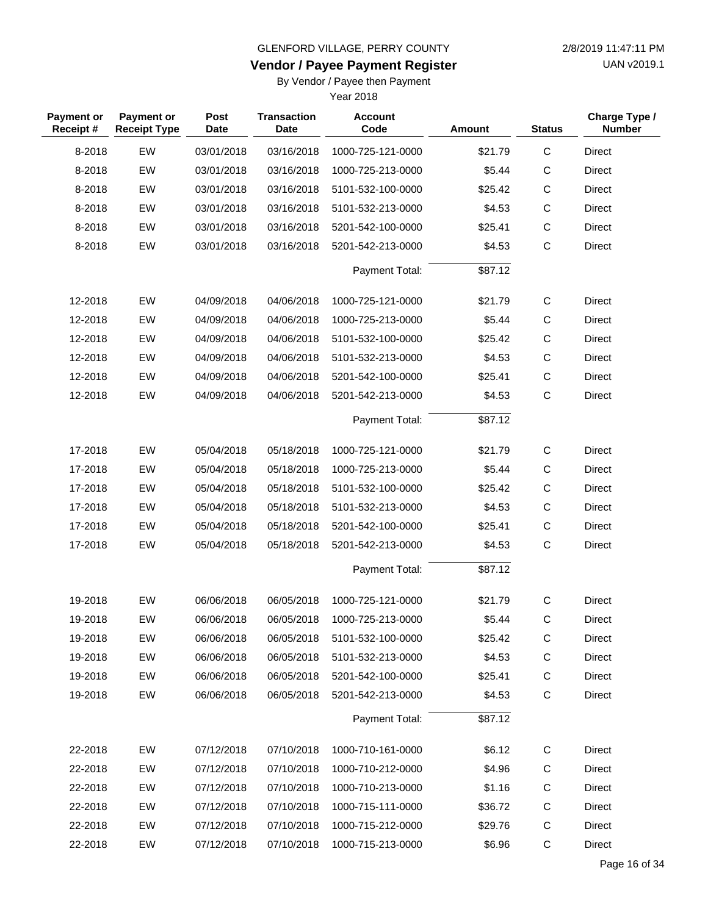**Vendor / Payee Payment Register**

UAN v2019.1

### By Vendor / Payee then Payment

| <b>Payment or</b><br>Receipt# | <b>Payment or</b><br><b>Receipt Type</b> | Post<br><b>Date</b> | <b>Transaction</b><br>Date | <b>Account</b><br>Code | <b>Amount</b> | <b>Status</b> | Charge Type /<br><b>Number</b> |
|-------------------------------|------------------------------------------|---------------------|----------------------------|------------------------|---------------|---------------|--------------------------------|
| 8-2018                        | EW                                       | 03/01/2018          | 03/16/2018                 | 1000-725-121-0000      | \$21.79       | $\mathsf C$   | <b>Direct</b>                  |
| 8-2018                        | EW                                       | 03/01/2018          | 03/16/2018                 | 1000-725-213-0000      | \$5.44        | $\mathsf C$   | <b>Direct</b>                  |
| 8-2018                        | EW                                       | 03/01/2018          | 03/16/2018                 | 5101-532-100-0000      | \$25.42       | $\mathsf{C}$  | <b>Direct</b>                  |
| 8-2018                        | EW                                       | 03/01/2018          | 03/16/2018                 | 5101-532-213-0000      | \$4.53        | $\mathsf C$   | <b>Direct</b>                  |
| 8-2018                        | EW                                       | 03/01/2018          | 03/16/2018                 | 5201-542-100-0000      | \$25.41       | $\mathsf{C}$  | <b>Direct</b>                  |
| 8-2018                        | EW                                       | 03/01/2018          | 03/16/2018                 | 5201-542-213-0000      | \$4.53        | $\mathsf{C}$  | <b>Direct</b>                  |
|                               |                                          |                     |                            | Payment Total:         | \$87.12       |               |                                |
| 12-2018                       | EW                                       | 04/09/2018          | 04/06/2018                 | 1000-725-121-0000      | \$21.79       | $\mathsf{C}$  | Direct                         |
| 12-2018                       | EW                                       | 04/09/2018          | 04/06/2018                 | 1000-725-213-0000      | \$5.44        | $\mathsf{C}$  | <b>Direct</b>                  |
| 12-2018                       | EW                                       | 04/09/2018          | 04/06/2018                 | 5101-532-100-0000      | \$25.42       | $\mathsf C$   | <b>Direct</b>                  |
| 12-2018                       | EW                                       | 04/09/2018          | 04/06/2018                 | 5101-532-213-0000      | \$4.53        | $\mathsf C$   | <b>Direct</b>                  |
| 12-2018                       | EW                                       | 04/09/2018          | 04/06/2018                 | 5201-542-100-0000      | \$25.41       | $\mathsf{C}$  | <b>Direct</b>                  |
| 12-2018                       | EW                                       | 04/09/2018          | 04/06/2018                 | 5201-542-213-0000      | \$4.53        | $\mathsf{C}$  | <b>Direct</b>                  |
|                               |                                          |                     |                            | Payment Total:         | \$87.12       |               |                                |
| 17-2018                       | EW                                       | 05/04/2018          | 05/18/2018                 | 1000-725-121-0000      | \$21.79       | $\mathsf{C}$  | <b>Direct</b>                  |
| 17-2018                       | EW                                       | 05/04/2018          | 05/18/2018                 | 1000-725-213-0000      | \$5.44        | $\mathsf C$   | <b>Direct</b>                  |
| 17-2018                       | EW                                       | 05/04/2018          | 05/18/2018                 | 5101-532-100-0000      | \$25.42       | $\mathsf{C}$  | Direct                         |
| 17-2018                       | EW                                       | 05/04/2018          | 05/18/2018                 | 5101-532-213-0000      | \$4.53        | $\mathsf C$   | <b>Direct</b>                  |
| 17-2018                       | EW                                       | 05/04/2018          | 05/18/2018                 | 5201-542-100-0000      | \$25.41       | $\mathsf C$   | <b>Direct</b>                  |
| 17-2018                       | EW                                       | 05/04/2018          | 05/18/2018                 | 5201-542-213-0000      | \$4.53        | $\mathsf{C}$  | <b>Direct</b>                  |
|                               |                                          |                     |                            | Payment Total:         | \$87.12       |               |                                |
| 19-2018                       | EW                                       | 06/06/2018          | 06/05/2018                 | 1000-725-121-0000      | \$21.79       | $\mathsf{C}$  | <b>Direct</b>                  |
| 19-2018                       | EW                                       | 06/06/2018          | 06/05/2018                 | 1000-725-213-0000      | \$5.44        | С             | <b>Direct</b>                  |
| 19-2018                       | EW                                       | 06/06/2018          | 06/05/2018                 | 5101-532-100-0000      | \$25.42       | $\mathsf C$   | Direct                         |
| 19-2018                       | EW                                       | 06/06/2018          | 06/05/2018                 | 5101-532-213-0000      | \$4.53        | $\mathsf C$   | <b>Direct</b>                  |
| 19-2018                       | EW                                       | 06/06/2018          | 06/05/2018                 | 5201-542-100-0000      | \$25.41       | $\mathsf C$   | <b>Direct</b>                  |
| 19-2018                       | EW                                       | 06/06/2018          | 06/05/2018                 | 5201-542-213-0000      | \$4.53        | $\mathsf{C}$  | <b>Direct</b>                  |
|                               |                                          |                     |                            | Payment Total:         | \$87.12       |               |                                |
| 22-2018                       | EW                                       | 07/12/2018          | 07/10/2018                 | 1000-710-161-0000      | \$6.12        | C             | <b>Direct</b>                  |
| 22-2018                       | EW                                       | 07/12/2018          | 07/10/2018                 | 1000-710-212-0000      | \$4.96        | C             | <b>Direct</b>                  |
| 22-2018                       | EW                                       | 07/12/2018          | 07/10/2018                 | 1000-710-213-0000      | \$1.16        | C             | Direct                         |
| 22-2018                       | EW                                       | 07/12/2018          | 07/10/2018                 | 1000-715-111-0000      | \$36.72       | C             | Direct                         |
| 22-2018                       | EW                                       | 07/12/2018          | 07/10/2018                 | 1000-715-212-0000      | \$29.76       | C             | Direct                         |
| 22-2018                       | EW                                       | 07/12/2018          | 07/10/2018                 | 1000-715-213-0000      | \$6.96        | $\mathbf C$   | <b>Direct</b>                  |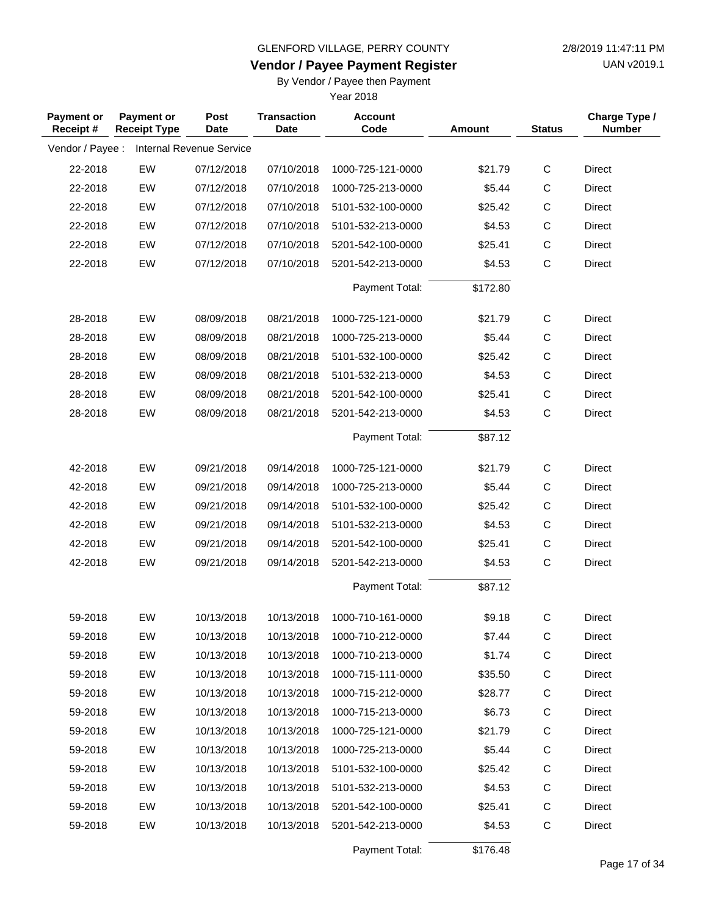**Vendor / Payee Payment Register**

UAN v2019.1

#### By Vendor / Payee then Payment

Year 2018

| Payment or<br>Receipt# | Payment or<br><b>Receipt Type</b> | Post<br><b>Date</b>             | <b>Transaction</b><br><b>Date</b> | <b>Account</b><br>Code | <b>Amount</b> | <b>Status</b> | Charge Type /<br><b>Number</b> |
|------------------------|-----------------------------------|---------------------------------|-----------------------------------|------------------------|---------------|---------------|--------------------------------|
| Vendor / Payee :       |                                   | <b>Internal Revenue Service</b> |                                   |                        |               |               |                                |
| 22-2018                | EW                                | 07/12/2018                      | 07/10/2018                        | 1000-725-121-0000      | \$21.79       | $\mathsf C$   | Direct                         |
| 22-2018                | EW                                | 07/12/2018                      | 07/10/2018                        | 1000-725-213-0000      | \$5.44        | С             | Direct                         |
| 22-2018                | EW                                | 07/12/2018                      | 07/10/2018                        | 5101-532-100-0000      | \$25.42       | $\mathsf C$   | Direct                         |
| 22-2018                | EW                                | 07/12/2018                      | 07/10/2018                        | 5101-532-213-0000      | \$4.53        | $\mathsf C$   | <b>Direct</b>                  |
| 22-2018                | EW                                | 07/12/2018                      | 07/10/2018                        | 5201-542-100-0000      | \$25.41       | $\mathsf C$   | Direct                         |
| 22-2018                | EW                                | 07/12/2018                      | 07/10/2018                        | 5201-542-213-0000      | \$4.53        | $\mathsf C$   | <b>Direct</b>                  |
|                        |                                   |                                 |                                   | Payment Total:         | \$172.80      |               |                                |
| 28-2018                | EW                                | 08/09/2018                      | 08/21/2018                        | 1000-725-121-0000      | \$21.79       | $\mathsf{C}$  | Direct                         |
| 28-2018                | EW                                | 08/09/2018                      | 08/21/2018                        | 1000-725-213-0000      | \$5.44        | $\mathsf{C}$  | Direct                         |
| 28-2018                | EW                                | 08/09/2018                      | 08/21/2018                        | 5101-532-100-0000      | \$25.42       | $\mathsf C$   | Direct                         |
| 28-2018                | EW                                | 08/09/2018                      | 08/21/2018                        | 5101-532-213-0000      | \$4.53        | $\mathsf C$   | Direct                         |
| 28-2018                | EW                                | 08/09/2018                      | 08/21/2018                        | 5201-542-100-0000      | \$25.41       | $\mathsf{C}$  | Direct                         |
| 28-2018                | EW                                | 08/09/2018                      | 08/21/2018                        | 5201-542-213-0000      | \$4.53        | $\mathsf C$   | <b>Direct</b>                  |
|                        |                                   |                                 |                                   | Payment Total:         | \$87.12       |               |                                |
| 42-2018                | EW                                | 09/21/2018                      | 09/14/2018                        | 1000-725-121-0000      | \$21.79       | $\mathsf{C}$  | Direct                         |
| 42-2018                | EW                                | 09/21/2018                      | 09/14/2018                        | 1000-725-213-0000      | \$5.44        | $\mathsf{C}$  | Direct                         |
| 42-2018                | EW                                | 09/21/2018                      | 09/14/2018                        | 5101-532-100-0000      | \$25.42       | $\mathsf{C}$  | Direct                         |
| 42-2018                | EW                                | 09/21/2018                      | 09/14/2018                        | 5101-532-213-0000      | \$4.53        | $\mathsf C$   | Direct                         |
| 42-2018                | EW                                | 09/21/2018                      | 09/14/2018                        | 5201-542-100-0000      | \$25.41       | $\mathsf C$   | Direct                         |
| 42-2018                | EW                                | 09/21/2018                      | 09/14/2018                        | 5201-542-213-0000      | \$4.53        | $\mathsf{C}$  | Direct                         |
|                        |                                   |                                 |                                   | Payment Total:         | \$87.12       |               |                                |
| 59-2018                | EW                                | 10/13/2018                      | 10/13/2018                        | 1000-710-161-0000      | \$9.18        | C             | <b>Direct</b>                  |
| 59-2018                | EW                                | 10/13/2018                      | 10/13/2018                        | 1000-710-212-0000      | \$7.44        | $\mathsf{C}$  | Direct                         |
| 59-2018                | EW                                | 10/13/2018                      | 10/13/2018                        | 1000-710-213-0000      | \$1.74        | C             | Direct                         |
| 59-2018                | EW                                | 10/13/2018                      | 10/13/2018                        | 1000-715-111-0000      | \$35.50       | $\mathsf C$   | Direct                         |
| 59-2018                | EW                                | 10/13/2018                      | 10/13/2018                        | 1000-715-212-0000      | \$28.77       | $\mathsf C$   | Direct                         |
| 59-2018                | EW                                | 10/13/2018                      | 10/13/2018                        | 1000-715-213-0000      | \$6.73        | $\mathsf C$   | Direct                         |
| 59-2018                | EW                                | 10/13/2018                      | 10/13/2018                        | 1000-725-121-0000      | \$21.79       | $\mathsf C$   | Direct                         |
| 59-2018                | EW                                | 10/13/2018                      | 10/13/2018                        | 1000-725-213-0000      | \$5.44        | $\mathsf{C}$  | <b>Direct</b>                  |
| 59-2018                | EW                                | 10/13/2018                      | 10/13/2018                        | 5101-532-100-0000      | \$25.42       | $\mathsf C$   | Direct                         |
| 59-2018                | EW                                | 10/13/2018                      | 10/13/2018                        | 5101-532-213-0000      | \$4.53        | $\mathsf C$   | Direct                         |
| 59-2018                | EW                                | 10/13/2018                      | 10/13/2018                        | 5201-542-100-0000      | \$25.41       | $\mathsf{C}$  | Direct                         |
| 59-2018                | EW                                | 10/13/2018                      | 10/13/2018                        | 5201-542-213-0000      | \$4.53        | C             | Direct                         |

Payment Total: \$176.48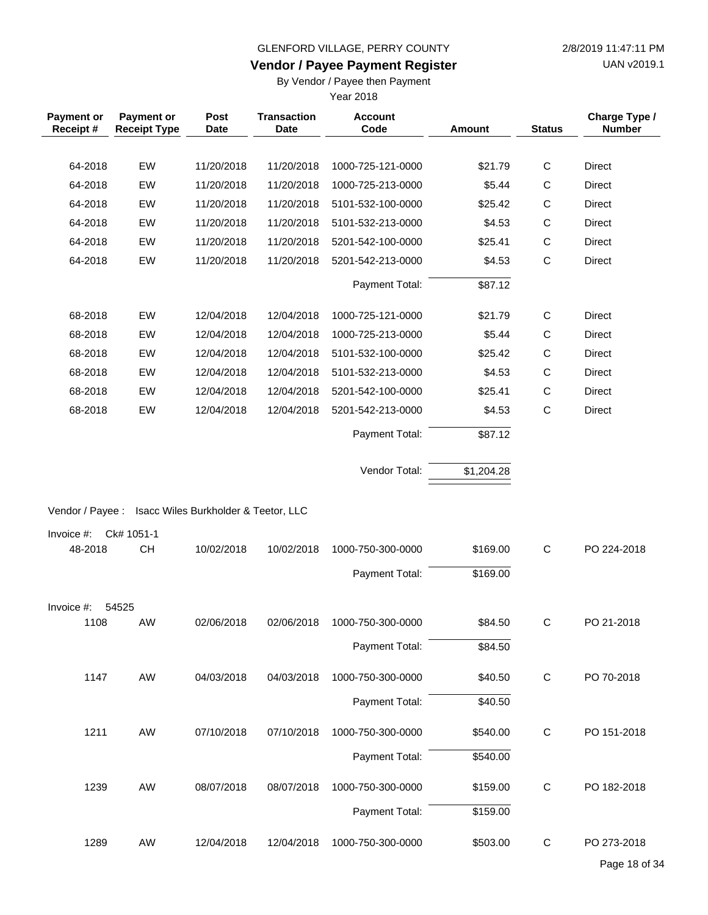## **Vendor / Payee Payment Register**

UAN v2019.1

By Vendor / Payee then Payment

| Payment or<br>Receipt# | Payment or<br><b>Receipt Type</b> | Post<br><b>Date</b>                  | <b>Transaction</b><br><b>Date</b> | <b>Account</b><br>Code | <b>Amount</b> | <b>Status</b> | Charge Type /<br><b>Number</b> |
|------------------------|-----------------------------------|--------------------------------------|-----------------------------------|------------------------|---------------|---------------|--------------------------------|
|                        |                                   |                                      |                                   |                        |               |               |                                |
| 64-2018                | EW                                | 11/20/2018                           | 11/20/2018                        | 1000-725-121-0000      | \$21.79       | $\mathsf{C}$  | <b>Direct</b>                  |
| 64-2018                | EW                                | 11/20/2018                           | 11/20/2018                        | 1000-725-213-0000      | \$5.44        | $\mathsf C$   | Direct                         |
| 64-2018                | EW                                | 11/20/2018                           | 11/20/2018                        | 5101-532-100-0000      | \$25.42       | $\mathsf{C}$  | <b>Direct</b>                  |
| 64-2018                | EW                                | 11/20/2018                           | 11/20/2018                        | 5101-532-213-0000      | \$4.53        | $\mathsf C$   | <b>Direct</b>                  |
| 64-2018                | EW                                | 11/20/2018                           | 11/20/2018                        | 5201-542-100-0000      | \$25.41       | $\mathsf C$   | <b>Direct</b>                  |
| 64-2018                | EW                                | 11/20/2018                           | 11/20/2018                        | 5201-542-213-0000      | \$4.53        | $\mathsf{C}$  | <b>Direct</b>                  |
|                        |                                   |                                      |                                   | Payment Total:         | \$87.12       |               |                                |
| 68-2018                | EW                                | 12/04/2018                           | 12/04/2018                        | 1000-725-121-0000      | \$21.79       | $\mathsf{C}$  | <b>Direct</b>                  |
| 68-2018                | EW                                | 12/04/2018                           | 12/04/2018                        | 1000-725-213-0000      | \$5.44        | $\mathsf{C}$  | <b>Direct</b>                  |
| 68-2018                | EW                                | 12/04/2018                           | 12/04/2018                        | 5101-532-100-0000      | \$25.42       | $\mathsf C$   | <b>Direct</b>                  |
| 68-2018                | EW                                | 12/04/2018                           | 12/04/2018                        | 5101-532-213-0000      | \$4.53        | $\mathsf C$   | Direct                         |
| 68-2018                | EW                                | 12/04/2018                           | 12/04/2018                        | 5201-542-100-0000      | \$25.41       | $\mathsf C$   | <b>Direct</b>                  |
| 68-2018                | EW                                | 12/04/2018                           | 12/04/2018                        | 5201-542-213-0000      | \$4.53        | $\mathsf{C}$  | <b>Direct</b>                  |
|                        |                                   |                                      |                                   | Payment Total:         | \$87.12       |               |                                |
|                        |                                   |                                      |                                   | Vendor Total:          | \$1,204.28    |               |                                |
| Vendor / Payee :       |                                   | Isacc Wiles Burkholder & Teetor, LLC |                                   |                        |               |               |                                |
| Invoice #:             | Ck# 1051-1                        |                                      |                                   |                        |               |               |                                |
| 48-2018                | <b>CH</b>                         | 10/02/2018                           | 10/02/2018                        | 1000-750-300-0000      | \$169.00      | C             | PO 224-2018                    |
|                        |                                   |                                      |                                   | Payment Total:         | \$169.00      |               |                                |
| Invoice #:             | 54525                             |                                      |                                   |                        |               |               |                                |
| 1108                   | AW                                | 02/06/2018                           | 02/06/2018                        | 1000-750-300-0000      | \$84.50       | $\mathsf{C}$  | PO 21-2018                     |
|                        |                                   |                                      |                                   | Payment Total:         | \$84.50       |               |                                |
| 1147                   | AW                                | 04/03/2018                           | 04/03/2018                        | 1000-750-300-0000      | \$40.50       | $\mathbf C$   | PO 70-2018                     |
|                        |                                   |                                      |                                   | Payment Total:         | \$40.50       |               |                                |
| 1211                   | AW                                | 07/10/2018                           | 07/10/2018                        | 1000-750-300-0000      | \$540.00      | $\mathsf C$   | PO 151-2018                    |
|                        |                                   |                                      |                                   | Payment Total:         | \$540.00      |               |                                |
| 1239                   | AW                                | 08/07/2018                           | 08/07/2018                        | 1000-750-300-0000      | \$159.00      | $\mathbf C$   | PO 182-2018                    |
|                        |                                   |                                      |                                   | Payment Total:         | \$159.00      |               |                                |
| 1289                   | AW                                | 12/04/2018                           | 12/04/2018                        | 1000-750-300-0000      | \$503.00      | C             | PO 273-2018                    |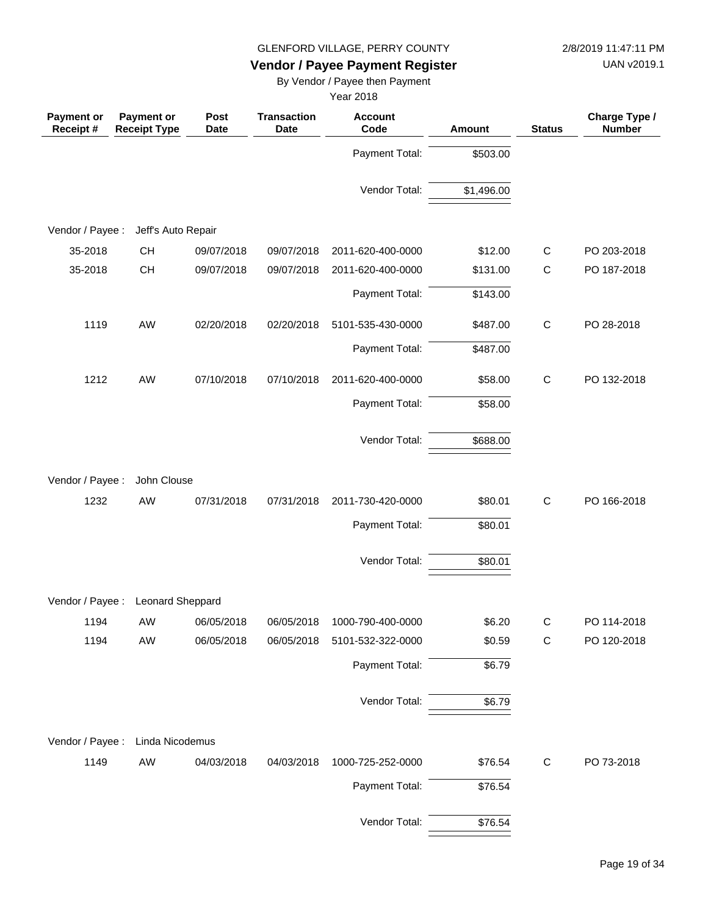UAN v2019.1

## **Vendor / Payee Payment Register**

By Vendor / Payee then Payment

| <b>Payment or</b><br>Receipt# | Payment or<br><b>Receipt Type</b> | Post<br><b>Date</b> | <b>Transaction</b><br><b>Date</b> | <b>Account</b><br>Code | <b>Amount</b> | <b>Status</b> | Charge Type /<br><b>Number</b> |
|-------------------------------|-----------------------------------|---------------------|-----------------------------------|------------------------|---------------|---------------|--------------------------------|
|                               |                                   |                     |                                   | Payment Total:         | \$503.00      |               |                                |
|                               |                                   |                     |                                   | Vendor Total:          | \$1,496.00    |               |                                |
|                               |                                   |                     |                                   |                        |               |               |                                |
| Vendor / Payee :              | Jeff's Auto Repair                |                     |                                   |                        |               |               |                                |
| 35-2018                       | <b>CH</b>                         | 09/07/2018          | 09/07/2018                        | 2011-620-400-0000      | \$12.00       | $\mathsf{C}$  | PO 203-2018                    |
| 35-2018                       | <b>CH</b>                         | 09/07/2018          | 09/07/2018                        | 2011-620-400-0000      | \$131.00      | $\mathsf{C}$  | PO 187-2018                    |
|                               |                                   |                     |                                   | Payment Total:         | \$143.00      |               |                                |
| 1119                          | AW                                | 02/20/2018          | 02/20/2018                        | 5101-535-430-0000      | \$487.00      | $\mathsf C$   | PO 28-2018                     |
|                               |                                   |                     |                                   | Payment Total:         | \$487.00      |               |                                |
| 1212                          | AW                                | 07/10/2018          | 07/10/2018                        | 2011-620-400-0000      | \$58.00       | $\mathsf C$   | PO 132-2018                    |
|                               |                                   |                     |                                   | Payment Total:         | \$58.00       |               |                                |
|                               |                                   |                     |                                   | Vendor Total:          | \$688.00      |               |                                |
| Vendor / Payee :              | John Clouse                       |                     |                                   |                        |               |               |                                |
| 1232                          | AW                                | 07/31/2018          | 07/31/2018                        | 2011-730-420-0000      | \$80.01       | $\mathsf{C}$  | PO 166-2018                    |
|                               |                                   |                     |                                   | Payment Total:         | \$80.01       |               |                                |
|                               |                                   |                     |                                   | Vendor Total:          | \$80.01       |               |                                |
| Vendor / Payee :              | Leonard Sheppard                  |                     |                                   |                        |               |               |                                |
| 1194                          | AW                                | 06/05/2018          | 06/05/2018                        | 1000-790-400-0000      | \$6.20        | $\mathsf{C}$  | PO 114-2018                    |
| 1194                          | AW                                | 06/05/2018          | 06/05/2018                        | 5101-532-322-0000      | \$0.59        | $\mathsf{C}$  | PO 120-2018                    |
|                               |                                   |                     |                                   | Payment Total:         | \$6.79        |               |                                |
|                               |                                   |                     |                                   | Vendor Total:          | \$6.79        |               |                                |
| Vendor / Payee :              | Linda Nicodemus                   |                     |                                   |                        |               |               |                                |
| 1149                          | AW                                | 04/03/2018          | 04/03/2018                        | 1000-725-252-0000      | \$76.54       | $\mathsf{C}$  | PO 73-2018                     |
|                               |                                   |                     |                                   | Payment Total:         | \$76.54       |               |                                |
|                               |                                   |                     |                                   |                        |               |               |                                |
|                               |                                   |                     |                                   | Vendor Total:          | \$76.54       |               |                                |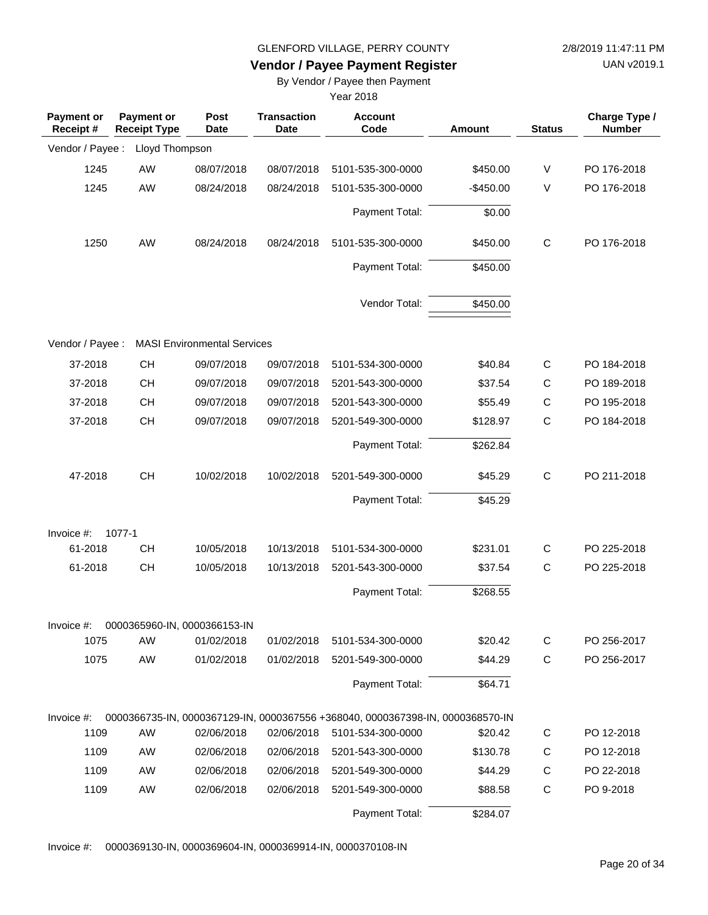UAN v2019.1

#### **Vendor / Payee Payment Register**

By Vendor / Payee then Payment

Year 2018

| <b>Payment or</b><br>Receipt# | <b>Payment or</b><br><b>Receipt Type</b> | Post<br><b>Date</b>                | <b>Transaction</b><br><b>Date</b> | <b>Account</b><br>Code                                                         | <b>Amount</b> | <b>Status</b> | Charge Type /<br><b>Number</b> |
|-------------------------------|------------------------------------------|------------------------------------|-----------------------------------|--------------------------------------------------------------------------------|---------------|---------------|--------------------------------|
| Vendor / Payee :              | Lloyd Thompson                           |                                    |                                   |                                                                                |               |               |                                |
| 1245                          | AW                                       | 08/07/2018                         | 08/07/2018                        | 5101-535-300-0000                                                              | \$450.00      | V             | PO 176-2018                    |
| 1245                          | AW                                       | 08/24/2018                         | 08/24/2018                        | 5101-535-300-0000                                                              | $-$450.00$    | V             | PO 176-2018                    |
|                               |                                          |                                    |                                   | Payment Total:                                                                 | \$0.00        |               |                                |
| 1250                          | AW                                       | 08/24/2018                         | 08/24/2018                        | 5101-535-300-0000                                                              | \$450.00      | $\mathsf C$   | PO 176-2018                    |
|                               |                                          |                                    |                                   | Payment Total:                                                                 | \$450.00      |               |                                |
|                               |                                          |                                    |                                   | Vendor Total:                                                                  | \$450.00      |               |                                |
| Vendor / Payee :              |                                          | <b>MASI Environmental Services</b> |                                   |                                                                                |               |               |                                |
| 37-2018                       | <b>CH</b>                                | 09/07/2018                         | 09/07/2018                        | 5101-534-300-0000                                                              | \$40.84       | $\mathsf C$   | PO 184-2018                    |
| 37-2018                       | <b>CH</b>                                | 09/07/2018                         | 09/07/2018                        | 5201-543-300-0000                                                              | \$37.54       | С             | PO 189-2018                    |
| 37-2018                       | CH                                       | 09/07/2018                         | 09/07/2018                        | 5201-543-300-0000                                                              | \$55.49       | $\mathsf C$   | PO 195-2018                    |
| 37-2018                       | CH                                       | 09/07/2018                         | 09/07/2018                        | 5201-549-300-0000                                                              | \$128.97      | C             | PO 184-2018                    |
|                               |                                          |                                    |                                   | Payment Total:                                                                 | \$262.84      |               |                                |
| 47-2018                       | CH                                       | 10/02/2018                         | 10/02/2018                        | 5201-549-300-0000                                                              | \$45.29       | $\mathsf C$   | PO 211-2018                    |
|                               |                                          |                                    |                                   | Payment Total:                                                                 | \$45.29       |               |                                |
| Invoice $#$ :                 | 1077-1                                   |                                    |                                   |                                                                                |               |               |                                |
| 61-2018                       | <b>CH</b>                                | 10/05/2018                         | 10/13/2018                        | 5101-534-300-0000                                                              | \$231.01      | C             | PO 225-2018                    |
| 61-2018                       | CH                                       | 10/05/2018                         | 10/13/2018                        | 5201-543-300-0000                                                              | \$37.54       | $\mathsf C$   | PO 225-2018                    |
|                               |                                          |                                    |                                   | Payment Total:                                                                 | \$268.55      |               |                                |
| Invoice #:                    | 0000365960-IN, 0000366153-IN             |                                    |                                   |                                                                                |               |               |                                |
| 1075                          | AW                                       | 01/02/2018                         | 01/02/2018                        | 5101-534-300-0000                                                              | \$20.42       | C             | PO 256-2017                    |
| 1075                          | AW                                       | 01/02/2018                         | 01/02/2018                        | 5201-549-300-0000                                                              | \$44.29       | $\mathsf C$   | PO 256-2017                    |
|                               |                                          |                                    |                                   | Payment Total:                                                                 | \$64.71       |               |                                |
| Invoice #:                    |                                          |                                    |                                   | 0000366735-IN, 0000367129-IN, 0000367556 +368040, 0000367398-IN, 0000368570-IN |               |               |                                |
| 1109                          | AW                                       | 02/06/2018                         | 02/06/2018                        | 5101-534-300-0000                                                              | \$20.42       | C             | PO 12-2018                     |
| 1109                          | AW                                       | 02/06/2018                         | 02/06/2018                        | 5201-543-300-0000                                                              | \$130.78      | C             | PO 12-2018                     |
| 1109                          | AW                                       | 02/06/2018                         | 02/06/2018                        | 5201-549-300-0000                                                              | \$44.29       | C             | PO 22-2018                     |
| 1109                          | AW                                       | 02/06/2018                         | 02/06/2018                        | 5201-549-300-0000                                                              | \$88.58       | $\mathsf C$   | PO 9-2018                      |
|                               |                                          |                                    |                                   | Payment Total:                                                                 | \$284.07      |               |                                |

Invoice #: 0000369130-IN, 0000369604-IN, 0000369914-IN, 0000370108-IN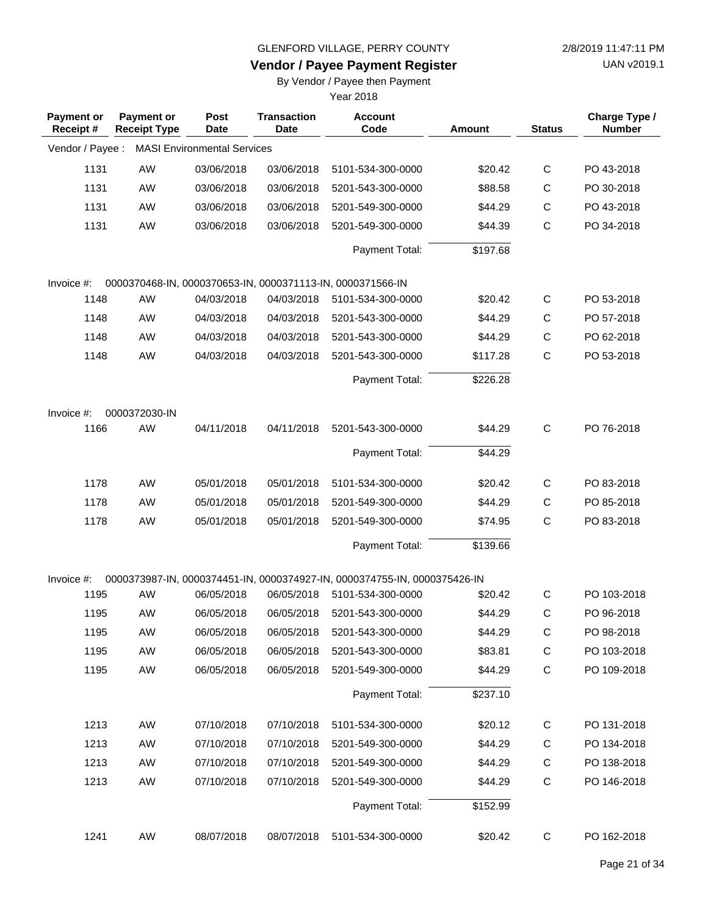**Vendor / Payee Payment Register**

UAN v2019.1

# By Vendor / Payee then Payment

| <b>Payment or</b><br>Receipt# | <b>Payment or</b><br><b>Receipt Type</b> | <b>Post</b><br>Date                | <b>Transaction</b><br><b>Date</b> | <b>Account</b><br>Code                                                    | <b>Amount</b> | <b>Status</b> | Charge Type /<br><b>Number</b> |
|-------------------------------|------------------------------------------|------------------------------------|-----------------------------------|---------------------------------------------------------------------------|---------------|---------------|--------------------------------|
| Vendor / Payee :              |                                          | <b>MASI Environmental Services</b> |                                   |                                                                           |               |               |                                |
| 1131                          | AW                                       | 03/06/2018                         | 03/06/2018                        | 5101-534-300-0000                                                         | \$20.42       | $\mathsf C$   | PO 43-2018                     |
| 1131                          | AW                                       | 03/06/2018                         | 03/06/2018                        | 5201-543-300-0000                                                         | \$88.58       | $\mathsf C$   | PO 30-2018                     |
| 1131                          | AW                                       | 03/06/2018                         | 03/06/2018                        | 5201-549-300-0000                                                         | \$44.29       | $\mathsf{C}$  | PO 43-2018                     |
| 1131                          | AW                                       | 03/06/2018                         | 03/06/2018                        | 5201-549-300-0000                                                         | \$44.39       | $\mathsf{C}$  | PO 34-2018                     |
|                               |                                          |                                    |                                   | Payment Total:                                                            | \$197.68      |               |                                |
| Invoice $#$ :                 |                                          |                                    |                                   | 0000370468-IN, 0000370653-IN, 0000371113-IN, 0000371566-IN                |               |               |                                |
| 1148                          | AW                                       | 04/03/2018                         | 04/03/2018                        | 5101-534-300-0000                                                         | \$20.42       | C             | PO 53-2018                     |
| 1148                          | AW                                       | 04/03/2018                         | 04/03/2018                        | 5201-543-300-0000                                                         | \$44.29       | $\mathsf{C}$  | PO 57-2018                     |
| 1148                          | AW                                       | 04/03/2018                         | 04/03/2018                        | 5201-543-300-0000                                                         | \$44.29       | $\mathsf{C}$  | PO 62-2018                     |
| 1148                          | AW                                       | 04/03/2018                         | 04/03/2018                        | 5201-543-300-0000                                                         | \$117.28      | $\mathsf{C}$  | PO 53-2018                     |
|                               |                                          |                                    |                                   | Payment Total:                                                            | \$226.28      |               |                                |
| Invoice #:                    | 0000372030-IN                            |                                    |                                   |                                                                           |               |               |                                |
| 1166                          | AW                                       | 04/11/2018                         | 04/11/2018                        | 5201-543-300-0000                                                         | \$44.29       | $\mathsf{C}$  | PO 76-2018                     |
|                               |                                          |                                    |                                   | Payment Total:                                                            | \$44.29       |               |                                |
| 1178                          | AW                                       | 05/01/2018                         | 05/01/2018                        | 5101-534-300-0000                                                         | \$20.42       | C             | PO 83-2018                     |
| 1178                          | AW                                       | 05/01/2018                         | 05/01/2018                        | 5201-549-300-0000                                                         | \$44.29       | $\mathsf{C}$  | PO 85-2018                     |
| 1178                          | AW                                       | 05/01/2018                         | 05/01/2018                        | 5201-549-300-0000                                                         | \$74.95       | $\mathsf{C}$  | PO 83-2018                     |
|                               |                                          |                                    |                                   | Payment Total:                                                            | \$139.66      |               |                                |
| Invoice #:                    |                                          |                                    |                                   | 0000373987-IN, 0000374451-IN, 0000374927-IN, 0000374755-IN, 0000375426-IN |               |               |                                |
| 1195                          | AW                                       | 06/05/2018                         | 06/05/2018                        | 5101-534-300-0000                                                         | \$20.42       | C             | PO 103-2018                    |
| 1195                          | AW                                       | 06/05/2018                         | 06/05/2018                        | 5201-543-300-0000                                                         | \$44.29       | C             | PO 96-2018                     |
| 1195                          | AW                                       | 06/05/2018                         | 06/05/2018                        | 5201-543-300-0000                                                         | \$44.29       | C             | PO 98-2018                     |
| 1195                          | AW                                       | 06/05/2018                         | 06/05/2018                        | 5201-543-300-0000                                                         | \$83.81       | C             | PO 103-2018                    |
| 1195                          | AW                                       | 06/05/2018                         | 06/05/2018                        | 5201-549-300-0000                                                         | \$44.29       | $\mathsf C$   | PO 109-2018                    |
|                               |                                          |                                    |                                   | Payment Total:                                                            | \$237.10      |               |                                |
| 1213                          | AW                                       | 07/10/2018                         | 07/10/2018                        | 5101-534-300-0000                                                         | \$20.12       | C             | PO 131-2018                    |
| 1213                          | AW                                       | 07/10/2018                         | 07/10/2018                        | 5201-549-300-0000                                                         | \$44.29       | C             | PO 134-2018                    |
| 1213                          | AW                                       | 07/10/2018                         | 07/10/2018                        | 5201-549-300-0000                                                         | \$44.29       | C             | PO 138-2018                    |
| 1213                          | AW                                       | 07/10/2018                         | 07/10/2018                        | 5201-549-300-0000                                                         | \$44.29       | C             | PO 146-2018                    |
|                               |                                          |                                    |                                   | Payment Total:                                                            | \$152.99      |               |                                |
| 1241                          | AW                                       | 08/07/2018                         | 08/07/2018                        | 5101-534-300-0000                                                         | \$20.42       | C             | PO 162-2018                    |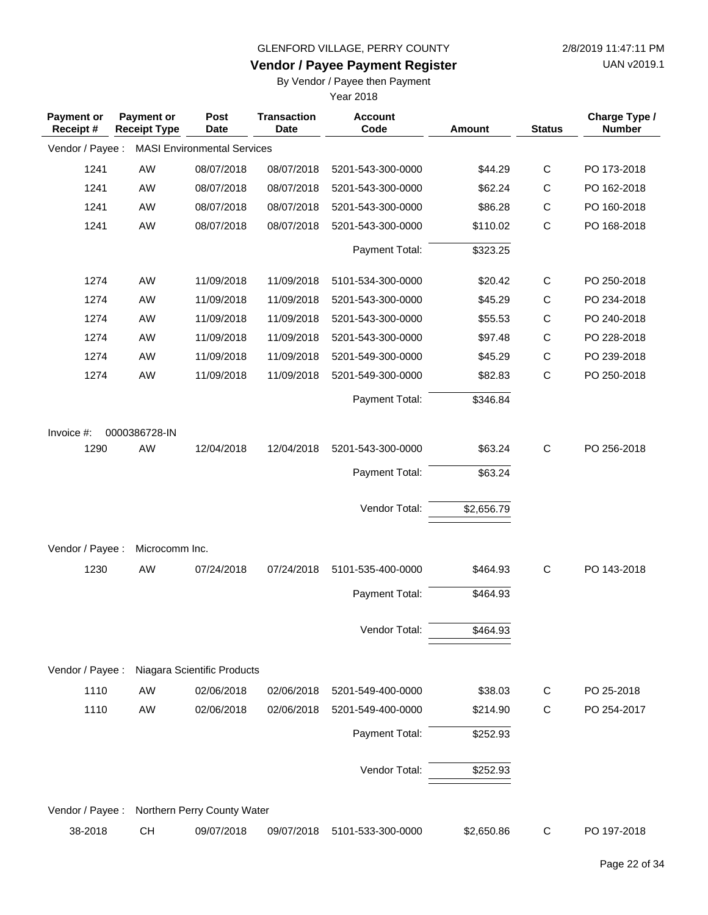**Vendor / Payee Payment Register**

UAN v2019.1

### By Vendor / Payee then Payment

| <b>Payment or</b><br>Receipt # | <b>Payment or</b><br><b>Receipt Type</b> | Post<br><b>Date</b>                | <b>Transaction</b><br><b>Date</b> | <b>Account</b><br>Code | Amount     | <b>Status</b> | Charge Type /<br><b>Number</b> |
|--------------------------------|------------------------------------------|------------------------------------|-----------------------------------|------------------------|------------|---------------|--------------------------------|
| Vendor / Payee :               |                                          | <b>MASI Environmental Services</b> |                                   |                        |            |               |                                |
| 1241                           | AW                                       | 08/07/2018                         | 08/07/2018                        | 5201-543-300-0000      | \$44.29    | $\mathsf C$   | PO 173-2018                    |
| 1241                           | AW                                       | 08/07/2018                         | 08/07/2018                        | 5201-543-300-0000      | \$62.24    | $\mathsf C$   | PO 162-2018                    |
| 1241                           | AW                                       | 08/07/2018                         | 08/07/2018                        | 5201-543-300-0000      | \$86.28    | $\mathsf C$   | PO 160-2018                    |
| 1241                           | AW                                       | 08/07/2018                         | 08/07/2018                        | 5201-543-300-0000      | \$110.02   | $\mathsf{C}$  | PO 168-2018                    |
|                                |                                          |                                    |                                   | Payment Total:         | \$323.25   |               |                                |
| 1274                           | AW                                       | 11/09/2018                         | 11/09/2018                        | 5101-534-300-0000      | \$20.42    | $\mathsf C$   | PO 250-2018                    |
| 1274                           | AW                                       | 11/09/2018                         | 11/09/2018                        | 5201-543-300-0000      | \$45.29    | $\mathsf C$   | PO 234-2018                    |
| 1274                           | AW                                       | 11/09/2018                         | 11/09/2018                        | 5201-543-300-0000      | \$55.53    | $\mathsf C$   | PO 240-2018                    |
| 1274                           | AW                                       | 11/09/2018                         | 11/09/2018                        | 5201-543-300-0000      | \$97.48    | $\mathsf C$   | PO 228-2018                    |
| 1274                           | AW                                       | 11/09/2018                         | 11/09/2018                        | 5201-549-300-0000      | \$45.29    | $\mathsf C$   | PO 239-2018                    |
| 1274                           | AW                                       | 11/09/2018                         | 11/09/2018                        | 5201-549-300-0000      | \$82.83    | $\mathsf{C}$  | PO 250-2018                    |
|                                |                                          |                                    |                                   | Payment Total:         | \$346.84   |               |                                |
| Invoice #:                     | 0000386728-IN                            |                                    |                                   |                        |            |               |                                |
| 1290                           | AW                                       | 12/04/2018                         | 12/04/2018                        | 5201-543-300-0000      | \$63.24    | $\mathsf{C}$  | PO 256-2018                    |
|                                |                                          |                                    |                                   | Payment Total:         | \$63.24    |               |                                |
|                                |                                          |                                    |                                   | Vendor Total:          | \$2,656.79 |               |                                |
| Vendor / Payee :               | Microcomm Inc.                           |                                    |                                   |                        |            |               |                                |
| 1230                           | AW                                       | 07/24/2018                         | 07/24/2018                        | 5101-535-400-0000      | \$464.93   | $\mathsf{C}$  | PO 143-2018                    |
|                                |                                          |                                    |                                   | Payment Total:         | \$464.93   |               |                                |
|                                |                                          |                                    |                                   | Vendor Total:          | \$464.93   |               |                                |
| Vendor / Payee :               |                                          | Niagara Scientific Products        |                                   |                        |            |               |                                |
| 1110                           | AW                                       | 02/06/2018                         | 02/06/2018                        | 5201-549-400-0000      | \$38.03    | C             | PO 25-2018                     |
| 1110                           | AW                                       | 02/06/2018                         | 02/06/2018                        | 5201-549-400-0000      | \$214.90   | $\mathbf C$   | PO 254-2017                    |
|                                |                                          |                                    |                                   | Payment Total:         | \$252.93   |               |                                |
|                                |                                          |                                    |                                   | Vendor Total:          | \$252.93   |               |                                |
| Vendor / Payee :               |                                          | Northern Perry County Water        |                                   |                        |            |               |                                |
| 38-2018                        | CH                                       | 09/07/2018                         | 09/07/2018                        | 5101-533-300-0000      | \$2,650.86 | C             | PO 197-2018                    |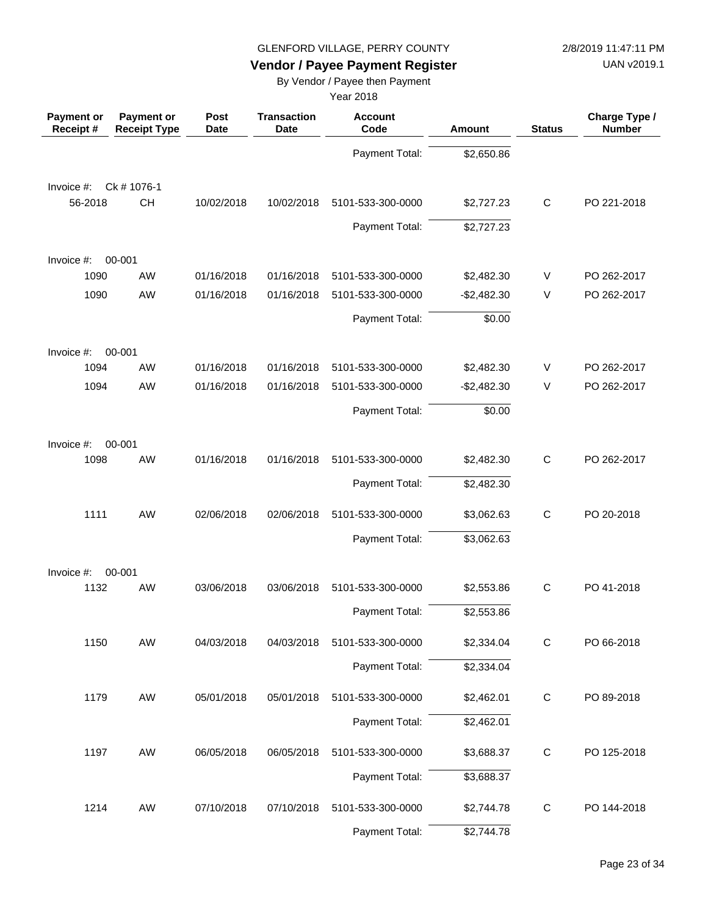UAN v2019.1

# **Vendor / Payee Payment Register**

### By Vendor / Payee then Payment

| <b>Payment or</b><br>Receipt# | <b>Payment or</b><br><b>Receipt Type</b> | Post<br><b>Date</b> | <b>Transaction</b><br><b>Date</b> | <b>Account</b><br>Code | <b>Amount</b> | <b>Status</b> | Charge Type /<br><b>Number</b> |
|-------------------------------|------------------------------------------|---------------------|-----------------------------------|------------------------|---------------|---------------|--------------------------------|
|                               |                                          |                     |                                   | Payment Total:         | \$2,650.86    |               |                                |
| Invoice #:                    | Ck # 1076-1                              |                     |                                   |                        |               |               |                                |
| 56-2018                       | CH                                       | 10/02/2018          | 10/02/2018                        | 5101-533-300-0000      | \$2,727.23    | $\mathsf{C}$  | PO 221-2018                    |
|                               |                                          |                     |                                   | Payment Total:         | \$2,727.23    |               |                                |
| Invoice #:                    | 00-001                                   |                     |                                   |                        |               |               |                                |
| 1090                          | <b>AW</b>                                | 01/16/2018          | 01/16/2018                        | 5101-533-300-0000      | \$2,482.30    | V             | PO 262-2017                    |
| 1090                          | <b>AW</b>                                | 01/16/2018          | 01/16/2018                        | 5101-533-300-0000      | $-$2,482.30$  | $\vee$        | PO 262-2017                    |
|                               |                                          |                     |                                   | Payment Total:         | \$0.00        |               |                                |
| Invoice #:                    | 00-001                                   |                     |                                   |                        |               |               |                                |
| 1094                          | <b>AW</b>                                | 01/16/2018          | 01/16/2018                        | 5101-533-300-0000      | \$2,482.30    | V             | PO 262-2017                    |
| 1094                          | <b>AW</b>                                | 01/16/2018          | 01/16/2018                        | 5101-533-300-0000      | $-$2,482.30$  | $\vee$        | PO 262-2017                    |
|                               |                                          |                     |                                   | Payment Total:         | \$0.00        |               |                                |
| Invoice #:                    | 00-001                                   |                     |                                   |                        |               |               |                                |
| 1098                          | <b>AW</b>                                | 01/16/2018          | 01/16/2018                        | 5101-533-300-0000      | \$2,482.30    | $\mathsf{C}$  | PO 262-2017                    |
|                               |                                          |                     |                                   | Payment Total:         | \$2,482.30    |               |                                |
| 1111                          | <b>AW</b>                                | 02/06/2018          | 02/06/2018                        | 5101-533-300-0000      | \$3,062.63    | $\mathsf{C}$  | PO 20-2018                     |
|                               |                                          |                     |                                   | Payment Total:         | \$3,062.63    |               |                                |
| Invoice #:                    | 00-001                                   |                     |                                   |                        |               |               |                                |
| 1132                          | <b>AW</b>                                | 03/06/2018          | 03/06/2018                        | 5101-533-300-0000      | \$2,553.86    | C             | PO 41-2018                     |
|                               |                                          |                     |                                   | Payment Total:         | \$2,553.86    |               |                                |
| 1150                          | AW                                       | 04/03/2018          | 04/03/2018                        | 5101-533-300-0000      | \$2,334.04    | $\mathsf{C}$  | PO 66-2018                     |
|                               |                                          |                     |                                   | Payment Total:         | \$2,334.04    |               |                                |
| 1179                          | AW                                       | 05/01/2018          | 05/01/2018                        | 5101-533-300-0000      | \$2,462.01    | $\mathbf C$   | PO 89-2018                     |
|                               |                                          |                     |                                   | Payment Total:         | \$2,462.01    |               |                                |
| 1197                          | AW                                       | 06/05/2018          | 06/05/2018                        | 5101-533-300-0000      | \$3,688.37    | $\mathbf C$   | PO 125-2018                    |
|                               |                                          |                     |                                   | Payment Total:         | \$3,688.37    |               |                                |
| 1214                          | AW                                       | 07/10/2018          | 07/10/2018                        | 5101-533-300-0000      | \$2,744.78    | $\mathsf C$   | PO 144-2018                    |
|                               |                                          |                     |                                   | Payment Total:         | \$2,744.78    |               |                                |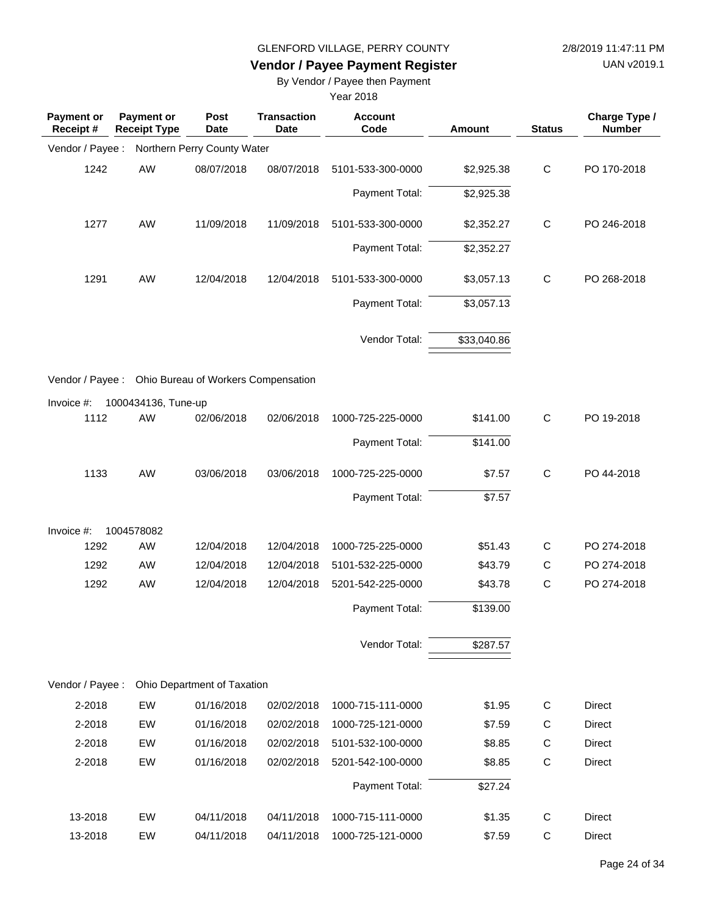**Vendor / Payee Payment Register**

UAN v2019.1

### By Vendor / Payee then Payment

| <b>Payment or</b><br>Receipt# | <b>Payment or</b><br><b>Receipt Type</b> | Post<br><b>Date</b>                 | <b>Transaction</b><br><b>Date</b> | <b>Account</b><br>Code | Amount      | <b>Status</b> | Charge Type /<br><b>Number</b> |
|-------------------------------|------------------------------------------|-------------------------------------|-----------------------------------|------------------------|-------------|---------------|--------------------------------|
| Vendor / Payee :              |                                          | Northern Perry County Water         |                                   |                        |             |               |                                |
| 1242                          | AW                                       | 08/07/2018                          | 08/07/2018                        | 5101-533-300-0000      | \$2,925.38  | $\mathbf C$   | PO 170-2018                    |
|                               |                                          |                                     |                                   | Payment Total:         | \$2,925.38  |               |                                |
| 1277                          | AW                                       | 11/09/2018                          | 11/09/2018                        | 5101-533-300-0000      | \$2,352.27  | $\mathbf C$   | PO 246-2018                    |
|                               |                                          |                                     |                                   | Payment Total:         | \$2,352.27  |               |                                |
| 1291                          | AW                                       | 12/04/2018                          | 12/04/2018                        | 5101-533-300-0000      | \$3,057.13  | $\mathbf C$   | PO 268-2018                    |
|                               |                                          |                                     |                                   | Payment Total:         | \$3,057.13  |               |                                |
|                               |                                          |                                     |                                   | Vendor Total:          | \$33,040.86 |               |                                |
| Vendor / Payee :              |                                          | Ohio Bureau of Workers Compensation |                                   |                        |             |               |                                |
| Invoice #:                    | 1000434136, Tune-up                      |                                     |                                   |                        |             |               |                                |
| 1112                          | AW                                       | 02/06/2018                          | 02/06/2018                        | 1000-725-225-0000      | \$141.00    | $\mathsf C$   | PO 19-2018                     |
|                               |                                          |                                     |                                   | Payment Total:         | \$141.00    |               |                                |
| 1133                          | AW                                       | 03/06/2018                          | 03/06/2018                        | 1000-725-225-0000      | \$7.57      | $\mathsf{C}$  | PO 44-2018                     |
|                               |                                          |                                     |                                   | Payment Total:         | \$7.57      |               |                                |
| Invoice #:                    | 1004578082                               |                                     |                                   |                        |             |               |                                |
| 1292                          | AW                                       | 12/04/2018                          | 12/04/2018                        | 1000-725-225-0000      | \$51.43     | C             | PO 274-2018                    |
| 1292                          | AW                                       | 12/04/2018                          | 12/04/2018                        | 5101-532-225-0000      | \$43.79     | C             | PO 274-2018                    |
| 1292                          | AW                                       | 12/04/2018                          | 12/04/2018                        | 5201-542-225-0000      | \$43.78     | $\mathsf{C}$  | PO 274-2018                    |
|                               |                                          |                                     |                                   | Payment Total:         | \$139.00    |               |                                |
|                               |                                          |                                     |                                   | Vendor Total:          | \$287.57    |               |                                |
| Vendor / Payee :              |                                          | Ohio Department of Taxation         |                                   |                        |             |               |                                |
| 2-2018                        | EW                                       | 01/16/2018                          | 02/02/2018                        | 1000-715-111-0000      | \$1.95      | С             | Direct                         |
| 2-2018                        | EW                                       | 01/16/2018                          | 02/02/2018                        | 1000-725-121-0000      | \$7.59      | $\mathsf{C}$  | Direct                         |
| 2-2018                        | EW                                       | 01/16/2018                          | 02/02/2018                        | 5101-532-100-0000      | \$8.85      | C             | <b>Direct</b>                  |
| 2-2018                        | EW                                       | 01/16/2018                          | 02/02/2018                        | 5201-542-100-0000      | \$8.85      | $\mathsf C$   | Direct                         |
|                               |                                          |                                     |                                   | Payment Total:         | \$27.24     |               |                                |
| 13-2018                       | EW                                       | 04/11/2018                          | 04/11/2018                        | 1000-715-111-0000      | \$1.35      | C             | Direct                         |
| 13-2018                       | EW                                       | 04/11/2018                          | 04/11/2018                        | 1000-725-121-0000      | \$7.59      | C             | Direct                         |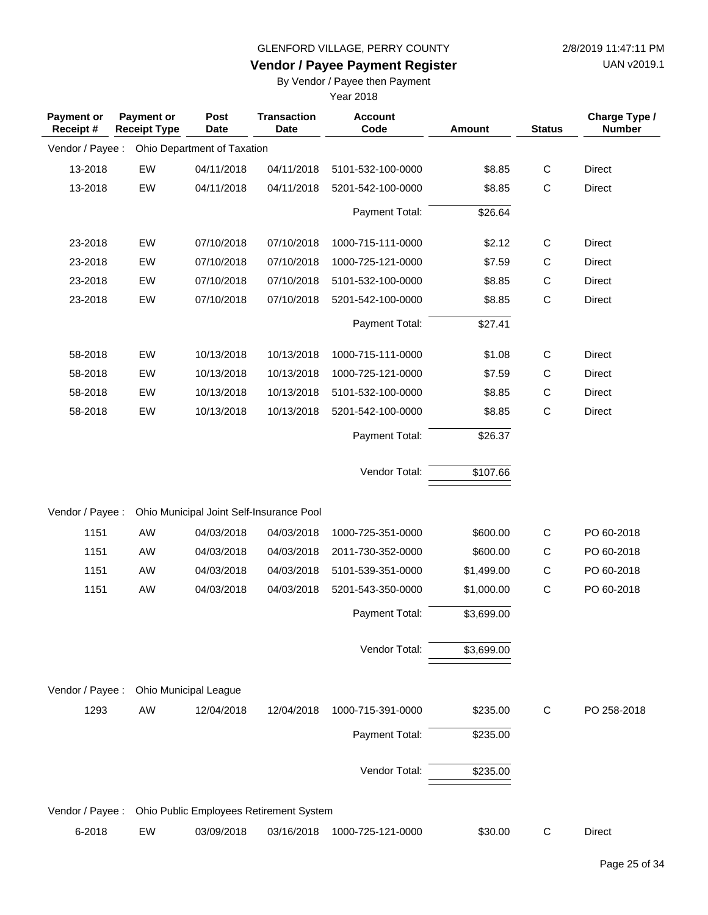**Vendor / Payee Payment Register**

UAN v2019.1

### By Vendor / Payee then Payment

| <b>Payment or</b><br>Receipt# | Payment or<br><b>Receipt Type</b> | Post<br><b>Date</b>                      | <b>Transaction</b><br>Date | <b>Account</b><br>Code | Amount     | <b>Status</b> | Charge Type /<br><b>Number</b> |
|-------------------------------|-----------------------------------|------------------------------------------|----------------------------|------------------------|------------|---------------|--------------------------------|
| Vendor / Payee:               |                                   | Ohio Department of Taxation              |                            |                        |            |               |                                |
| 13-2018                       | EW                                | 04/11/2018                               | 04/11/2018                 | 5101-532-100-0000      | \$8.85     | $\mathsf C$   | <b>Direct</b>                  |
| 13-2018                       | EW                                | 04/11/2018                               | 04/11/2018                 | 5201-542-100-0000      | \$8.85     | $\mathsf C$   | <b>Direct</b>                  |
|                               |                                   |                                          |                            | Payment Total:         | \$26.64    |               |                                |
| 23-2018                       | EW                                | 07/10/2018                               | 07/10/2018                 | 1000-715-111-0000      | \$2.12     | C             | Direct                         |
| 23-2018                       | EW                                | 07/10/2018                               | 07/10/2018                 | 1000-725-121-0000      | \$7.59     | C             | <b>Direct</b>                  |
| 23-2018                       | EW                                | 07/10/2018                               | 07/10/2018                 | 5101-532-100-0000      | \$8.85     | $\mathsf{C}$  | Direct                         |
| 23-2018                       | EW                                | 07/10/2018                               | 07/10/2018                 | 5201-542-100-0000      | \$8.85     | $\mathsf C$   | Direct                         |
|                               |                                   |                                          |                            | Payment Total:         | \$27.41    |               |                                |
| 58-2018                       | EW                                | 10/13/2018                               | 10/13/2018                 | 1000-715-111-0000      | \$1.08     | C             | Direct                         |
| 58-2018                       | EW                                | 10/13/2018                               | 10/13/2018                 | 1000-725-121-0000      | \$7.59     | $\mathsf C$   | <b>Direct</b>                  |
| 58-2018                       | EW                                | 10/13/2018                               | 10/13/2018                 | 5101-532-100-0000      | \$8.85     | $\mathsf{C}$  | <b>Direct</b>                  |
| 58-2018                       | EW                                | 10/13/2018                               | 10/13/2018                 | 5201-542-100-0000      | \$8.85     | $\mathsf{C}$  | <b>Direct</b>                  |
|                               |                                   |                                          |                            | Payment Total:         | \$26.37    |               |                                |
|                               |                                   |                                          |                            | Vendor Total:          | \$107.66   |               |                                |
| Vendor / Payee :              |                                   | Ohio Municipal Joint Self-Insurance Pool |                            |                        |            |               |                                |
| 1151                          | AW                                | 04/03/2018                               | 04/03/2018                 | 1000-725-351-0000      | \$600.00   | $\mathsf{C}$  | PO 60-2018                     |
| 1151                          | AW                                | 04/03/2018                               | 04/03/2018                 | 2011-730-352-0000      | \$600.00   | $\mathsf{C}$  | PO 60-2018                     |
| 1151                          | AW                                | 04/03/2018                               | 04/03/2018                 | 5101-539-351-0000      | \$1,499.00 | $\mathsf{C}$  | PO 60-2018                     |
| 1151                          | AW                                | 04/03/2018                               | 04/03/2018                 | 5201-543-350-0000      | \$1,000.00 | $\mathsf{C}$  | PO 60-2018                     |
|                               |                                   |                                          |                            | Payment Total:         | \$3,699.00 |               |                                |
|                               |                                   |                                          |                            | Vendor Total:          | \$3,699.00 |               |                                |
| Vendor / Payee :              |                                   | Ohio Municipal League                    |                            |                        |            |               |                                |
| 1293                          | AW                                | 12/04/2018                               | 12/04/2018                 | 1000-715-391-0000      | \$235.00   | C             | PO 258-2018                    |
|                               |                                   |                                          |                            | Payment Total:         | \$235.00   |               |                                |
|                               |                                   |                                          |                            | Vendor Total:          | \$235.00   |               |                                |
| Vendor / Payee :              |                                   | Ohio Public Employees Retirement System  |                            |                        |            |               |                                |
| 6-2018                        | EW                                | 03/09/2018                               | 03/16/2018                 | 1000-725-121-0000      | \$30.00    | C             | Direct                         |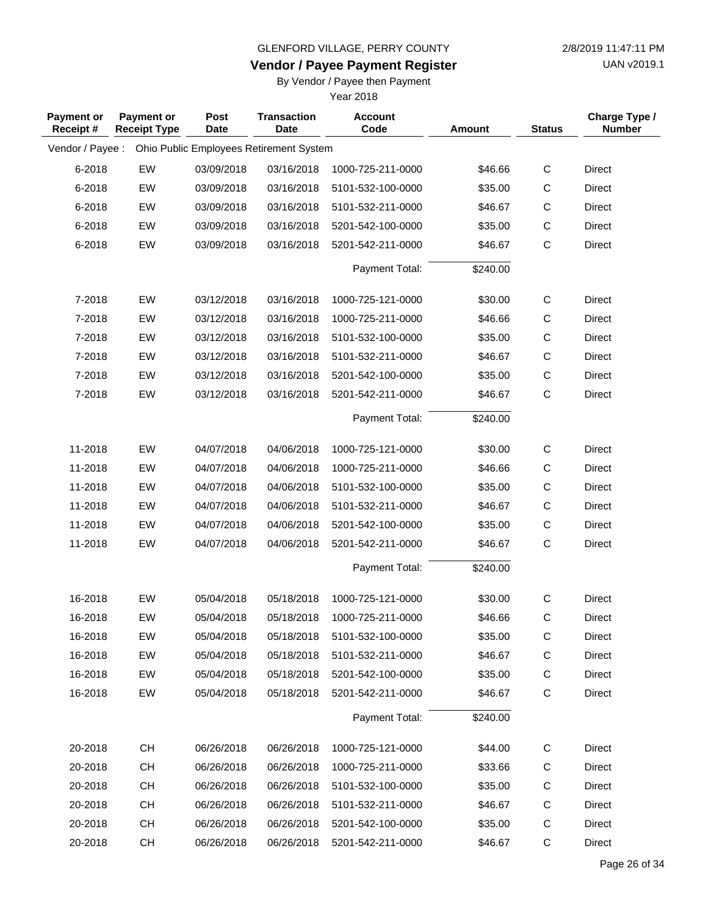**Vendor / Payee Payment Register**

UAN v2019.1

### By Vendor / Payee then Payment

| <b>Payment or</b><br>Receipt# | <b>Payment or</b><br><b>Receipt Type</b> | Post<br>Date | <b>Transaction</b><br>Date              | <b>Account</b><br>Code | <b>Amount</b> | <b>Status</b> | Charge Type /<br><b>Number</b> |
|-------------------------------|------------------------------------------|--------------|-----------------------------------------|------------------------|---------------|---------------|--------------------------------|
| Vendor / Payee :              |                                          |              | Ohio Public Employees Retirement System |                        |               |               |                                |
| 6-2018                        | EW                                       | 03/09/2018   | 03/16/2018                              | 1000-725-211-0000      | \$46.66       | $\mathbf C$   | <b>Direct</b>                  |
| 6-2018                        | EW                                       | 03/09/2018   | 03/16/2018                              | 5101-532-100-0000      | \$35.00       | C             | Direct                         |
| 6-2018                        | EW                                       | 03/09/2018   | 03/16/2018                              | 5101-532-211-0000      | \$46.67       | $\mathsf C$   | <b>Direct</b>                  |
| 6-2018                        | EW                                       | 03/09/2018   | 03/16/2018                              | 5201-542-100-0000      | \$35.00       | $\mathsf C$   | <b>Direct</b>                  |
| 6-2018                        | EW                                       | 03/09/2018   | 03/16/2018                              | 5201-542-211-0000      | \$46.67       | $\mathsf{C}$  | Direct                         |
|                               |                                          |              |                                         | Payment Total:         | \$240.00      |               |                                |
| 7-2018                        | EW                                       | 03/12/2018   | 03/16/2018                              | 1000-725-121-0000      | \$30.00       | $\mathbf C$   | <b>Direct</b>                  |
| 7-2018                        | EW                                       | 03/12/2018   | 03/16/2018                              | 1000-725-211-0000      | \$46.66       | C             | Direct                         |
| 7-2018                        | EW                                       | 03/12/2018   | 03/16/2018                              | 5101-532-100-0000      | \$35.00       | $\mathsf C$   | <b>Direct</b>                  |
| 7-2018                        | EW                                       | 03/12/2018   | 03/16/2018                              | 5101-532-211-0000      | \$46.67       | $\mathsf C$   | Direct                         |
| 7-2018                        | EW                                       | 03/12/2018   | 03/16/2018                              | 5201-542-100-0000      | \$35.00       | $\mathsf C$   | <b>Direct</b>                  |
| 7-2018                        | EW                                       | 03/12/2018   | 03/16/2018                              | 5201-542-211-0000      | \$46.67       | $\mathsf{C}$  | Direct                         |
|                               |                                          |              |                                         | Payment Total:         | \$240.00      |               |                                |
| 11-2018                       | EW                                       | 04/07/2018   | 04/06/2018                              | 1000-725-121-0000      | \$30.00       | $\mathbf C$   | Direct                         |
| 11-2018                       | EW                                       | 04/07/2018   | 04/06/2018                              | 1000-725-211-0000      | \$46.66       | $\mathsf C$   | Direct                         |
| 11-2018                       | EW                                       | 04/07/2018   | 04/06/2018                              | 5101-532-100-0000      | \$35.00       | $\mathsf C$   | Direct                         |
| 11-2018                       | EW                                       | 04/07/2018   | 04/06/2018                              | 5101-532-211-0000      | \$46.67       | C             | Direct                         |
| 11-2018                       | EW                                       | 04/07/2018   | 04/06/2018                              | 5201-542-100-0000      | \$35.00       | $\mathsf C$   | Direct                         |
| 11-2018                       | EW                                       | 04/07/2018   | 04/06/2018                              | 5201-542-211-0000      | \$46.67       | $\mathsf{C}$  | Direct                         |
|                               |                                          |              |                                         | Payment Total:         | \$240.00      |               |                                |
| 16-2018                       | EW                                       | 05/04/2018   | 05/18/2018                              | 1000-725-121-0000      | \$30.00       | C             | Direct                         |
| 16-2018                       | EW                                       | 05/04/2018   | 05/18/2018                              | 1000-725-211-0000      | \$46.66       | $\mathsf{C}$  | <b>Direct</b>                  |
| 16-2018                       | EW                                       | 05/04/2018   | 05/18/2018                              | 5101-532-100-0000      | \$35.00       | C             | Direct                         |
| 16-2018                       | EW                                       | 05/04/2018   | 05/18/2018                              | 5101-532-211-0000      | \$46.67       | C             | Direct                         |
| 16-2018                       | EW                                       | 05/04/2018   | 05/18/2018                              | 5201-542-100-0000      | \$35.00       | $\mathsf{C}$  | Direct                         |
| 16-2018                       | EW                                       | 05/04/2018   | 05/18/2018                              | 5201-542-211-0000      | \$46.67       | C             | Direct                         |
|                               |                                          |              |                                         | Payment Total:         | \$240.00      |               |                                |
| 20-2018                       | <b>CH</b>                                | 06/26/2018   | 06/26/2018                              | 1000-725-121-0000      | \$44.00       | C             | Direct                         |
| 20-2018                       | <b>CH</b>                                | 06/26/2018   | 06/26/2018                              | 1000-725-211-0000      | \$33.66       | C             | Direct                         |
| 20-2018                       | CH                                       | 06/26/2018   | 06/26/2018                              | 5101-532-100-0000      | \$35.00       | C             | Direct                         |
| 20-2018                       | <b>CH</b>                                | 06/26/2018   | 06/26/2018                              | 5101-532-211-0000      | \$46.67       | C             | Direct                         |
| 20-2018                       | <b>CH</b>                                | 06/26/2018   | 06/26/2018                              | 5201-542-100-0000      | \$35.00       | C             | Direct                         |
| 20-2018                       | <b>CH</b>                                | 06/26/2018   | 06/26/2018                              | 5201-542-211-0000      | \$46.67       | C             | Direct                         |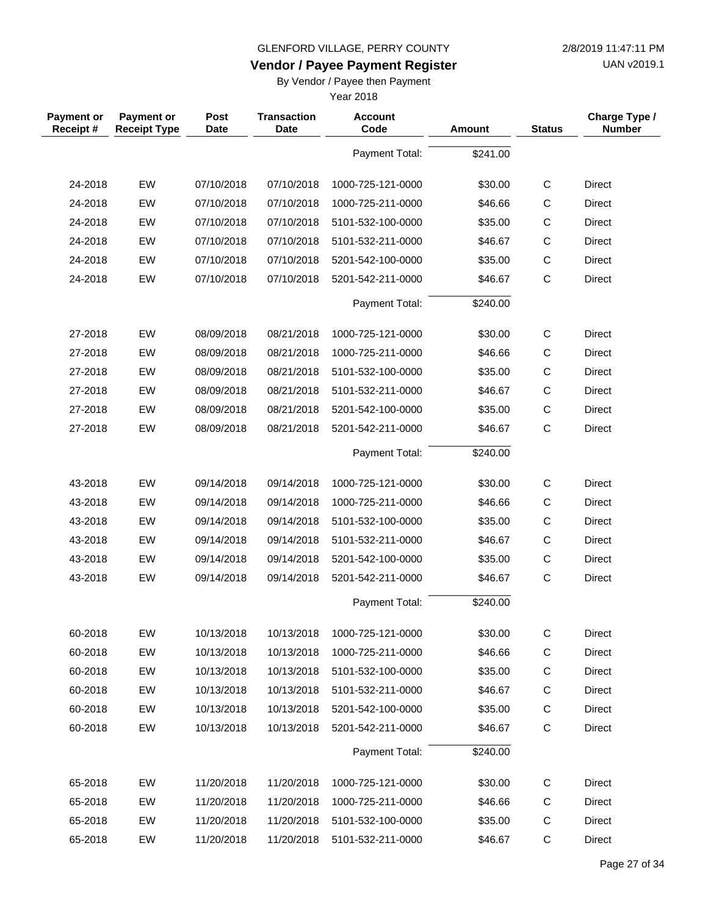**Vendor / Payee Payment Register**

UAN v2019.1

### By Vendor / Payee then Payment

| <b>Payment or</b><br>Receipt# | Payment or<br><b>Receipt Type</b> | Post<br>Date | <b>Transaction</b><br><b>Date</b> | <b>Account</b><br>Code | <b>Amount</b> | <b>Status</b> | Charge Type /<br><b>Number</b> |
|-------------------------------|-----------------------------------|--------------|-----------------------------------|------------------------|---------------|---------------|--------------------------------|
|                               |                                   |              |                                   | Payment Total:         | \$241.00      |               |                                |
| 24-2018                       | EW                                | 07/10/2018   | 07/10/2018                        | 1000-725-121-0000      | \$30.00       | $\mathsf C$   | <b>Direct</b>                  |
| 24-2018                       | EW                                | 07/10/2018   | 07/10/2018                        | 1000-725-211-0000      | \$46.66       | $\mathsf C$   | <b>Direct</b>                  |
| 24-2018                       | EW                                | 07/10/2018   | 07/10/2018                        | 5101-532-100-0000      | \$35.00       | $\mathsf{C}$  | Direct                         |
| 24-2018                       | EW                                | 07/10/2018   | 07/10/2018                        | 5101-532-211-0000      | \$46.67       | C             | <b>Direct</b>                  |
| 24-2018                       | EW                                | 07/10/2018   | 07/10/2018                        | 5201-542-100-0000      | \$35.00       | $\mathsf C$   | <b>Direct</b>                  |
| 24-2018                       | EW                                | 07/10/2018   | 07/10/2018                        | 5201-542-211-0000      | \$46.67       | $\mathsf{C}$  | <b>Direct</b>                  |
|                               |                                   |              |                                   | Payment Total:         | \$240.00      |               |                                |
| 27-2018                       | EW                                | 08/09/2018   | 08/21/2018                        | 1000-725-121-0000      | \$30.00       | $\mathsf C$   | Direct                         |
| 27-2018                       | EW                                | 08/09/2018   | 08/21/2018                        | 1000-725-211-0000      | \$46.66       | $\mathsf{C}$  | <b>Direct</b>                  |
| 27-2018                       | EW                                | 08/09/2018   | 08/21/2018                        | 5101-532-100-0000      | \$35.00       | $\mathsf C$   | Direct                         |
| 27-2018                       | EW                                | 08/09/2018   | 08/21/2018                        | 5101-532-211-0000      | \$46.67       | $\mathsf{C}$  | <b>Direct</b>                  |
| 27-2018                       | EW                                | 08/09/2018   | 08/21/2018                        | 5201-542-100-0000      | \$35.00       | C             | Direct                         |
| 27-2018                       | EW                                | 08/09/2018   | 08/21/2018                        | 5201-542-211-0000      | \$46.67       | $\mathsf{C}$  | <b>Direct</b>                  |
|                               |                                   |              |                                   | Payment Total:         | \$240.00      |               |                                |
| 43-2018                       | EW                                | 09/14/2018   | 09/14/2018                        | 1000-725-121-0000      | \$30.00       | $\mathsf{C}$  | <b>Direct</b>                  |
| 43-2018                       | EW                                | 09/14/2018   | 09/14/2018                        | 1000-725-211-0000      | \$46.66       | $\mathsf{C}$  | Direct                         |
| 43-2018                       | EW                                | 09/14/2018   | 09/14/2018                        | 5101-532-100-0000      | \$35.00       | C             | Direct                         |
| 43-2018                       | EW                                | 09/14/2018   | 09/14/2018                        | 5101-532-211-0000      | \$46.67       | $\mathsf C$   | <b>Direct</b>                  |
| 43-2018                       | EW                                | 09/14/2018   | 09/14/2018                        | 5201-542-100-0000      | \$35.00       | C             | Direct                         |
| 43-2018                       | EW                                | 09/14/2018   | 09/14/2018                        | 5201-542-211-0000      | \$46.67       | $\mathsf{C}$  | Direct                         |
|                               |                                   |              |                                   | Payment Total:         | \$240.00      |               |                                |
| 60-2018                       | EW                                | 10/13/2018   | 10/13/2018                        | 1000-725-121-0000      | \$30.00       | $\mathsf{C}$  | Direct                         |
| 60-2018                       | EW                                | 10/13/2018   | 10/13/2018                        | 1000-725-211-0000      | \$46.66       | С             | Direct                         |
| 60-2018                       | EW                                | 10/13/2018   | 10/13/2018                        | 5101-532-100-0000      | \$35.00       | $\mathsf C$   | Direct                         |
| 60-2018                       | EW                                | 10/13/2018   | 10/13/2018                        | 5101-532-211-0000      | \$46.67       | $\mathsf C$   | Direct                         |
| 60-2018                       | EW                                | 10/13/2018   | 10/13/2018                        | 5201-542-100-0000      | \$35.00       | $\mathsf C$   | Direct                         |
| 60-2018                       | EW                                | 10/13/2018   | 10/13/2018                        | 5201-542-211-0000      | \$46.67       | $\mathsf C$   | Direct                         |
|                               |                                   |              |                                   | Payment Total:         | \$240.00      |               |                                |
| 65-2018                       | EW                                | 11/20/2018   | 11/20/2018                        | 1000-725-121-0000      | \$30.00       | C             | Direct                         |
| 65-2018                       | EW                                | 11/20/2018   | 11/20/2018                        | 1000-725-211-0000      | \$46.66       | С             | Direct                         |
| 65-2018                       | EW                                | 11/20/2018   | 11/20/2018                        | 5101-532-100-0000      | \$35.00       | $\mathsf{C}$  | Direct                         |
| 65-2018                       | EW                                | 11/20/2018   | 11/20/2018                        | 5101-532-211-0000      | \$46.67       | $\mathsf C$   | Direct                         |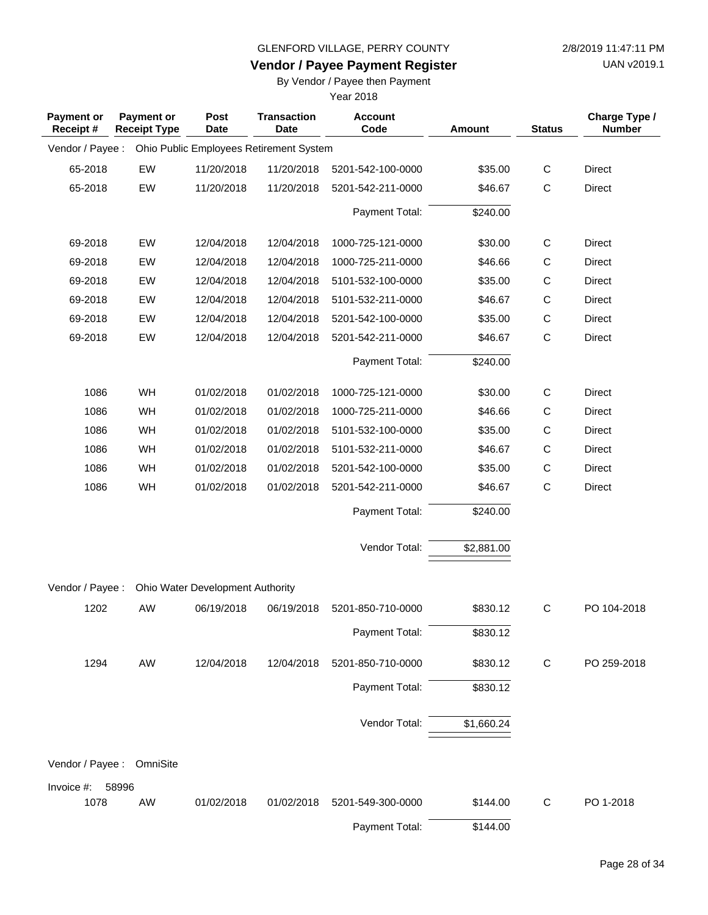UAN v2019.1

### **Vendor / Payee Payment Register**

By Vendor / Payee then Payment

| <b>Payment or</b><br>Receipt# | <b>Payment or</b><br><b>Receipt Type</b> | Post<br><b>Date</b>              | <b>Transaction</b><br><b>Date</b>       | <b>Account</b><br>Code | Amount     | <b>Status</b> | Charge Type /<br><b>Number</b> |
|-------------------------------|------------------------------------------|----------------------------------|-----------------------------------------|------------------------|------------|---------------|--------------------------------|
| Vendor / Payee :              |                                          |                                  | Ohio Public Employees Retirement System |                        |            |               |                                |
| 65-2018                       | EW                                       | 11/20/2018                       | 11/20/2018                              | 5201-542-100-0000      | \$35.00    | $\mathsf C$   | Direct                         |
| 65-2018                       | EW                                       | 11/20/2018                       | 11/20/2018                              | 5201-542-211-0000      | \$46.67    | $\mathsf{C}$  | Direct                         |
|                               |                                          |                                  |                                         | Payment Total:         | \$240.00   |               |                                |
| 69-2018                       | EW                                       | 12/04/2018                       | 12/04/2018                              | 1000-725-121-0000      | \$30.00    | $\mathsf C$   | Direct                         |
| 69-2018                       | EW                                       | 12/04/2018                       | 12/04/2018                              | 1000-725-211-0000      | \$46.66    | $\mathsf C$   | Direct                         |
| 69-2018                       | EW                                       | 12/04/2018                       | 12/04/2018                              | 5101-532-100-0000      | \$35.00    | $\mathsf C$   | Direct                         |
| 69-2018                       | EW                                       | 12/04/2018                       | 12/04/2018                              | 5101-532-211-0000      | \$46.67    | $\mathsf{C}$  | Direct                         |
| 69-2018                       | EW                                       | 12/04/2018                       | 12/04/2018                              | 5201-542-100-0000      | \$35.00    | $\mathsf C$   | Direct                         |
| 69-2018                       | EW                                       | 12/04/2018                       | 12/04/2018                              | 5201-542-211-0000      | \$46.67    | $\mathsf{C}$  | Direct                         |
|                               |                                          |                                  |                                         | Payment Total:         | \$240.00   |               |                                |
| 1086                          | WH                                       | 01/02/2018                       | 01/02/2018                              | 1000-725-121-0000      | \$30.00    | $\mathsf C$   | Direct                         |
| 1086                          | WH                                       | 01/02/2018                       | 01/02/2018                              | 1000-725-211-0000      | \$46.66    | C             | Direct                         |
| 1086                          | WH                                       | 01/02/2018                       | 01/02/2018                              | 5101-532-100-0000      | \$35.00    | $\mathsf C$   | Direct                         |
| 1086                          | WH                                       | 01/02/2018                       | 01/02/2018                              | 5101-532-211-0000      | \$46.67    | $\mathsf{C}$  | Direct                         |
| 1086                          | WH                                       | 01/02/2018                       | 01/02/2018                              | 5201-542-100-0000      | \$35.00    | $\mathsf C$   | Direct                         |
| 1086                          | WH                                       | 01/02/2018                       | 01/02/2018                              | 5201-542-211-0000      | \$46.67    | $\mathsf{C}$  | Direct                         |
|                               |                                          |                                  |                                         | Payment Total:         | \$240.00   |               |                                |
|                               |                                          |                                  |                                         | Vendor Total:          | \$2,881.00 |               |                                |
| Vendor / Payee :              |                                          | Ohio Water Development Authority |                                         |                        |            |               |                                |
| 1202                          | <b>AW</b>                                | 06/19/2018                       | 06/19/2018                              | 5201-850-710-0000      | \$830.12   | C             | PO 104-2018                    |
|                               |                                          |                                  |                                         | Payment Total:         | \$830.12   |               |                                |
| 1294                          | AW                                       | 12/04/2018                       | 12/04/2018                              | 5201-850-710-0000      | \$830.12   | $\mathsf{C}$  | PO 259-2018                    |
|                               |                                          |                                  |                                         | Payment Total:         | \$830.12   |               |                                |
|                               |                                          |                                  |                                         | Vendor Total:          | \$1,660.24 |               |                                |
| Vendor / Payee :              | OmniSite                                 |                                  |                                         |                        |            |               |                                |
| Invoice #:                    | 58996                                    |                                  |                                         |                        |            |               |                                |
| 1078                          | AW                                       | 01/02/2018                       | 01/02/2018                              | 5201-549-300-0000      | \$144.00   | C             | PO 1-2018                      |
|                               |                                          |                                  |                                         | Payment Total:         | \$144.00   |               |                                |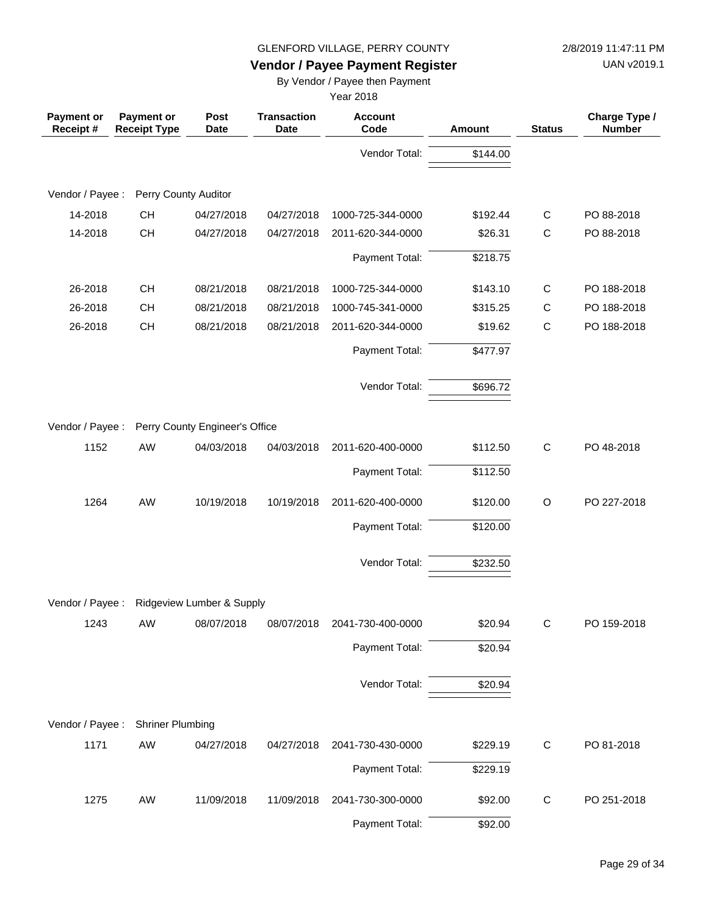UAN v2019.1

## **Vendor / Payee Payment Register**

By Vendor / Payee then Payment

| <b>Payment or</b><br>Receipt# | <b>Payment or</b><br><b>Receipt Type</b> | Post<br><b>Date</b>            | <b>Transaction</b><br><b>Date</b> | <b>Account</b><br>Code | Amount   | <b>Status</b> | Charge Type /<br><b>Number</b> |
|-------------------------------|------------------------------------------|--------------------------------|-----------------------------------|------------------------|----------|---------------|--------------------------------|
|                               |                                          |                                |                                   | Vendor Total:          | \$144.00 |               |                                |
| Vendor / Payee :              | Perry County Auditor                     |                                |                                   |                        |          |               |                                |
| 14-2018                       | <b>CH</b>                                | 04/27/2018                     | 04/27/2018                        | 1000-725-344-0000      | \$192.44 | C             | PO 88-2018                     |
| 14-2018                       | <b>CH</b>                                | 04/27/2018                     | 04/27/2018                        | 2011-620-344-0000      | \$26.31  | C             | PO 88-2018                     |
|                               |                                          |                                |                                   |                        |          |               |                                |
|                               |                                          |                                |                                   | Payment Total:         | \$218.75 |               |                                |
| 26-2018                       | <b>CH</b>                                | 08/21/2018                     | 08/21/2018                        | 1000-725-344-0000      | \$143.10 | C             | PO 188-2018                    |
| 26-2018                       | <b>CH</b>                                | 08/21/2018                     | 08/21/2018                        | 1000-745-341-0000      | \$315.25 | C             | PO 188-2018                    |
| 26-2018                       | <b>CH</b>                                | 08/21/2018                     | 08/21/2018                        | 2011-620-344-0000      | \$19.62  | $\mathsf C$   | PO 188-2018                    |
|                               |                                          |                                |                                   | Payment Total:         | \$477.97 |               |                                |
|                               |                                          |                                |                                   | Vendor Total:          | \$696.72 |               |                                |
|                               |                                          |                                |                                   |                        |          |               |                                |
| Vendor / Payee :              |                                          | Perry County Engineer's Office |                                   |                        |          |               |                                |
| 1152                          | AW                                       | 04/03/2018                     | 04/03/2018                        | 2011-620-400-0000      | \$112.50 | $\mathsf C$   | PO 48-2018                     |
|                               |                                          |                                |                                   | Payment Total:         | \$112.50 |               |                                |
| 1264                          | AW                                       | 10/19/2018                     | 10/19/2018                        | 2011-620-400-0000      | \$120.00 | $\circ$       | PO 227-2018                    |
|                               |                                          |                                |                                   | Payment Total:         | \$120.00 |               |                                |
|                               |                                          |                                |                                   | Vendor Total:          | \$232.50 |               |                                |
|                               |                                          |                                |                                   |                        |          |               |                                |
| Vendor / Payee:               |                                          | Ridgeview Lumber & Supply      |                                   |                        |          |               |                                |
| 1243                          | AW                                       | 08/07/2018                     | 08/07/2018                        | 2041-730-400-0000      | \$20.94  | C             | PO 159-2018                    |
|                               |                                          |                                |                                   | Payment Total:         | \$20.94  |               |                                |
|                               |                                          |                                |                                   | Vendor Total:          | \$20.94  |               |                                |
|                               |                                          |                                |                                   |                        |          |               |                                |
| Vendor / Payee :              | <b>Shriner Plumbing</b>                  |                                |                                   |                        |          |               |                                |
| 1171                          | AW                                       | 04/27/2018                     | 04/27/2018                        | 2041-730-430-0000      | \$229.19 | C             | PO 81-2018                     |
|                               |                                          |                                |                                   | Payment Total:         | \$229.19 |               |                                |
| 1275                          | AW                                       | 11/09/2018                     | 11/09/2018                        | 2041-730-300-0000      | \$92.00  | C             | PO 251-2018                    |
|                               |                                          |                                |                                   | Payment Total:         | \$92.00  |               |                                |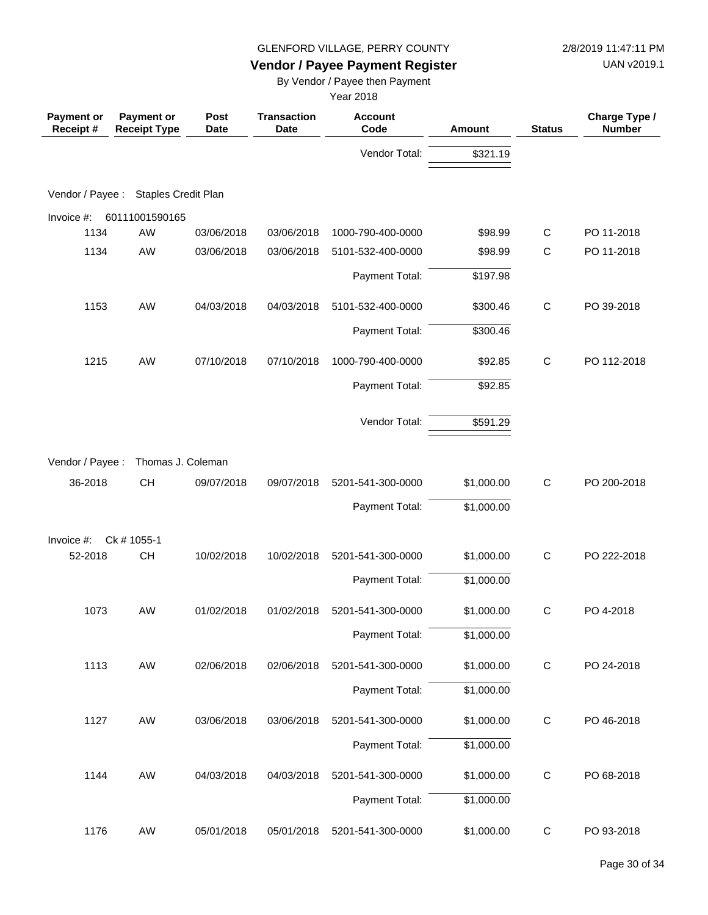UAN v2019.1

## **Vendor / Payee Payment Register**

By Vendor / Payee then Payment

| Payment or<br>Receipt# | Payment or<br><b>Receipt Type</b> | Post<br><b>Date</b> | <b>Transaction</b><br><b>Date</b> | <b>Account</b><br>Code | Amount     | <b>Status</b> | Charge Type /<br><b>Number</b> |
|------------------------|-----------------------------------|---------------------|-----------------------------------|------------------------|------------|---------------|--------------------------------|
|                        |                                   |                     |                                   | Vendor Total:          | \$321.19   |               |                                |
|                        |                                   |                     |                                   |                        |            |               |                                |
| Vendor / Payee :       | <b>Staples Credit Plan</b>        |                     |                                   |                        |            |               |                                |
| Invoice #:             | 60111001590165                    |                     |                                   |                        |            |               |                                |
| 1134                   | AW                                | 03/06/2018          | 03/06/2018                        | 1000-790-400-0000      | \$98.99    | $\mathsf{C}$  | PO 11-2018                     |
| 1134                   | AW                                | 03/06/2018          | 03/06/2018                        | 5101-532-400-0000      | \$98.99    | $\mathsf C$   | PO 11-2018                     |
|                        |                                   |                     |                                   | Payment Total:         | \$197.98   |               |                                |
| 1153                   | AW                                | 04/03/2018          | 04/03/2018                        | 5101-532-400-0000      | \$300.46   | $\mathsf{C}$  | PO 39-2018                     |
|                        |                                   |                     |                                   | Payment Total:         | \$300.46   |               |                                |
| 1215                   | AW                                | 07/10/2018          | 07/10/2018                        | 1000-790-400-0000      | \$92.85    | $\mathsf{C}$  | PO 112-2018                    |
|                        |                                   |                     |                                   | Payment Total:         | \$92.85    |               |                                |
|                        |                                   |                     |                                   |                        |            |               |                                |
|                        |                                   |                     |                                   | Vendor Total:          | \$591.29   |               |                                |
| Vendor / Payee :       | Thomas J. Coleman                 |                     |                                   |                        |            |               |                                |
| 36-2018                | CH                                | 09/07/2018          | 09/07/2018                        | 5201-541-300-0000      | \$1,000.00 | $\mathsf C$   | PO 200-2018                    |
|                        |                                   |                     |                                   | Payment Total:         | \$1,000.00 |               |                                |
| Invoice #:             | Ck # 1055-1                       |                     |                                   |                        |            |               |                                |
| 52-2018                | <b>CH</b>                         | 10/02/2018          | 10/02/2018                        | 5201-541-300-0000      | \$1,000.00 | $\mathsf{C}$  | PO 222-2018                    |
|                        |                                   |                     |                                   | Payment Total:         | \$1,000.00 |               |                                |
| 1073                   | AW                                | 01/02/2018          | 01/02/2018                        | 5201-541-300-0000      | \$1,000.00 | C             | PO 4-2018                      |
|                        |                                   |                     |                                   | Payment Total:         | \$1,000.00 |               |                                |
| 1113                   | AW                                | 02/06/2018          | 02/06/2018                        | 5201-541-300-0000      | \$1,000.00 | $\mathsf C$   | PO 24-2018                     |
|                        |                                   |                     |                                   | Payment Total:         | \$1,000.00 |               |                                |
| 1127                   | AW                                | 03/06/2018          | 03/06/2018                        | 5201-541-300-0000      | \$1,000.00 | $\mathsf C$   | PO 46-2018                     |
|                        |                                   |                     |                                   | Payment Total:         | \$1,000.00 |               |                                |
| 1144                   | AW                                | 04/03/2018          | 04/03/2018                        | 5201-541-300-0000      | \$1,000.00 | $\mathsf C$   | PO 68-2018                     |
|                        |                                   |                     |                                   | Payment Total:         | \$1,000.00 |               |                                |
| 1176                   | AW                                | 05/01/2018          | 05/01/2018                        | 5201-541-300-0000      | \$1,000.00 | $\mathbf C$   | PO 93-2018                     |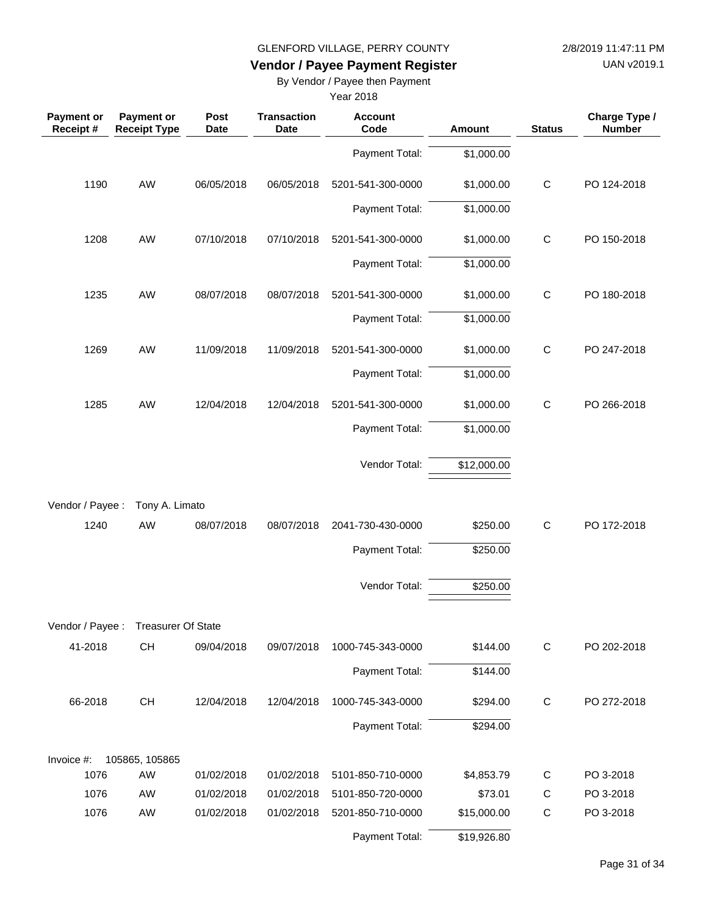UAN v2019.1

## **Vendor / Payee Payment Register**

By Vendor / Payee then Payment

| <b>Payment or</b><br>Receipt # | Payment or<br><b>Receipt Type</b>   | Post<br><b>Date</b> | <b>Transaction</b><br><b>Date</b> | <b>Account</b><br>Code | Amount      | <b>Status</b> | Charge Type /<br><b>Number</b> |
|--------------------------------|-------------------------------------|---------------------|-----------------------------------|------------------------|-------------|---------------|--------------------------------|
|                                |                                     |                     |                                   | Payment Total:         | \$1,000.00  |               |                                |
| 1190                           | AW                                  | 06/05/2018          | 06/05/2018                        | 5201-541-300-0000      | \$1,000.00  | $\mathsf C$   | PO 124-2018                    |
|                                |                                     |                     |                                   | Payment Total:         | \$1,000.00  |               |                                |
| 1208                           | AW                                  | 07/10/2018          | 07/10/2018                        | 5201-541-300-0000      | \$1,000.00  | $\mathsf C$   | PO 150-2018                    |
|                                |                                     |                     |                                   | Payment Total:         | \$1,000.00  |               |                                |
| 1235                           | AW                                  | 08/07/2018          | 08/07/2018                        | 5201-541-300-0000      | \$1,000.00  | $\mathsf C$   | PO 180-2018                    |
|                                |                                     |                     |                                   | Payment Total:         | \$1,000.00  |               |                                |
| 1269                           | AW                                  | 11/09/2018          | 11/09/2018                        | 5201-541-300-0000      | \$1,000.00  | $\mathsf{C}$  | PO 247-2018                    |
|                                |                                     |                     |                                   | Payment Total:         | \$1,000.00  |               |                                |
| 1285                           | AW                                  | 12/04/2018          | 12/04/2018                        | 5201-541-300-0000      | \$1,000.00  | $\mathsf{C}$  | PO 266-2018                    |
|                                |                                     |                     |                                   | Payment Total:         | \$1,000.00  |               |                                |
|                                |                                     |                     |                                   | Vendor Total:          | \$12,000.00 |               |                                |
| Vendor / Payee :               | Tony A. Limato                      |                     |                                   |                        |             |               |                                |
| 1240                           | AW                                  | 08/07/2018          | 08/07/2018                        | 2041-730-430-0000      | \$250.00    | $\mathsf{C}$  | PO 172-2018                    |
|                                |                                     |                     |                                   | Payment Total:         | \$250.00    |               |                                |
|                                |                                     |                     |                                   | Vendor Total:          | \$250.00    |               |                                |
|                                | Vendor / Payee : Treasurer Of State |                     |                                   |                        |             |               |                                |
| 41-2018                        | CH                                  | 09/04/2018          | 09/07/2018                        | 1000-745-343-0000      | \$144.00    | $\mathsf C$   | PO 202-2018                    |
|                                |                                     |                     |                                   | Payment Total:         | \$144.00    |               |                                |
| 66-2018                        | CH                                  | 12/04/2018          | 12/04/2018                        | 1000-745-343-0000      | \$294.00    | $\mathsf C$   | PO 272-2018                    |
|                                |                                     |                     |                                   | Payment Total:         | \$294.00    |               |                                |
| Invoice #:                     | 105865, 105865                      |                     |                                   |                        |             |               |                                |
| 1076                           | AW                                  | 01/02/2018          | 01/02/2018                        | 5101-850-710-0000      | \$4,853.79  | $\mathsf C$   | PO 3-2018                      |
| 1076                           | AW                                  | 01/02/2018          | 01/02/2018                        | 5101-850-720-0000      | \$73.01     | $\mathsf C$   | PO 3-2018                      |
| 1076                           | AW                                  | 01/02/2018          | 01/02/2018                        | 5201-850-710-0000      | \$15,000.00 | $\mathsf C$   | PO 3-2018                      |
|                                |                                     |                     |                                   | Payment Total:         | \$19,926.80 |               |                                |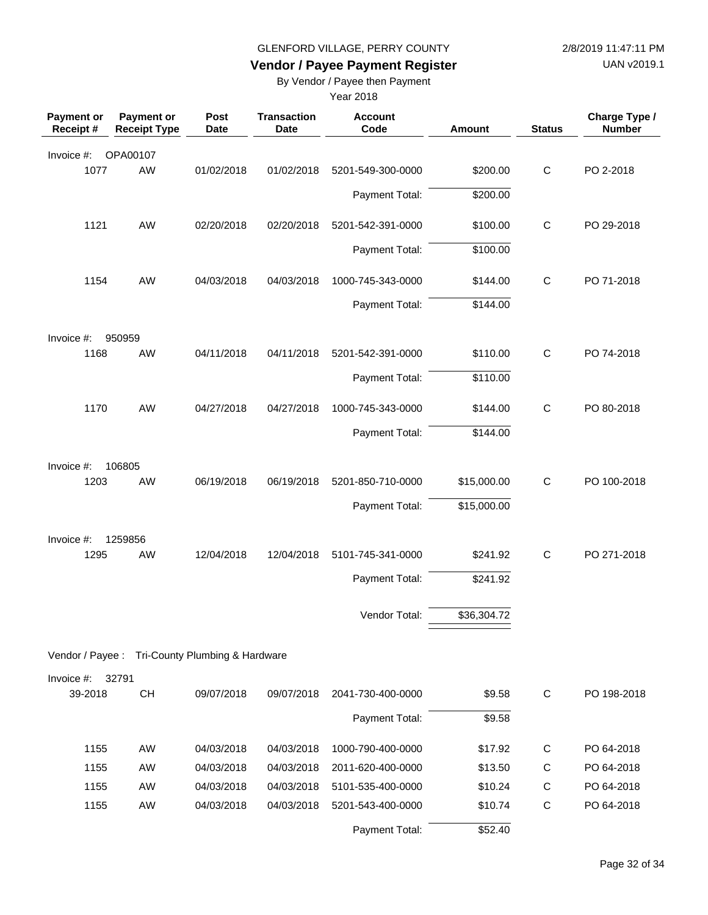UAN v2019.1

## **Vendor / Payee Payment Register**

By Vendor / Payee then Payment

| <b>Payment or</b><br>Receipt # | <b>Payment or</b><br><b>Receipt Type</b>        | Post<br>Date | <b>Transaction</b><br><b>Date</b> | <b>Account</b><br>Code | Amount      | <b>Status</b> | Charge Type /<br><b>Number</b> |
|--------------------------------|-------------------------------------------------|--------------|-----------------------------------|------------------------|-------------|---------------|--------------------------------|
| Invoice #:                     | OPA00107                                        |              |                                   |                        |             |               |                                |
| 1077                           | AW                                              | 01/02/2018   | 01/02/2018                        | 5201-549-300-0000      | \$200.00    | $\mathsf{C}$  | PO 2-2018                      |
|                                |                                                 |              |                                   | Payment Total:         | \$200.00    |               |                                |
| 1121                           | AW                                              | 02/20/2018   | 02/20/2018                        | 5201-542-391-0000      | \$100.00    | $\mathsf{C}$  | PO 29-2018                     |
|                                |                                                 |              |                                   | Payment Total:         | \$100.00    |               |                                |
| 1154                           | <b>AW</b>                                       | 04/03/2018   | 04/03/2018                        | 1000-745-343-0000      | \$144.00    | $\mathsf{C}$  | PO 71-2018                     |
|                                |                                                 |              |                                   | Payment Total:         | \$144.00    |               |                                |
| Invoice #:                     | 950959                                          |              |                                   |                        |             |               |                                |
| 1168                           | AW                                              | 04/11/2018   | 04/11/2018                        | 5201-542-391-0000      | \$110.00    | $\mathsf{C}$  | PO 74-2018                     |
|                                |                                                 |              |                                   | Payment Total:         | \$110.00    |               |                                |
| 1170                           | AW                                              | 04/27/2018   | 04/27/2018                        | 1000-745-343-0000      | \$144.00    | $\mathsf{C}$  | PO 80-2018                     |
|                                |                                                 |              |                                   | Payment Total:         | \$144.00    |               |                                |
| Invoice #:                     | 106805                                          |              |                                   |                        |             |               |                                |
| 1203                           | <b>AW</b>                                       | 06/19/2018   | 06/19/2018                        | 5201-850-710-0000      | \$15,000.00 | $\mathsf C$   | PO 100-2018                    |
|                                |                                                 |              |                                   | Payment Total:         | \$15,000.00 |               |                                |
| Invoice #:                     | 1259856                                         |              |                                   |                        |             |               |                                |
| 1295                           | <b>AW</b>                                       | 12/04/2018   | 12/04/2018                        | 5101-745-341-0000      | \$241.92    | $\mathsf{C}$  | PO 271-2018                    |
|                                |                                                 |              |                                   | Payment Total:         | \$241.92    |               |                                |
|                                |                                                 |              |                                   | Vendor Total:          | \$36,304.72 |               |                                |
|                                |                                                 |              |                                   |                        |             |               |                                |
|                                | Vendor / Payee : Tri-County Plumbing & Hardware |              |                                   |                        |             |               |                                |
| Invoice #:                     | 32791                                           |              |                                   |                        |             |               |                                |
| 39-2018                        | CH                                              | 09/07/2018   | 09/07/2018                        | 2041-730-400-0000      | \$9.58      | $\mathsf{C}$  | PO 198-2018                    |
|                                |                                                 |              |                                   | Payment Total:         | \$9.58      |               |                                |
| 1155                           | AW                                              | 04/03/2018   | 04/03/2018                        | 1000-790-400-0000      | \$17.92     | C             | PO 64-2018                     |
| 1155                           | AW                                              | 04/03/2018   | 04/03/2018                        | 2011-620-400-0000      | \$13.50     | $\mathsf{C}$  | PO 64-2018                     |
| 1155                           | AW                                              | 04/03/2018   | 04/03/2018                        | 5101-535-400-0000      | \$10.24     | $\mathsf C$   | PO 64-2018                     |
| 1155                           | AW                                              | 04/03/2018   | 04/03/2018                        | 5201-543-400-0000      | \$10.74     | $\mathsf C$   | PO 64-2018                     |
|                                |                                                 |              |                                   | Payment Total:         | \$52.40     |               |                                |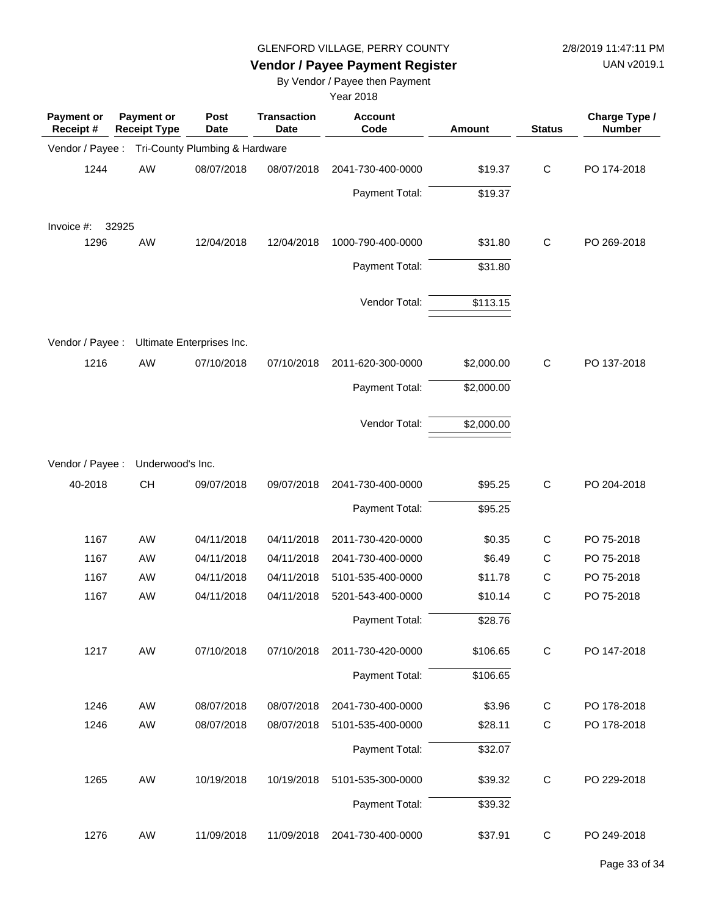UAN v2019.1

## **Vendor / Payee Payment Register**

By Vendor / Payee then Payment

| Payment or<br>Receipt# | <b>Payment or</b><br><b>Receipt Type</b> | <b>Post</b><br>Date            | <b>Transaction</b><br><b>Date</b> | <b>Account</b><br>Code | Amount     | <b>Status</b> | Charge Type /<br><b>Number</b> |
|------------------------|------------------------------------------|--------------------------------|-----------------------------------|------------------------|------------|---------------|--------------------------------|
| Vendor / Payee :       |                                          | Tri-County Plumbing & Hardware |                                   |                        |            |               |                                |
| 1244                   | AW                                       | 08/07/2018                     | 08/07/2018                        | 2041-730-400-0000      | \$19.37    | $\mathsf C$   | PO 174-2018                    |
|                        |                                          |                                |                                   | Payment Total:         | \$19.37    |               |                                |
| Invoice #:             | 32925                                    |                                |                                   |                        |            |               |                                |
| 1296                   | AW                                       | 12/04/2018                     | 12/04/2018                        | 1000-790-400-0000      | \$31.80    | C             | PO 269-2018                    |
|                        |                                          |                                |                                   | Payment Total:         | \$31.80    |               |                                |
|                        |                                          |                                |                                   | Vendor Total:          | \$113.15   |               |                                |
| Vendor / Payee :       |                                          | Ultimate Enterprises Inc.      |                                   |                        |            |               |                                |
| 1216                   | AW                                       | 07/10/2018                     | 07/10/2018                        | 2011-620-300-0000      | \$2,000.00 | $\mathsf C$   | PO 137-2018                    |
|                        |                                          |                                |                                   | Payment Total:         | \$2,000.00 |               |                                |
|                        |                                          |                                |                                   | Vendor Total:          | \$2,000.00 |               |                                |
| Vendor / Payee :       | Underwood's Inc.                         |                                |                                   |                        |            |               |                                |
| 40-2018                | <b>CH</b>                                | 09/07/2018                     | 09/07/2018                        | 2041-730-400-0000      | \$95.25    | $\mathsf C$   | PO 204-2018                    |
|                        |                                          |                                |                                   | Payment Total:         | \$95.25    |               |                                |
| 1167                   | AW                                       | 04/11/2018                     | 04/11/2018                        | 2011-730-420-0000      | \$0.35     | $\mathsf C$   | PO 75-2018                     |
| 1167                   | AW                                       | 04/11/2018                     | 04/11/2018                        | 2041-730-400-0000      | \$6.49     | $\mathsf{C}$  | PO 75-2018                     |
| 1167                   | AW                                       | 04/11/2018                     | 04/11/2018                        | 5101-535-400-0000      | \$11.78    | $\mathsf{C}$  | PO 75-2018                     |
| 1167                   | AW                                       | 04/11/2018                     | 04/11/2018                        | 5201-543-400-0000      | \$10.14    | $\mathsf C$   | PO 75-2018                     |
|                        |                                          |                                |                                   | Payment Total:         | \$28.76    |               |                                |
| 1217                   | AW                                       | 07/10/2018                     | 07/10/2018                        | 2011-730-420-0000      | \$106.65   | C             | PO 147-2018                    |
|                        |                                          |                                |                                   | Payment Total:         | \$106.65   |               |                                |
| 1246                   | AW                                       | 08/07/2018                     | 08/07/2018                        | 2041-730-400-0000      | \$3.96     | $\mathsf{C}$  | PO 178-2018                    |
| 1246                   | AW                                       | 08/07/2018                     | 08/07/2018                        | 5101-535-400-0000      | \$28.11    | $\mathsf C$   | PO 178-2018                    |
|                        |                                          |                                |                                   | Payment Total:         | \$32.07    |               |                                |
| 1265                   | AW                                       | 10/19/2018                     | 10/19/2018                        | 5101-535-300-0000      | \$39.32    | $\mathsf{C}$  | PO 229-2018                    |
|                        |                                          |                                |                                   | Payment Total:         | \$39.32    |               |                                |
| 1276                   | AW                                       | 11/09/2018                     | 11/09/2018                        | 2041-730-400-0000      | \$37.91    | C             | PO 249-2018                    |